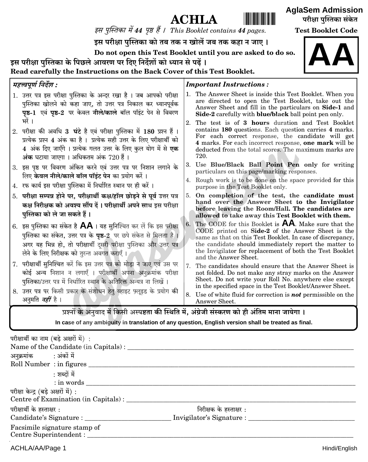| <b>ACHLA</b> |  |
|--------------|--|
|--------------|--|

इस पुस्तिका में 44 पृष्ठ हैं। This Booklet contains 44 pages.

इस परीक्षा पुस्तिका को तब तक न खोलें जब तक कहा न जाए।

Do not open this Test Booklet until you are asked to do so.

इस परीक्षा पुस्तिका के पिछले आवरण पर दिए निर्देशों को ध्यान से पढें। Read carefully the Instructions on the Back Cover of this Test Booklet.

#### महत्त्वपूर्ण निर्देश : **Important Instructions:** 1. उत्तर पत्र इस परीक्षा पुस्तिका के अन्दर रखा है। जब आपको परीक्षा 1. The Answer Sheet is inside this Test Booklet. When you are directed to open the Test Booklet, take out the पुस्तिका खोलने को कहा जाए, तो उत्तर पत्र निकाल कर ध्यानपूर्वक Answer Sheet and fill in the particulars on Side-1 and Side-2 carefully with blue/black ball point pen only. भों। 2. The test is of 3 hours duration and Test Booklet contains 180 questions. Each question carries 4 marks. 2. परीक्षा की अवधि 3 घंटे है एवं परीक्षा पुस्तिका में 180 प्रश्न हैं। For each correct response, the candidate will get प्रत्येक प्रश्न 4 अंक का है। प्रत्येक सही उत्तर के लिए परीक्षार्थी को 4 marks. For each incorrect response, one mark will be 4 अंक दिए जाएँगे। प्रत्येक गलत उत्तर के लिए कल योग में से **एक** deducted from the total scores. The maximum marks are अंक घटाया जाएगा । अधिकतम अंक  $720$  हैं । 720. 3. Use Blue/Black Ball Point Pen only for writing 3. इस पष्ठ पर विवरण अंकित करने एवं उत्तर पत्र पर निशान लगाने के particulars on this page/marking responses. लिए **केवल नीले/काले बॉल पॉइंट पेन** का प्रयोग करें। 4. Rough work is to be done on the space provided for this 4. रफ कार्य इस परीक्षा पुस्तिका में निर्धारित स्थान पर ही करें । purpose in the Test Booklet only. On completion of the test, the candidate must 5. परीक्षा सम्पन्न होने पर, परीक्षार्थी कक्ष/हॉल छोड़ने से पूर्व उत्तर पत्र 5. hand over the Answer Sheet to the Invigilator कक्ष निरीक्षक को अवश्य सौंप दें। परीक्षार्थी अपने साथ इस परीक्षा before leaving the Room/Hall. The candidates are पुस्तिका को ले जा सकते हैं। allowed to take away this Test Booklet with them. 6. The CODE for this Booklet is **AA**. Make sure that the 6. इस पुस्तिका का संकेत है  $\mathsf{AA}$ । यह सुनिश्चित कर लें कि इस परीक्षा CODE printed on Side-2 of the Answer Sheet is the पुस्तिका का संकेत, उत्तर पत्र के **पृष्ठ-2** पर छपे संकेत से मिलता है। same as that on this Test Booklet. In case of discrepancy, ँ<br>अगर यह भिन्न हो, तो परीक्षार्थी दुसरी परीक्षा पुस्तिका और उत्तर पत्र the candidate should immediately report the matter to the Invigilator for replacement of both the Test Booklet लेने के लिए निरीक्षक को तुरन्त अवगत कराएँ। and the Answer Sheet. 7. परीक्षार्थी सुनिश्चित करें कि इस उत्तर पत्र को मोड़ा न जाए एवं उस पर 7. The candidates should ensure that the Answer Sheet is कोई अन्य निशान न लगाएँ । परीक्षार्थी अपना अनुक्रमांक परीक्षा not folded. Do not make any stray marks on the Answer Sheet. Do not write your Roll No. anywhere else except पुस्तिका/उत्तर पत्र में निर्धारित स्थान के अतिरिक्त अन्यत्र ना लिखें । in the specified space in the Test Booklet/Answer Sheet. 8. उत्तर पत्र पर किसी प्रकार के संशोधन हेतु व्हाइट फ़्लूइड के प्रयोग की 8. Use of white fluid for correction is **not** permissible on the अनुमति *नहीं* है । Answer Sheet. प्रश्नों के अनवाद में किसी अस्पष्टता की स्थिति में. अंग्रेजी संस्करण को ही अंतिम माना जायेगा । In case of any ambiguity in translation of any question, English version shall be treated as final.

| परीक्षार्थी का नाम (बड़े अक्षरों में) : |                           |  |
|-----------------------------------------|---------------------------|--|
|                                         |                           |  |
| अनुक्रमांक : अंकों में                  |                           |  |
|                                         |                           |  |
| : शब्दों में                            |                           |  |
|                                         |                           |  |
| परीक्षा केन्द्र (बड़े अक्षरों में) :    |                           |  |
| Centre of Examination (in Capitals) :   |                           |  |
| परीक्षार्थी के हस्ताक्षर :              | निरीक्षक के हस्ताक्षर :   |  |
| Candidate's Signature :                 | Invigilator's Signature : |  |
| Facsimile signature stamp of            |                           |  |
| Centre Superintendent :                 |                           |  |

**Test Booklet Code** 

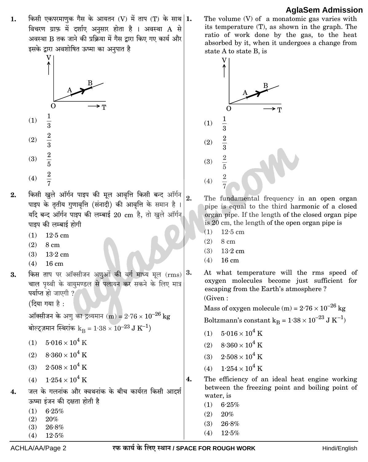किसी एकपरमाणुक गैस के आयतन (V) में ताप (T) के साथ  $|1.$  $1.$ विचरण ग्राफ में दर्शाए अनसार होता है । अवस्था A से अवस्था B तक जाने की प्रक्रिया में गैस द्वारा किए गए कार्य और इसके द्रारा अवशोषित ऊष्मा का अनुपात है



- किसी खुले ऑर्गन पाइप की मूल आवृत्ति किसी बन्द ऑर्गन  $2.$  $\overline{2}$ . पाइप के तृतीय गुणावृत्ति (संनादी) की आवृत्ति के समान है यदि बन्द ऑर्गन पाइप की लम्बाई 20 cm है, तो खुले ऑर्गन पाइप की लम्बाई होगी
	- $(1)$  $12.5$  cm
	- $(2)$  $8 \text{ cm}$
	- $(3)$  $13.2$  cm
	- $(4)$  16 cm
- किस ताप पर ऑक्सीजन अणुओं की वर्ग माध्य मूल (rms) 3. 3. चाल पृथ्वी के वायुमण्डल से पलायन कर सकने के लिए मात्र पर्याप्त हो जाएगी ?

(दिया गया है:

ऑक्सीजन के अणू का द्रव्यमान (m) =  $2.76 \times 10^{-26}$  kg बोल्ट्ज़मान स्थिरांक  $k_B = 1.38 \times 10^{-23}$  J K<sup>-1</sup>)

- (1)  $5.016 \times 10^4$  K
- (2)  $8.360 \times 10^4$  K
- (3)  $2.508 \times 10^4$  K
- (4)  $1.254 \times 10^4$  K
- जल के गलनांक और क्वथनांक के बीच कार्यरत किसी आदर्श  $\boldsymbol{4}$ ऊष्मा इंजन की दक्षता होती है
	- $(1)$  $6.25%$
	- $(2)$  $20\%$
	- $26.8%$  $(3)$

ACHLA/AA/Page 2

 $(4)$  $12.5%$  The volume  $(V)$  of a monatomic gas varies with its temperature (T), as shown in the graph. The ratio of work done by the gas, to the heat absorbed by it, when it undergoes a change from state A to state B, is



The fundamental frequency in an open organ pipe is equal to the third harmonic of a closed organ pipe. If the length of the closed organ pipe is 20 cm, the length of the open organ pipe is

- $(1)$  $12.5$  cm
- $(2)$  $8 \text{ cm}$
- $(3)$  $13.2 \text{ cm}$
- $(4)$  $16 \text{ cm}$
- At what temperature will the rms speed of oxygen molecules become just sufficient for escaping from the Earth's atmosphere? (Given:

Mass of oxygen molecule (m) =  $2.76 \times 10^{-26}$  kg Boltzmann's constant $k_B = 1.38 \times 10^{-23}~J~K^{-1})$ 

- (1)  $5.016 \times 10^4$  K
- (2)  $8.360 \times 10^4$  K
- $2.508 \times 10^4$  K  $(3)$
- $1.254 \times 10^4$  K  $(4)$
- The efficiency of an ideal heat engine working  $\overline{4}$ . between the freezing point and boiling point of water, is
	- $(1)$  $6.25%$

 $26.8%$ 

 $12.5%$ 

 $(2)$ 20%

 $(3)$ 

 $(4)$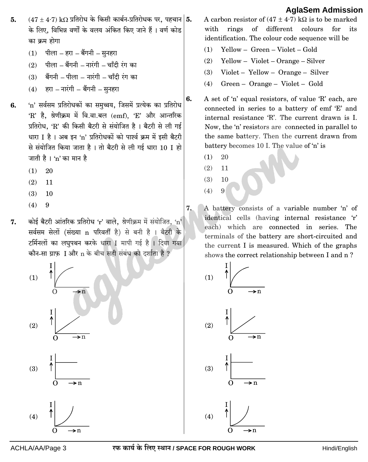- $(47 \pm 4.7)~\rm k\Omega$  प्रतिरोध के किसी कार्बन-प्रतिरोधक पर, पहचान  $|{\bf 5}.$ 5. के लिए, विभिन्न वर्णों के वलय अंकित किए जाने हैं । वर्ण कोड का क्रम होगा
	- $(1)$  पीला हरा बैंगनी सुनहरा
	- $(2)$  पीला बैंगनी नारंगी चाँदी रंग का
	- बैंगनी पीला नारंगी चाँदी रंग का  $(3)$
	- हरा नारंगी बैंगनी सुनहरा  $(4)$
- 'n' सर्वसम प्रतिरोधकों का समुच्चय, जिसमें प्रत्येक का प्रतिरोध 6.  $R'$  है. श्रेणीक्रम में वि.वा.बल  $(emf)$ , 'E' और आन्तरिक प्रतिरोध, 'R' की किसी बैटरी से संयोजित है। बैटरी से ली गई धारा I है । अब इन 'n' प्रतिरोधकों को पार्श्व क्रम में इसी बैटरी से संयोजित किया जाता है। तो बैटरी से ली गई धारा 10 I हो जाती है। 'n' का मान है
	- $(1)$ 20
	- $(2)$ 11
	- $(3)$ 10
	- $(4)$ 9
- कोई बैटरी आंतरिक प्रतिरोध 'r' वाले, श्रेणीक्रम में संयोजित, 'n' 7. सर्वसम सेलों (संख्या n परिवर्ती है) से बनी है । बैटरी के टर्मिनलों का लघुपथन करके धारा I मापी गई है । दिया गया कौन-सा ग्राफ़ I और n के बीच सही संबंध को दर्शाता है ?







- A carbon resistor of  $(47 \pm 4.7)$  kQ is to be marked with rings of different colours for its identification. The colour code sequence will be
- $(1)$  Yellow Green Violet Gold
- $(2)$  Yellow Violet Orange Silver
- Violet Yellow Orange Silver  $(3)$
- $(4)$ Green - Orange - Violet - Gold
- A set of 'n' equal resistors, of value 'R' each, are connected in series to a battery of emf 'E' and internal resistance 'R'. The current drawn is I. Now, the 'n' resistors are connected in parallel to the same battery. Then the current drawn from battery becomes 10 I. The value of 'n' is
	- $(1)$ 20

6.

7.

- $(2)$ 11
- $(3)$ 10

9

 $(4)$ 

- A battery consists of a variable number 'n' of identical cells (having internal resistance 'r' each) which are connected in series. The terminals of the battery are short-circuited and the current I is measured. Which of the graphs shows the correct relationship between I and n?
	- $(1)$



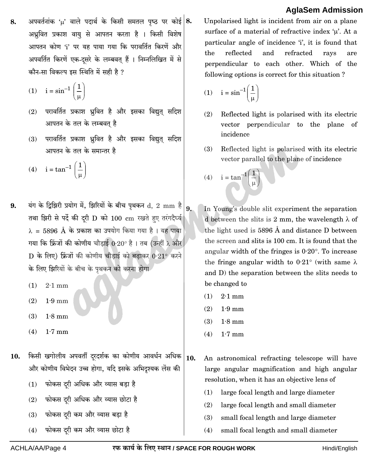अपवर्तनांक 'µ' वाले पदार्थ के किसी समतल पृष्ठ पर कोई  $|8.$ 8. अध्रवित प्रकाश वायु से आपतन करता है । किसी विशेष आपतन कोण 'i' पर यह पाया गया कि परावर्तित किरणें और अपवर्तित किरणें एक-दसरे के लम्बवत हैं । निम्नलिखित में से कौन-सा विकल्प इस स्थिति में सही है ?

$$
(1) \quad i = \sin^{-1}\left(\frac{1}{\mu}\right)
$$

- परावर्तित प्रकाश ध्रवित है और इसका विद्यत सदिश  $(2)$ आपतन के तल के लम्बवत है
- परावर्तित प्रकाश ध्रुवित है और इसका विद्युत् सदिश  $(3)$ आपतन के तल के समान्तर है
- (4)  $i = \tan^{-1} \left( \frac{1}{1} \right)$
- यंग के द्विझिरी प्रयोग में, झिरियों के बीच पृथकन d, 2 mm है 9. तथा झिरी से पर्दे की दरी D को 100 cm रखते हुए तरंगदैर्घ्य  $\lambda = 5896$  Å के प्रकाश का उपयोग किया गया है। यह पाया गया कि फ्रिंजों की कोणीय चौड़ाई 0·20° है। तब (उन्हीं λ और  $\, {\bf D} \,$  के लिए) फ्रिंजों की कोणीय चौडाई को बढ़ाकर  $0.21^{\circ}$  करने के लिए झिरियों के बीच के पृथकन को करना होगा
	- $(1)$  $2.1 \text{ mm}$
	- $(2)$  $1.9 \text{ mm}$
	- $(3)$  $1.8 \text{ mm}$
	- $(4)$  $1.7 \text{ mm}$
- किसी खगोलीय अपवर्ती दरदर्शक का कोणीय आवर्धन अधिक 10. और कोणीय विभेदन उच्च होगा, यदि इसके अभिदृश्यक लेंस की
	- फोकस दरी अधिक और व्यास बडा है  $(1)$
	- फोकस दरी अधिक और व्यास छोटा है  $(2)$
	- फोकस दरी कम और व्यास बडा है  $(3)$
	- फोकस दरी कम और व्यास छोटा है  $(4)$

Unpolarised light is incident from air on a plane surface of a material of refractive index  $\mu$ . At a particular angle of incidence 'i', it is found that the reflected and refracted ravs are perpendicular to each other. Which of the following options is correct for this situation?

$$
(1) \quad i = \sin^{-1}\left(\frac{1}{\mu}\right)
$$

- $(2)$ Reflected light is polarised with its electric vector perpendicular to the plane of incidence
- $(3)$ Reflected light is polarised with its electric vector parallel to the plane of incidence
- (4)  $i = \tan^{-1} \left( \frac{1}{\mu} \right)$
- In Young's double slit experiment the separation d between the slits is 2 mm, the wavelength  $\lambda$  of the light used is 5896  $\AA$  and distance D between the screen and slits is 100 cm. It is found that the angular width of the fringes is  $0.20^{\circ}$ . To increase the fringe angular width to  $0.21^{\circ}$  (with same  $\lambda$ and D) the separation between the slits needs to be changed to
	- $(1)$  $2.1 \text{ mm}$
	- $(2)$  $1.9 \text{ mm}$
	- $(3)$  $1.8 \text{ mm}$
	- $(4)$  $1.7 \text{ mm}$
- 10. An astronomical refracting telescope will have large angular magnification and high angular resolution, when it has an objective lens of
	- $(1)$ large focal length and large diameter
	- $(2)$ large focal length and small diameter
	- $(3)$ small focal length and large diameter
	- $(4)$ small focal length and small diameter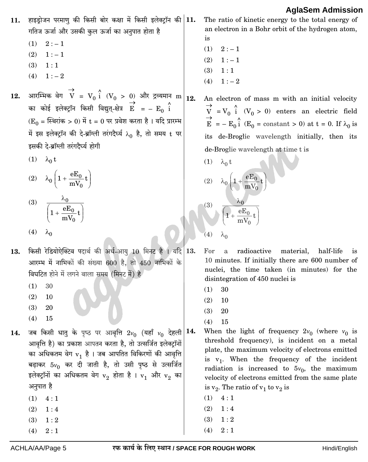हाइड़ोजन परमाण की किसी बोर कक्षा में किसी इलेक्ट्रॉन की 11. 11. गतिज ऊर्जा और उसकी कुल ऊर्जा का अनुपात होता है

- $2: -1$  $(1)$
- $(2)$  $1:-1$
- $(3)$  $1:1$
- $1:-2$  $(4)$
- आरम्भिक वेग $\overrightarrow{V} = V_0 \stackrel{\wedge}{\text{i}} (V_0 > 0)$  और द्रव्यमान m $\Big|_{12}$ . 12. का कोई इलेक्ट्रॉन किसी विद्युत्-क्षेत्र  $\overrightarrow{E}$  = –  $E_0$  i  $(E_0 = \text{F}$ थरांक > 0) में t = 0 पर प्रवेश करता है। यदि प्रारम्भ में इस इलेक्ट्रॉन की दे-ब्रॉग्ली तरंगदैर्घ्य  $\lambda_0$  है, तो समय t पर इसकी दे-ब्रॉग्ली तरंगदैर्घ्य होगी
	- $(1)$   $\lambda_0$  t
	- (2)  $\lambda_0 \left( 1 + \frac{eE_0}{mV_0} t \right)$
	- (3)  $\frac{\lambda_0}{\left(1 + \frac{eE_0}{mV_0}t\right)}$ (4)  $\lambda_0$
- किसी रेडियोऐक्टिव पदार्थ की अर्ध-आयू 10 मिनट है । यदि 13. 13. आरम्भ में नाभिकों की संख्या 600 है, तो 450 नाभिकों के विघटित होने में लगने वाला समय (मिनट में) है
	- $(1)$ 30
	- $(2)$ 10
	- $(3)$ 20
	- $(4)$ 15
- जब किसी धातु के पृष्ठ पर आवृत्ति  $2v_0$  (यहाँ  $v_0$  देहली $|14$ 14. आवृत्ति है) का प्रकाश आपतन करता है, तो उत्सर्जित इलेक्टॉनों का अधिकतम वेग  $v_1$  है। जब आपतित विकिरणों की आवृत्ति बढ़ाकर  $5v_0$  कर दी जाती है, तो उसी पृष्ठ से उत्सर्जित इलेक्ट्रॉनों का अधिकतम वेग  $v_2$  होता है।  $v_1$  और  $v_2$  का अनुपात है
	- $(1)$  $4:1$
	- $(2)$  $1:4$
	- $1:2$  $(3)$
	- $2:1$  $(4)$

The ratio of kinetic energy to the total energy of an electron in a Bohr orbit of the hydrogen atom, is

- $(1)$  $2:-1$
- $(2)$  $1:-1$
- $(3)$  $1:1$
- $(4)$  $1:-2$
- An electron of mass m with an initial velocity  $V = V_0 \hat{i}$  ( $V_0 > 0$ ) enters an electric field<br>  $E = -E_0 \hat{i}$  ( $E_0 = \text{constant} > 0$ ) at  $t = 0$ . If  $\lambda_0$  is its de-Broglie wavelength initially, then its de-Broglie wavelength at time t is
	- (1)  $λ_0 t$ (2)  $\lambda_0 \left( 1 + \frac{eE_0}{mV_0} t \right)$  $\frac{\lambda_0}{1+\frac{eE_0}{\sqrt{1+t}}}$  $(4)$  $\lambda_0$
	- For radioactive a material, half-life is 10 minutes. If initially there are 600 number of nuclei, the time taken (in minutes) for the disintegration of 450 nuclei is
		- $(1)$ 30
		- $(2)$ 10
		- $(3)$ 20
		- $(4)$ 15
- When the light of frequency  $2v_0$  (where  $v_0$  is threshold frequency), is incident on a metal plate, the maximum velocity of electrons emitted is  $v_1$ . When the frequency of the incident radiation is increased to  $5v_0$ , the maximum velocity of electrons emitted from the same plate is  $v_2$ . The ratio of  $v_1$  to  $v_2$  is
	- $(1) \quad 4:1$
	- $(2)$  $1:4$
	- $(3)$  $1:2$
	- $2:1$  $(4)$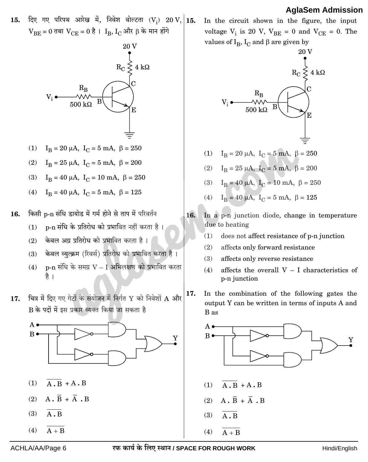दिए गए परिपथ आरेख में, निवेश वोल्टता (V<sub>i</sub>) 20 V, 15.  $15.$  $V_{BE} = 0$  तथा  $V_{CE} = 0$  है ।  $I_B$ ,  $I_C$  और  $\beta$  के मान होंगे



- (1)  $I_B = 20 \mu A$ ,  $I_C = 5 mA$ ,  $\beta = 250$
- (2)  $I_B = 25 \mu A$ ,  $I_C = 5 mA$ ,  $\beta = 200$
- (3)  $I_B = 40 \mu A$ ,  $I_C = 10 \mu A$ ,  $\beta = 250$
- (4)  $I_B = 40 \mu A$ ,  $I_C = 5 \mu A$ ,  $\beta = 125$
- किसी p-n संधि डायोड में गर्म होने से ताप में परिवर्तन 16.
	- p-n संधि के प्रतिरोध को प्रभावित नहीं करता है।  $(1)$ 
		- केवल अग्र प्रतिरोध को प्रभावित करता है।  $(2)$
		- केवल व्युत्क्रम (रिवर्स) प्रतिरोध को प्रभावित करता है।  $(3)$
		- $p$ -n संधि के समग्र  $V-I$  अभिलक्षण को प्रभावित करता  $(4)$ है ।
- चित्र में दिए गए गेटों के संयोजन में निर्गत Y को निवेशों A और  $17.$ B के पदों में इस प्रकार व्यक्त किया जा सकता है



- $\overline{A \cdot B} + A \cdot B$  $(1)$
- $A \cdot \overline{B} + \overline{A} \cdot B$  $(2)$
- $A$ . B  $(3)$
- $(4)$  $A + B$

In the circuit shown in the figure, the input voltage  $V_i$  is 20 V,  $V_{BE} = 0$  and  $V_{CE} = 0$ . The values of  $I_B$ ,  $I_C$  and  $\beta$  are given by

$$
V_{i} \longrightarrow R_{C} \longrightarrow R_{K} \longrightarrow R_{C}
$$
\n
$$
V_{i} \longrightarrow W \longrightarrow R_{C}
$$
\n
$$
V_{i} \longrightarrow W \longrightarrow R_{C}
$$
\n
$$
V_{i} \longrightarrow W \longrightarrow R_{C}
$$
\n
$$
V_{i} \longrightarrow W \longrightarrow R_{C}
$$
\n
$$
E
$$

- (1)  $I_B = 20 \mu A$ ,  $I_C = 5 mA$ ,  $\beta = 250$
- (2)  $I_B = 25 \mu A$ ,  $I_C = 5 mA$ ,  $\beta = 200$
- (3)  $I_B = 40 \mu A$ ,  $I_C = 10 \mu A$ ,  $\beta = 250$
- (4)  $I_B = 40 \mu A$ ,  $I_C = 5 \text{ mA}$ ,  $\beta = 125$
- 16. In a p-n junction diode, change in temperature due to heating
	- $(1)$ does not affect resistance of p-n junction
	- $(2)$ affects only forward resistance
	- affects only reverse resistance  $(3)$
	- $(4)$ affects the overall  $V - I$  characteristics of p-n junction
- 17. In the combination of the following gates the output Y can be written in terms of inputs A and B as

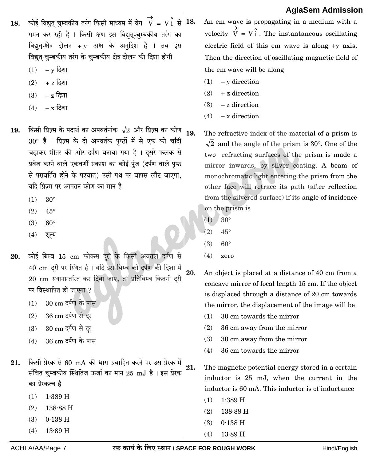- कोई विद्यत-चम्बकीय तरंग किसी माध्यम में वेग $V = V_1^{\wedge}$  से  $|18.$ 18. गमन कर रही है। किसी क्षण इस विद्युत-चुम्बकीय तरंग का विद्युत्-क्षेत्र दोलन + y अक्ष के अनुदिश है । तब इस विद्युत्-चम्बकीय तरंग के चम्बकीय क्षेत्र दोलन की दिशा होगी
	- $(1)$  $\rm v$  दिशा
	- + z दिशा  $(2)$
	- z दिशा  $(3)$
	- $(4)$  $-\mathbf{x}$  दिशा
- किसी प्रिज़्म के पदार्थ का अपवर्तनांक  $\sqrt{2}$  और प्रिज़्म का कोण 19.  $30^{\circ}$  है । प्रिज़्म के दो अपवर्तक पृष्ठों में से एक को चाँदी चढ़ाकर भीतर की ओर दर्पण बनाया गया है। दसरे फलक से प्रवेश करने वाले एकवर्णी प्रकाश का कोई पुंज (दर्पण वाले पृष्ठ से परावर्तित होने के पश्चात) उसी पथ पर वापस लौट जाएगा. यदि प्रिज़्म पर आपतन कोण का मान है
	- $(1)$  $30^\circ$
	- $(2)$  $45^{\circ}$
	- $(3)$  $60^\circ$
	- $(4)$ शन्य
- कोई बिम्ब 15 cm फोकस दरी के किसी अवतल दर्पण से 20. 40 cm दूरी पर स्थित है। यदि इस बिम्ब को दर्पण की दिशा में 20. 20 cm स्थानान्तरित कर दिया जाए, तो प्रतिबिम्ब कितनी दूरी पर विस्थापित हो जाएगा ?
	- 30 cm दर्पण के पास  $(1)$
	- 36 cm दर्पण से दर  $(2)$
	- 30 cm दर्पण से दर  $(3)$
	- 36 cm दर्पण के पास  $(4)$
- किसी प्रेरक से 60 mA की धारा प्रवाहित करने पर उस प्रेरक में 21. संचित चुम्बकीय स्थितिज ऊर्जा का मान 25 mJ है। इस प्रेरक का प्रेरकत्व है
	- $(1)$  $1.389$  H
	- $(2)$  $138.88H$
	- $(3)$  $0.138$  H
	- $13.89$  H  $(4)$

An em wave is propagating in a medium with a velocity  $\overrightarrow{V} = V \hat{i}$ . The instantaneous oscillating electric field of this em wave is along  $+y$  axis. Then the direction of oscillating magnetic field of the em wave will be along

- $(1)$  $-$  v direction
- $(2)$ + z direction
- $-z$  direction  $(3)$
- $-$  x direction  $(4)$
- 19. The refractive index of the material of a prism is  $\sqrt{2}$  and the angle of the prism is 30°. One of the two refracting surfaces of the prism is made a mirror inwards, by silver coating. A beam of monochromatic light entering the prism from the other face will retrace its path (after reflection from the silvered surface) if its angle of incidence on the prism is
	- $(1)$  $30^\circ$
	- $(2)$  $45^{\circ}$
	- $(3)$  $60^\circ$
	- $(4)$ zero

An object is placed at a distance of 40 cm from a concave mirror of focal length 15 cm. If the object is displaced through a distance of 20 cm towards the mirror, the displacement of the image will be

- 30 cm towards the mirror  $(1)$
- $(2)$ 36 cm away from the mirror
- $(3)$ 30 cm away from the mirror
- $(4)$ 36 cm towards the mirror

21. The magnetic potential energy stored in a certain inductor is 25 mJ, when the current in the inductor is 60 mA. This inductor is of inductance

- $(1)$  1.389 H
- $(2)$  $138.88 \text{ H}$
- $(3)$  $0.138$  H
- $(4)$  $13.89H$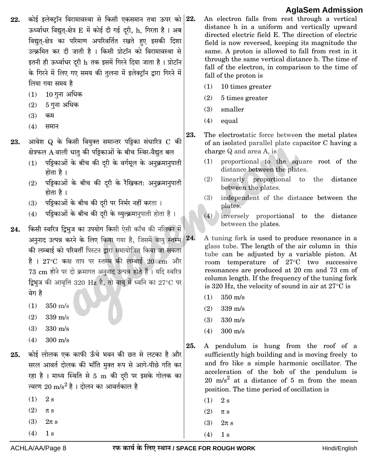- कोई इलेक्टॉन विरामावस्था से किसी एकसमान तथा ऊपर को 22.  $22.$ ऊर्ध्वाधर विद्युत्-क्षेत्र E में कोई दी गई दरी, h, गिरता है । अब विद्युत-क्षेत्र का परिमाण अपरिवर्तित रखते हुए इसकी दिशा उत्क्रमित कर दी जाती है । किसी प्रोटॉन को विरामावस्था से इतनी ही ऊर्ध्वाधर दरी h तक इसमें गिरने दिया जाता है। प्रोटॉन के गिरने में लिए गए समय की तुलना में इलेक्टॉन द्वारा गिरने में लिया गया समय है
	- 10 गुना अधिक  $(1)$
	- 5 गुना अधिक  $(2)$
	- $(3)$ कम
	- $(4)$ समान
- आवेश Q के किसी वियुक्त समान्तर पट्टिका संधारित्र C की 23. क्षेत्रफल A वाली धात की पड़िकाओं के बीच स्थिर-वैद्युत बल
	- (1) पट्टिकाओं के बीच की दरी के वर्गमूल के अनुक्रमानुपाती होता है ।
	- (2) पट्टिकाओं के बीच की दरी के रैखिकत: अनुक्रमानुपाती होता है ।
	- (3) पट्टिकाओं के बीच की दरी पर निर्भर नहीं करता ।
	- (4) पट्टिकाओं के बीच की दरी के व्युत्क्रमानुपाती होता है।
- किसी स्वरित्र दिभज का उपयोग किसी ऐसी काँच की नलिका में 24. अनुनाद उत्पन्न करने के लिए किया गया है, जिसमें वायु स्तम्भ 24. की लम्बाई को परिवर्ती पिस्टन द्वारा समायोजित किया जा सकता है। 27°C कक्ष ताप पर स्तम्भ की लम्बाई 20 cm और 73 cm होने पर दो क्रमागत अनुनाद उत्पन्न होते हैं । यदि स्वरित्र द्विभुज की आवृत्ति 320 Hz है, तो वायु में ध्वनि का 27°C पर वेग है
	- $(1)$  $350 \text{ m/s}$
	- $(2)$  $339 \text{ m/s}$
	- $(3)$  $330 \text{ m/s}$
	- $300 \text{ m/s}$  $(4)$
- कोई लोलक एक काफी ऊँचे भवन की छत से लटका है और 25. सरल आवर्त दोलक की भाँति मुक्त रूप से आगे-पीछे गति कर रहा है। माध्य स्थिति से 5 m की दरी पर इसके गोलक का त्वरण  $20 \text{ m/s}^2$  है। दोलन का आवर्तकाल है
	- $(1)$  $2s$
	- $(2)$  $\pi$  s
	- $(3)$  $2\pi s$
	- $(4)$  $1<sub>s</sub>$

An electron falls from rest through a vertical distance h in a uniform and vertically upward directed electric field E. The direction of electric field is now reversed, keeping its magnitude the same. A proton is allowed to fall from rest in it through the same vertical distance h. The time of fall of the electron, in comparison to the time of fall of the proton is

- 10 times greater  $(1)$
- $(2)$ 5 times greater
- $(3)$ smaller
- $(4)$ equal
- 23. The electrostatic force between the metal plates of an isolated parallel plate capacitor C having a charge Q and area A, is
	- proportional to the square root of the  $(1)$ distance between the plates.
	- $(2)$ linearly proportional to the distance between the plates.
	- $(3)$ independent of the distance between the plates.
	- $(4)$  inversely proportional to the distance between the plates.
	- A tuning fork is used to produce resonance in a glass tube. The length of the air column in this tube can be adjusted by a variable piston. At room temperature of 27°C two successive resonances are produced at 20 cm and 73 cm of column length. If the frequency of the tuning fork is 320 Hz, the velocity of sound in air at  $27^{\circ}$ C is
		- $(1)$  $350 \text{ m/s}$
		- $(2)$  $339 \text{ m/s}$
		- $330 \text{ m/s}$  $(3)$
		- $300 \text{ m/s}$  $(4)$
- 25. A pendulum is hung from the roof of a sufficiently high building and is moving freely to and fro like a simple harmonic oscillator. The acceleration of the bob of the pendulum is 20 m/s<sup>2</sup> at a distance of 5 m from the mean position. The time period of oscillation is
	- $(1)$  $2s$
	- $(2)$  $\pi$  s
	- $(3)$  $2\pi$  s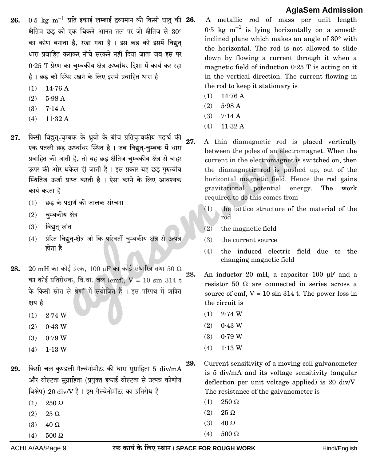- $0.5~{\rm kg}~{\rm m}^{-1}$  प्रति इकाई लम्बाई द्रव्यमान की किसी धात् की  $\vert 26.$ 26. क्षैतिज छड़ को एक चिकने आनत तल पर जो क्षैतिज से  $30^{\circ}$ का कोण बनाता है, रखा गया है । इस छड को इसमें विद्युत धारा प्रवाहित कराकर नीचे सरकने नहीं दिया जाता जब इस पर 0.25 T प्रेरण का चम्बकीय क्षेत्र ऊर्ध्वाधर दिशा में कार्य कर रहा है। छड को स्थिर रखने के लिए इसमें प्रवाहित धारा है
	- $(1)$  $14.76A$
	- $(2)$  $5.98A$
	- $(3)$  $7.14A$
	- $11.32A$  $(4)$
- किसी विद्युत्-चुम्बक के ध्रुवों के बीच प्रतिचुम्बकीय पदार्थ की 27. एक पतली छड ऊर्ध्वाधर स्थित है । जब विद्युत-चुम्बक में धारा प्रवाहित की जाती है, तो वह छड़ क्षैतिज चुम्बकीय क्षेत्र से बाहर ऊपर की ओर धकेल दी जाती है। इस प्रकार यह छड गुरुत्वीय स्थितिज ऊर्जा प्राप्त करती है। ऐसा करने के लिए आवश्यक कार्य करता है
	- (1) छड के पदार्थ की जालक संरचना
	- $(2)$  चुम्बकीय क्षेत्र
	- विद्युत स्रोत  $(3)$
	- प्रेरित विद्युत-क्षेत्र जो कि परिवर्ती चुम्बकीय क्षेत्र से उत्पन्न  $(4)$ होता है
- $20\text{ }\mathrm{mH}$  का कोई प्रेरक,  $100\text{ }\mathrm{\mu F}$  का कोई संधारित्र तथा  $50\text{ }\Omega$ 28. का कोई प्रतिरोधक, वि.वा. बल (emf),  $V = 10 \sin 314$  t के किसी स्रोत से श्रेणी में संयोजित हैं । इस परिपथ में शक्ति क्षय है
	- $(1)$  $2.74 \text{ W}$
	- $(2)$  $0.43$  W
	- $0.79W$  $(3)$
	- $1.13W$  $(4)$
- किसी चल कण्डली गैल्वेनोमीटर की धारा सुग्राहिता 5 div/mA 29. और वोल्टता सुग्राहिता (प्रयुक्त इकाई वोल्टता से उत्पन्न कोणीय विक्षेप) 20 div/V है । इस गैल्वेनोमीटर का प्रतिरोध है
	- $(1)$  $250 \Omega$
	- $(2)$  $25~\Omega$
	- $(3)$  $40\ \Omega$
	- $(4)$  $500 \Omega$

A metallic rod of mass per unit length 0.5 kg  $m^{-1}$  is lying horizontally on a smooth inclined plane which makes an angle of 30° with the horizontal. The rod is not allowed to slide down by flowing a current through it when a magnetic field of induction  $0.25$  T is acting on it in the vertical direction. The current flowing in the rod to keep it stationary is

- $14.76A$  $(1)$
- $5.98A$  $(2)$
- $7.14A$  $(3)$
- $11.32A$  $(4)$
- 27. A thin diamagnetic rod is placed vertically between the poles of an electromagnet. When the current in the electromagnet is switched on, then the diamagnetic rod is pushed up, out of the horizontal magnetic field. Hence the rod gains gravitational potential energy. The work required to do this comes from
	- the lattice structure of the material of the  $(1)$ rod
	- $(2)$ the magnetic field
	- $(3)$ the current source
	- the induced electric field due to the  $(4)$ changing magnetic field
- 28. An inductor 20 mH, a capacitor 100 µF and a resistor 50  $\Omega$  are connected in series across a source of emf,  $V = 10 \sin 314$  t. The power loss in the circuit is
	- $(1)$  2.74 W
	- $(2)$  $0.43 \text{ W}$
	- $0.79W$  $(3)$
	- $1.13W$  $(4)$
- 29. Current sensitivity of a moving coil galvanometer is 5 div/mA and its voltage sensitivity (angular deflection per unit voltage applied) is  $20 \div N$ . The resistance of the galvanometer is
	- $(1)$  $250 \Omega$
	- $(2)$  $25 \Omega$
	- $40 \Omega$  $(3)$
	- $(4)$  $500 \Omega$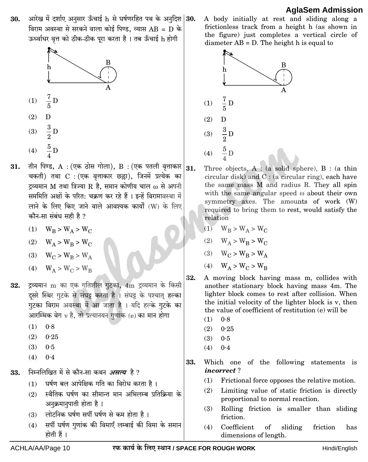आरेख में दर्शाए अनसार ऊँचाई h से घर्षणरहित पथ के अनदिश 30. 30. विराम अवस्था से सरकने वाला कोई पिण्ड. व्यास  $AB = D$  के ऊर्ध्वाधर वृत्त को ठीक-ठीक पूरा करता है। तब ऊँचाई h होगी



- तीन पिण्ड, A : (एक ठोस गोला), B : (एक पतली वृत्ताकार $|_{31}$ 31. चकती) तथा C : (एक वृत्ताकार छल्ला), जिनमें प्रत्येक का द्रव्यमान M तथा त्रिज्या R है, समान कोणीय चाल  $\omega$  से अपनी सममिति अक्षों के परित: चक्रण कर रहे हैं । इन्हें विरामावस्था में लाने के लिए किए जाने वाले आवश्यक कार्यों (W) के लिए कौन-सा संबंध सही है ?
	- (1)  $W_R > W_{\Delta} > W_C$
	- (2)  $W_A > W_B > W_C$
	- (3)  $W_C > W_B > W_A$
	- (4)  $W_A > W_C > W_B$
- द्रव्यमान m का एक गतिशील गुटका, 4m द्रव्यमान के किसी 32. दुसरे स्थिर गुटके से संघट्ट करता है। संघट्ट के पश्चात् हल्का गुटका विराम अवस्था में आ जाता है । यदि हल्के गुटके का आरम्भिक वेग v है. तो प्रत्यानयन गुणांक (e) का मान होगा
	- $(1)$  $0.8$
	- $(2)$  $0.25$
	- $(3)$  $0.5$
	- $(4)$  $0.4$
- निम्नलिखित में से कौन-सा कथन *असत्य* है ? 33.
	- घर्षण बल आपेक्षिक गति का विरोध करता है ।  $(1)$
	- (2) स्थैतिक घर्षण का सीमान्त मान अभिलम्ब प्रतिक्रिया के अनुक्रमानुपाती होता है।
	- (3) लोटनिक घर्षण सर्पी घर्षण से कम होता है।
	- सर्पी घर्षण गुणांक की विमाएँ लम्बाई की विमा के समान  $(4)$ होती हैं ।

A body initially at rest and sliding along a frictionless track from a height h (as shown in the figure) just completes a vertical circle of diameter  $AB = D$ . The height h is equal to



- Three objects,  $A : (a)$  solid sphere),  $B : (a)$  thin circular disk) and  $C$ : (a circular ring), each have the same mass M and radius R. They all spin with the same angular speed  $\omega$  about their own symmetry axes. The amounts of work (W) required to bring them to rest, would satisfy the relation
	- (1)  $W_B > W_A > W_C$
	- (2)  $W_A > W_B > W_C$
	- (3)  $W_C > W_B > W_A$
	- (4)  $W_A > W_C > W_B$
- A moving block having mass m, collides with another stationary block having mass 4m. The lighter block comes to rest after collision. When the initial velocity of the lighter block is v, then the value of coefficient of restitution (e) will be
	- $(1)$  $0.8$
	- $(2)$  $0.25$
	- $(3)$  $0.5$
	- $0.4$  $(4)$
- 33. Which one of the following statements is *incorrect?* 
	- $(1)$ Frictional force opposes the relative motion.
	- Limiting value of static friction is directly  $(2)$ proportional to normal reaction.
	- $(3)$ Rolling friction is smaller than sliding friction.
	- $(4)$ Coefficient of sliding friction has dimensions of length.

32.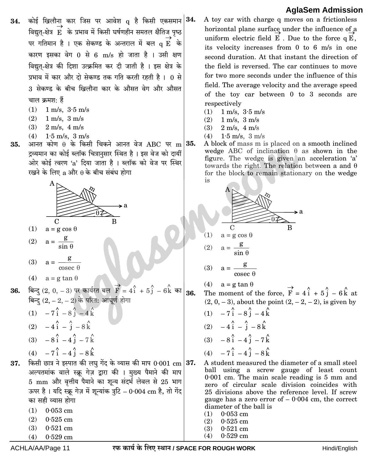- कोई खिलौना कार जिस पर आवेश  $q$  है किसी एकसमान $|34$ . 34. विद्युत्-क्षेत्र  $\overrightarrow{E}$  के प्रभाव में किसी घर्षणहीन समतल क्षैतिज पृष्ठ पर गतिमान है । एक सेकण्ड के अन्तराल में बल  $\mathbf q \overset{\rightarrow}{\mathbf E}$  के कारण इसका वेग 0 से 6 m/s हो जाता है । उसी क्षण विद्युत्-क्षेत्र की दिशा उत्क्रमित कर दी जाती है। इस क्षेत्र के प्रभाव में कार और दो सेकण्ड तक गति करती रहती है। 0 से 3 सेकण्ड के बीच खिलौना कार के औसत वेग और औसत चाल क्रमश: हैं
	- $(1)$  $1 \text{ m/s}$ ,  $3.5 \text{ m/s}$
	- $(2)$  $1 \text{ m/s}$ ,  $3 \text{ m/s}$
	- $(3)$  2 m/s, 4 m/s
	- (4)  $1.5 \text{ m/s}, 3 \text{ m/s}$
- आनत कोण  $\theta$  के किसी चिकने आनत वेज ABC पर m 35. 35. द्रव्यमान का कोई ब्लॉक चित्रानुसार स्थित है। इस वेज को दायीं ओर कोई त्वरण 'a' दिया जाता है । ब्लॉक को वेज पर स्थिर रखने के लिए  $a$  और  $\theta$  के बीच संबंध होगा



- $(1)$  $a = g \cos \theta$
- $a = \frac{g}{\sin \theta}$  $(2)$
- (3)  $a = \frac{g}{\csc \theta}$
- (4)  $a = g \tan \theta$
- बिन्दु (2, 0, -3) पर कार्यरत बल $\overrightarrow{F} = 4\hat{i} + 5\hat{j} 6\hat{k}$  का 36. 36. बिन्द  $(2, -2, -2)$  के परित: आघूर्ण होगा
	- (1)  $-7\hat{i} 8\hat{j} 4\hat{k}$
	- (2)  $-4\hat{i} \hat{i} 8\hat{k}$
	- $(3)$   $8i$   $4i$   $7k$

$$
(4) \quad -7 \, \mathrm{i} \, -4 \, \mathrm{j} \, -8 \, \mathrm{k}
$$

- किसी छात्र ने इस्पात की लघु गेंद के व्यास की माप  $0.001$  cm  $|37$ . 37. अल्पतमांक वाले स्क्रू गेज़ द्वारा की । मुख्य पैमाने की माप 5 mm और वृत्तीय पैमाने का शून्य संदर्भ लेवल से 25 भाग ऊपर है। यदि स्क्रू गेज़ में शून्यांक त्रुटि - 0.004 cm है, तो गेंद का सही व्यास होगा
	- $(1)$  0.053 cm
	- $(2)$  0.525 cm
	- $0.521$  cm  $(3)$
	- $(4)$  $0.529~\mathrm{cm}$
- A toy car with charge q moves on a frictionless horizontal plane surface under the influence of a uniform electric field  $\vec{E}$ . Due to the force q  $\vec{E}$ , its velocity increases from 0 to 6 m/s in one second duration. At that instant the direction of the field is reversed. The car continues to move for two more seconds under the influence of this field. The average velocity and the average speed of the toy car between 0 to 3 seconds are respectively
- $(1)$  $1 \text{ m/s}$ ,  $3.5 \text{ m/s}$
- $(2)$  $1 \text{ m/s}, 3 \text{ m/s}$
- $2 \text{ m/s}, 4 \text{ m/s}$  $(3)$
- $1.5 \text{ m/s}$ ,  $3 \text{ m/s}$  $(4)$
- A block of mass m is placed on a smooth inclined wedge ABC of inclination  $\theta$  as shown in the figure. The wedge is given an acceleration 'a' towards the right. The relation between a and  $\theta$ for the block to remain stationary on the wedge is



$$
(3) \quad a = \frac{g}{\csc \theta}
$$

(4)  $a = g \tan \theta$ 

The moment of the force,  $\overrightarrow{F} = 4\overrightarrow{i} + 5\overrightarrow{j} - 6\overrightarrow{k}$  at  $(2, 0, -3)$ , about the point  $(2, -2, -2)$ , is given by

- (1)  $-7\hat{i} 8\hat{j} 4\hat{k}$ (2)  $-4\hat{i} - \hat{i} - 8\hat{k}$ (3)  $-8\hat{i} - 4\hat{j} - 7\hat{k}$ (4)  $-7\hat{i} - 4\hat{j} - 8\hat{k}$
- A student measured the diameter of a small steel ball using a screw gauge of least count  $0.001$  cm. The main scale reading is  $5 \text{ mm}$  and zero of circular scale division coincides with 25 divisions above the reference level. If screw gauge has a zero error of  $-0.004$  cm, the correct diameter of the ball is
	- $(1)$  $0.053$  cm  $(2)$  $0.525$  cm
	- $(3)$  $0.521$  cm
	- $(4)$  $0.529$  cm

ACHLA/AA/Page 11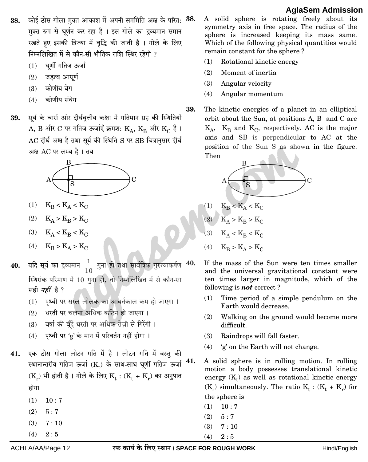- कोई ठोस गोला मुक्त आकाश में अपनी सममिति अक्ष के परित: 38. 38. मक्त रूप से घर्णन कर रहा है । इस गोले का द्रव्यमान समान रखते हुए इसकी त्रिज्या में वृद्धि की जाती है । गोले के लिए निम्नलिखित में से कौन-सी भौतिक राशि स्थिर रहेगी ?
	- घर्णी गतिज ऊर्जा  $(1)$
	- जडत्व आघर्ण  $(2)$
	- कोणीय वेग  $(3)$
	- कोणीय संवेग  $(4)$
- सूर्य के चारों ओर दीर्घवृत्तीय कक्षा में गतिमान ग्रह की स्थितियों 39. A, B और C पर गतिज ऊर्जाएँ क्रमश: K<sub>4</sub>, KB और Ko हैं ।  $AC$  दीर्घ अक्ष है तथा सूर्य की स्थिति  $S$  पर  $SB$  चित्रानुसार दीर्घ अक्ष AC पर लम्ब है। तब



- (1)  $K_{\rm B} < K_{\rm A} < K_{\rm C}$
- (2)  $K_{\text{A}} > K_{\text{B}} > K_{\text{C}}$
- (3)  $K_A < K_B < K_C$
- (4)  $K_{\rm B} > K_{\rm A} > K_{\rm C}$
- यदि सूर्य का द्रव्यमान  $\frac{1}{10}$  गुना हो तथा सार्वत्रिक गुरुत्वाकर्षण $\Big|40.$ 40. स्थिरांक परिमाण में 10 गुना हो, तो निम्नलिखित में से कौन-सा सही *नहीं* है ?
	- (1) पृथ्वी पर सरल लोलक का आवर्तकाल कम हो जाएगा।
	- $(2)$  धरती पर चलना अधिक कठिन हो जाएगा।
	- वर्षा की बुँदें धरती पर अधिक तेज़ी से गिरेंगी ।  $(3)$
	- पृथ्वी पर 'g' के मान में परिवर्तन नहीं होगा।  $(4)$

एक ठोस गोला लोटन गति में है । लोटन गति में वस्तु की 41. स्थानान्तरीय गतिज ऊर्जा (K,) के साथ-साथ घूर्णी गतिज ऊर्जा  $(K_r)$  भी होती है। गोले के लिए  $K_t$ :  $(K_t + K_r)$  का अनुपात होगा

- $(1)$  $10:7$
- $(2)$  $5:7$
- $7:10$  $(3)$
- $(4)$  $2:5$

A solid sphere is rotating freely about its symmetry axis in free space. The radius of the sphere is increased keeping its mass same. Which of the following physical quantities would remain constant for the sphere?

- $(1)$ Rotational kinetic energy
- $(2)$ Moment of inertia
- $(3)$ Angular velocity

39.

 $(4)$ Angular momentum

The kinetic energies of a planet in an elliptical orbit about the Sun, at positions A, B and C are  $K_A$ ,  $K_B$  and  $K_C$ , respectively. AC is the major axis and SB is perpendicular to AC at the position of the Sun S as shown in the figure. Then



$$
(1) \qquad K_B < K_A < K_C
$$

$$
(2) \quad K_A > K_B > K_C
$$

- $K_A < K_B < K_C$  $(3)$
- $K_B > K_A > K_C$  $(4)$

If the mass of the Sun were ten times smaller and the universal gravitational constant were ten times larger in magnitude, which of the following is *not* correct?

- $(1)$ Time period of a simple pendulum on the Earth would decrease.
- $(2)$ Walking on the ground would become more difficult.
- $(3)$ Raindrops will fall faster.
- $(4)$ 'g' on the Earth will not change.

41. A solid sphere is in rolling motion. In rolling motion a body possesses translational kinetic energy  $(K_t)$  as well as rotational kinetic energy  $(K_r)$  simultaneously. The ratio  $K_t$ :  $(K_t + K_r)$  for the sphere is

- $(1)$  $10:7$
- $(2)$  $5:7$
- $(3)$  $7:10$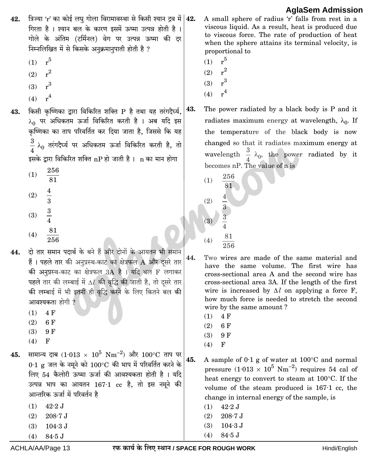- त्रिज्या 'r' का कोई लघु गोला विरामावस्था से किसी श्यान द्रव में  $|42$ . 42. गिरता है । श्यान बल के कारण इसमें ऊष्मा उत्पन्न होती है । गोले के अंतिम (टर्मिनल) वेग पर उत्पन्न ऊष्मा की दर निम्नलिखित में से किसके अनुक्रमानुपाती होती है ?
	- $r^5$  $(1)$
	- $r^2$  $(2)$
	- $r^3$  $(3)$
	- $r<sup>4</sup>$  $(4)$
- किसी कष्णिका द्रारा विकिरित शक्ति P है तथा यह तरंगदैर्घ्य. 43.  $\lambda_0$  पर अधिकतम ऊर्जा विकिरित करती है । अब यदि इस ्<br>कृष्णिका का ताप परिवर्तित कर दिया जाता है, जिससे कि यह  $\frac{3}{4}$   $\lambda_0$  तरंगदैर्घ्य पर अधिकतम ऊर्जा विकिरित करती है, तो इसके द्वारा विकिरित शक्ति nP हो जाती है। n का मान होगा
	- 256  $(1)$
	- $\overline{81}$
	- $\frac{4}{3}$  $(2)$
	- $\frac{3}{4}$  $(3)$
	- $\frac{81}{256}$  $(4)$
- दो तार समान पदार्थ के बने हैं और दोनों के आयतन भी समान 44. हैं । पहले तार की अनुप्रस्थ-काट का क्षेत्रफल A और दसरे तार की अनुप्रस्थ-काट का क्षेत्रफल 3A है । यदि बल F लगाकर पहले तार की लम्बाई में  $\Delta l$  की वृद्धि की जाती है, तो दूसरे तार की लम्बाई में भी इतनी ही वृद्धि करने के लिए कितने बल की आवश्यकता होगी ?
	- 4 F  $(1)$
	- $(2)$ 6 F
	- $(3)$ 9 F
	- $(4)$  $F$

सामान्य दाब (1.013 ×  $10^5$  Nm<sup>-2</sup>) और 100°C ताप पर 45.  $0.1$  g जल के नमूने को  $100^{\circ}$ C की भाप में परिवर्तित करने के लिए 54 कैलोरी ऊष्मा ऊर्जा की आवश्यकता होती है। यदि उत्पन्न भाप का आयतन 167.1 cc है, तो इस नमूने की आन्तरिक ऊर्जा में परिवर्तन है

- $(1)$  $42\!\cdot\!2\,\mathrm{J}$
- $(2)$  $208.7 J$
- $104.3$  J  $(3)$
- $84.5$  J  $(4)$

A small sphere of radius 'r' falls from rest in a viscous liquid. As a result, heat is produced due to viscous force. The rate of production of heat when the sphere attains its terminal velocity, is proportional to

- $r^5$  $(1)$
- $r^2$  $(2)$
- $r^3$  $(3)$
- $r^4$  $(4)$
- 43. The power radiated by a black body is P and it radiates maximum energy at wavelength,  $\lambda_0$ . If the temperature of the black body is now changed so that it radiates maximum energy at wavelength  $\frac{3}{4}$   $\lambda_0$ , the power radiated by it becomes nP. The value of n is
	- 256  $(1)$ 81  $(2)$  $\overline{\mathbf{3}}$ 3  $(3)$ 81  $(4)$

Two wires are made of the same material and have the same volume. The first wire has cross-sectional area A and the second wire has cross-sectional area 3A. If the length of the first wire is increased by  $\Delta l$  on applying a force F, how much force is needed to stretch the second wire by the same amount?

4 F  $(1)$ 

44.

- $(2)$ 6 F
- 9F  $(3)$
- $\overline{F}$  $(4)$

A sample of  $0.1$  g of water at  $100^{\circ}$ C and normal 45. pressure  $(1.013 \times 10^5 \text{ Nm}^{-2})$  requires 54 cal of heat energy to convert to steam at 100°C. If the volume of the steam produced is  $167 \cdot 1$  cc, the change in internal energy of the sample, is

- $(1)$  $42\!\cdot\!2\,\mathrm{J}$
- $(2)$  $208.7 J$
- $104.3$  J  $(3)$
- $84.5$  J  $(4)$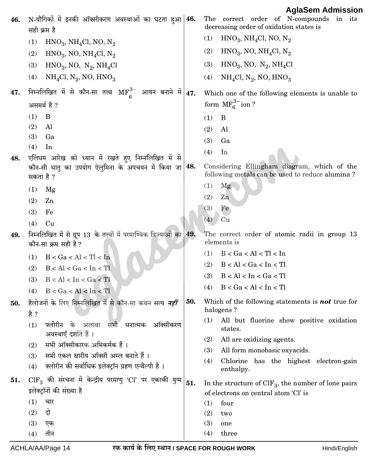| 46. | N-यौगिकों में इनकी ऑक्सीकरण अवस्थाओं का घटता हुआ 46.<br>सही क्रम है                                          |     | 1.91999111111<br>The correct order of N-compounds in its<br>decreasing order of oxidation states is |
|-----|--------------------------------------------------------------------------------------------------------------|-----|-----------------------------------------------------------------------------------------------------|
|     | $HNO3$ , NH <sub>4</sub> Cl, NO, N <sub>2</sub><br>(1)                                                       |     | $HNO3$ , NH <sub>4</sub> Cl, NO, N <sub>2</sub><br>(1)                                              |
|     | (2)<br>$HNO3$ , NO, NH <sub>4</sub> Cl, N <sub>2</sub>                                                       |     | (2)<br>$HNO3$ , NO, NH <sub>4</sub> Cl, N <sub>2</sub>                                              |
|     | $HNO3$ , NO, N <sub>2</sub> , NH <sub>4</sub> Cl<br>(3)                                                      |     | $HNO3$ , NO, N <sub>2</sub> , NH <sub>4</sub> Cl<br>(3)                                             |
|     | (4)<br>$NH4Cl, N2, NO, HNO3$                                                                                 |     | (4)<br>$NH4Cl, N2, NO, HNO3$                                                                        |
| 47. | निम्नलिखित में से कौन-सा तत्त्व $\text{MF}_c^{3-}$ आयन बनाने में $\vert$ 47.                                 |     | Which one of the following elements is unable to                                                    |
|     | असमर्थ है ?                                                                                                  |     | form $\text{MF}_6^{3-}$ ion ?                                                                       |
|     | (1)<br>B                                                                                                     |     | (1)<br>B                                                                                            |
|     | (2)<br>Al                                                                                                    |     | (2)<br>Al                                                                                           |
|     | (3)<br>Ga                                                                                                    |     | (3)<br>Ga                                                                                           |
|     | (4)<br>In                                                                                                    |     | (4)<br>In                                                                                           |
| 48. | एलिंघम आरेख को ध्यान में रखते हुए निम्नलिखित में से<br>कौन-सी धातु का उपयोग ऐलुमिना के अपचयन में किया जा 48. |     | Considering Ellingham diagram, which of the                                                         |
|     | सकता है ?                                                                                                    |     | following metals can be used to reduce alumina?                                                     |
|     | (1)<br>Mg                                                                                                    |     | (1)<br>Mg                                                                                           |
|     | (2)<br>Zn                                                                                                    |     | (2)<br>Zn                                                                                           |
|     | (3)<br>Fe                                                                                                    |     | Fe<br>(3)                                                                                           |
|     | (4)<br>Cu                                                                                                    |     | (4)<br>Cu                                                                                           |
| 49. | निम्नलिखित में से ग्रूप 13 के तत्त्वों में परमाण्विक त्रिज्याओं का 49.<br>कौन-सा क्रम सही है ?               |     | The correct order of atomic radii in group 13<br>elements is                                        |
|     | B < Ga < Al < TI < In<br>(1)                                                                                 |     | B < Ga < Al < TI < In<br>(1)                                                                        |
|     | B < Al < Ga < In < TI<br>(2)                                                                                 |     | (2)<br>B < Al < Ga < In < TI                                                                        |
|     | B < Al < In < Ga < TI<br>(3)                                                                                 |     | B < Al < In < Ga < TI<br>(3)                                                                        |
|     | B < Ga < Al < In < TI<br>(4)                                                                                 |     | B < Ga < Al < In < TI<br>(4)                                                                        |
| 50. | हैलोजनों के लिए निम्नलिखित में से कौन-सा कथन सत्य <i>नहीं</i><br>है ?                                        | 50. | Which of the following statements is <b>not</b> true for<br>halogens?                               |
|     | फ्लोरीन के अलावा सभी धनात्मक<br>ऑक्सीकरण<br>(1)<br>अवस्थाएँ दर्शाते हैं ।                                    |     | All but fluorine show positive oxidation<br>(1)<br>states.                                          |
|     | सभी ऑक्सीकारक अभिकर्मक हैं ।<br>(2)                                                                          |     | (2)<br>All are oxidizing agents.                                                                    |
|     | सभी एकल क्षारीय ऑक्सी अम्ल बनाते हैं।<br>(3)                                                                 |     | All form monobasic oxyacids.<br>(3)                                                                 |
|     | क्लोरीन की सर्वाधिक इलेक्ट्रॉन ग्रहण एन्थैल्पी है।<br>(4)                                                    |     | (4)<br>Chlorine has the highest electron-gain<br>enthalpy.                                          |
| 51. | $\text{CIF}_3$ की संरचना में केन्द्रीय परमाणु 'Cl' पर एकाकी युग्म                                            | 51. | In the structure of $CIF_3$ , the number of lone pairs                                              |
|     | इलेक्ट्रॉनों की संख्या है                                                                                    |     | of electrons on central atom 'Cl' is                                                                |
|     | (1)<br>चार                                                                                                   |     | (1)<br>four                                                                                         |
|     | दो<br>(2)                                                                                                    |     | (2)<br>two                                                                                          |
|     | (3)<br>एक                                                                                                    |     | (3)<br>one                                                                                          |
|     | तीन<br>(4)                                                                                                   |     | (4)<br>three                                                                                        |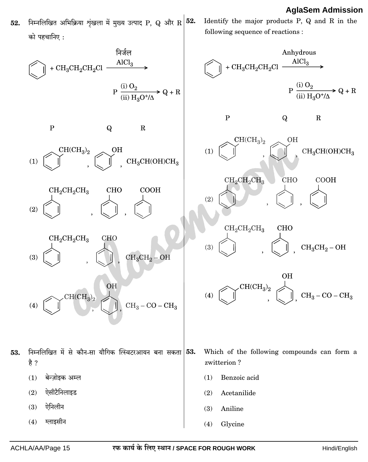निम्नलिखित अभिक्रिया शृंखला में मुख्य उत्पाद P, Q और R 52. Identify the major products P, Q and R in the 52.  $\pi$ ) ਸਟਜ਼ਾਸਿਾ $\cdot$ 

following sequence of reactions :

ग्लाइसीन  $(4)$ 

53.

Glycine

 $(4)$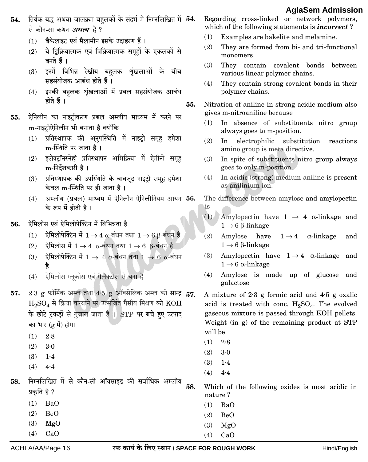- तिर्यक बद्ध अथवा जालक्रम बहलकों के संदर्भ में निम्नलिखित में  $|\mathbf{54.}$ 54. से कौन-सा कथन *असत्य* है ?
	- बैकेलाइट एवं मैलामीन इसके उदाहरण हैं।  $(1)$
	- ये दिक्रियात्मक एवं त्रिक्रियात्मक समृहों के एकलकों से  $(2)$ बनते हैं।
	- इनमें विभिन्न रेखीय बहलक श्रृंखलाओं के बीच  $(3)$ सहसंयोजक आबंध होते हैं।
	- (4) इनकी बहलक शृंखलाओं में प्रबल सहसंयोजक आबंध होते हैं ।
- .<br>ऐनिलीन का नाइट्रीकरण प्रबल अम्लीय माध्यम में करने पर 55. m-नाइटोऐनिलीन भी बनाता है क्योंकि
	- प्रतिस्थापक की अनुपस्थिति में नाइट्रो समूह हमेशा  $(1)$ m-स्थिति पर जाता है।
	- इलेक्टॉनस्नेही प्रतिस्थापन अभिक्रिया में ऐमीनो समूह  $(2)$ m-निर्देशकारी है।
	- (3) प्रतिस्थापक की उपस्थिति के बावजूद नाइट्रो समूह हमेशा केवल m-स्थिति पर ही जाता है।
	- अम्लीय (प्रबल) माध्यम में ऐनिलीन ऐनिलीनियम आयन 56.  $(4)$ के रूप में होती है।
- ऐमिलोस एवं ऐमिलोपेक्टिन में विभिन्नता है 56.
	- ऐमिलोपेक्टिन में  $1 \rightarrow 4$   $\alpha$ -बंधन तथा  $1 \rightarrow 6$   $\beta$ -बंधन है  $(1)$
	- ऐमिलोस में  $1 \rightarrow 4$   $\alpha$ -बंधन तथा  $1 \rightarrow 6$   $\beta$ -बंधन है  $(2)$
	- ऐमिलोपेक्टिन में  $1 \rightarrow 4$   $\alpha$ -बंधन तथा  $1 \rightarrow 6$   $\alpha$ -बंधन  $(3)$
	- ऐमिलोस ग्लूकोस एवं गैलैक्टोस से बना है  $(4)$
- 2.3 g फॉर्मिक अम्ल तथा 4.5 g ऑक्सेलिक अम्ल को सान्द्र | 57. 57.  $\mathrm{H_{2}SO_{4}}$  से क्रिया करवाने पर उत्सर्जित गैसीय मिश्रण को  $\mathrm{KOH}$ के छोटे टकड़ों से गुज़ारा जाता है । STP पर बचे हए उत्पाद का भार (g में) होगा
	- $(1)$  $2.8$
	- $(2)$  $3.0$
	- $(3)$  $1.4$
	- $(4)$  $4·4$
- निम्नलिखित में से कौन-सी ऑक्साइड की सर्वाधिक अम्लीय 58. प्रकृति है ?
	- $(1)$  $BaO$  $(2)$ **BeO**  $(3)$  $MgO$ 
		- $(4)$  $CaO$
- ACHLA/AA/Page 16

Regarding cross-linked or network polymers, which of the following statements is *incorrect*?

- $(1)$ Examples are bakelite and melamine.
- $(2)$ They are formed from bi- and tri-functional monomers.
- $(3)$ They contain covalent bonds between various linear polymer chains.
- $(4)$ They contain strong covalent bonds in their polymer chains.
- 55. Nitration of aniline in strong acidic medium also gives m-nitroaniline because
	- In absence of substituents nitro group  $(1)$ always goes to m-position.
	- $(2)$ In electrophilic substitution reactions amino group is meta directive.
	- $(3)$ In spite of substituents nitro group always goes to only m-position.
	- $(4)$ In acidic (strong) medium aniline is present as anilinium ion.
	- The difference between amylose and amylopectin is
		- (1) Amylopectin have  $1 \rightarrow 4$   $\alpha$ -linkage and  $1 \rightarrow 6$   $\beta$ -linkage
		- $(2)$ Amylose have  $1 \rightarrow 4$  $\alpha$ -linkage  $and$  $1 \rightarrow 6$   $\beta$ -linkage
		- Amylopectin have  $1 \rightarrow 4$   $\alpha$ -linkage  $(3)$ and  $1 \rightarrow 6$   $\alpha$ -linkage
		- $(4)$ Amylose is made up of glucose and galactose
	- A mixture of  $2.3$  g formic acid and  $4.5$  g oxalic acid is treated with conc.  $H_2SO_4$ . The evolved gaseous mixture is passed through KOH pellets. Weight (in g) of the remaining product at STP will be
		- $(1)$  $2.8$
		- $(2)$  $3.0$
		- $(3)$  $1.4$
		- $(4)$  $4.4$

58. Which of the following oxides is most acidic in nature?

- $(1)$  $BaO$
- $(2)$ **BeO**
- $(3)$  $MgO$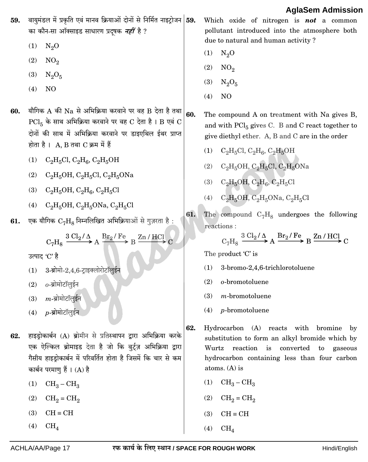|            |                                                                                                                                                                                                                                                                                                                                                                                                                                                                                       |            | <b>AglaSem Admission</b>                                                                                                                                                                                                                                                                                                                                                                                                |
|------------|---------------------------------------------------------------------------------------------------------------------------------------------------------------------------------------------------------------------------------------------------------------------------------------------------------------------------------------------------------------------------------------------------------------------------------------------------------------------------------------|------------|-------------------------------------------------------------------------------------------------------------------------------------------------------------------------------------------------------------------------------------------------------------------------------------------------------------------------------------------------------------------------------------------------------------------------|
| 59.        | वायुमंडल में प्रकृति एवं मानव क्रियाओं दोनों से निर्मित नाइट्रोजन 59.<br>का कौन-सा ऑक्साइड साधारण प्रदूषक <i>नहीं</i> है ?<br>(1)<br>$N_2O$                                                                                                                                                                                                                                                                                                                                           |            | Which oxide of nitrogen is <b>not</b> a common<br>pollutant introduced into the atmosphere both<br>due to natural and human activity?<br>$N_2O$<br>(1)                                                                                                                                                                                                                                                                  |
|            | (2)<br>NO <sub>2</sub><br>(3)<br>$N_2O_5$<br>(4)<br>N <sub>O</sub>                                                                                                                                                                                                                                                                                                                                                                                                                    |            | NO <sub>2</sub><br>(2)<br>(3)<br>$N_2O_5$<br>(4)<br>N <sub>O</sub>                                                                                                                                                                                                                                                                                                                                                      |
| 60.<br>61. | यौगिक A की Na से अभिक्रिया करवाने पर वह B देता है तथा<br>$\text{PCl}_5$ के साथ अभिक्रिया करवाने पर वह C देता है। B एवं C<br>दोनों की साथ में अभिक्रिया करवाने पर डाइएथिल ईथर प्राप्त<br>होता है। $A, B$ तथा $C$ क्रम में हैं<br>(1)<br>$C_2H_5Cl$ , $C_2H_6$ , $C_2H_5OH$<br>(2)<br>$C_2H_5OH$ , $C_2H_5Cl$ , $C_2H_5ONa$<br>$C_2H_5OH$ , $C_2H_6$ , $C_2H_5Cl$<br>(3)<br>$C_2H_5OH$ , $C_2H_5ONa$ , $C_2H_5Cl$<br>(4)<br>एक यौगिक $\rm C_7H_8$ निम्नलिखित अभिक्रियाओं से गुज़रता है: | 60.<br>61. | The compound A on treatment with Na gives B,<br>and with $\text{PCl}_5$ gives C. B and C react together to<br>give diethyl ether. A, B and C are in the order<br>(1)<br>$C_2H_5Cl$ , $C_2H_6$ , $C_2H_5OH$<br>$C_2H_5OH$ , $C_2H_5Cl$ , $C_2H_5ONa$<br>(2)<br>$C_2H_5OH$ , $C_2H_6$ , $C_2H_5Cl$<br>(3)<br>$C_2H_5OH$ , $C_2H_5ONa$ , $C_2H_5Cl$<br>(4)<br>The compound $C_7H_8$ undergoes the following<br>reactions : |
|            | $C_7H_8 \xrightarrow{3 \text{ } Cl_2/\Delta} A \xrightarrow{Br_2/Fe} B \xrightarrow{Zn/HCl} C$<br>उत्पाद <i>'C</i> ' है<br>3-ब्रोमो-2,4,6-ट्राइक्लोरोटॉलुईन<br>(1)<br>$o$ -ब्रोमोटॉलुईन<br>(2)<br>$m$ -ब्रोमोटॉलईन<br>(3)<br>$p$ -ब्रोमोटॉलईन<br>(4)                                                                                                                                                                                                                                  |            | $C_7H_8 \xrightarrow{3 \text{ } Cl_2/\Delta} A \xrightarrow{Br_2/Fe} B \xrightarrow{Zn/HCl} C$<br>The product $C$ is<br>(1)<br>3-bromo-2,4,6-trichlorotoluene<br>(2)<br>o-bromotoluene<br>(3)<br>$m$ -bromotoluene<br>$p$ -bromotoluene<br>(4)                                                                                                                                                                          |
| 62.        | हाइड़ोकार्बन (A) ब्रोमीन से प्रतिस्थापन द्वारा अभिक्रिया करके<br>एक ऐल्किल ब्रोमाइड देता है जो कि वुर्ट्ज़ अभिक्रिया द्वारा<br>गैसीय हाइड्रोकार्बन में परिवर्तित होता है जिसमें कि चार से कम<br>कार्बन परमाणु हैं । (A) है<br>$CH_3-CH_3$<br>(1)<br>(2)<br>$CH2 = CH2$<br>(3)<br>$CH \equiv CH$<br>(4)<br>$CH_4$                                                                                                                                                                      | 62.        | Hydrocarbon (A) reacts with bromine<br>by<br>substitution to form an alkyl bromide which by<br>Wurtz reaction is converted to gaseous<br>hydrocarbon containing less than four carbon<br>atoms. $(A)$ is<br>$CH_3-CH_3$<br>(1)<br>(2)<br>$CH_2 = CH_2$<br>(3)<br>$CH \equiv CH$<br>$CH_4$<br>(4)                                                                                                                        |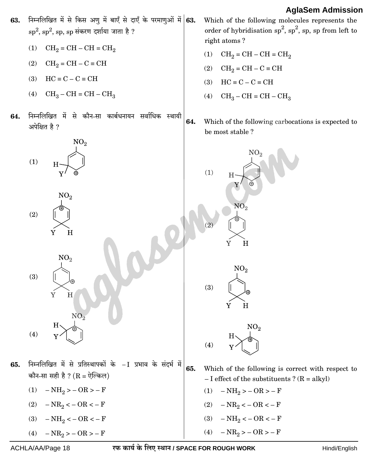

- (1)  $CH_2 = CH CH = CH_2$
- (2)  $CH_2 = CH C = CH$
- (3)  $HC \equiv C C \equiv CH$
- (4)  $CH_3-CH=CH-CH_3$
- 64. निम्नलिखित में से कौन-सा कार्बधनायन सर्वाधिक स्थायी अपेक्षित है ?



- (2)  $NR_2 < -$  OR < F
- (3)  $NH_2 < -OR < -F$
- (4)  $NR_2 > -$  OR  $> -$  F

**63.** Which of the following molecules represents the order of hybridisation  $sp^2$ ,  $sp^2$ , sp, sp from left to right atoms ?

- (1)  $CH_2 = CH CH = CH_2$
- (2)  $CH_2 = CH C = CH$
- (3)  $HC \equiv C C \equiv CH$
- (4)  $CH_3-CH=CH-CH_3$
- **64.** [Which of the following carbocations is ex](https://aglasem.com/)pected to be most stable ?

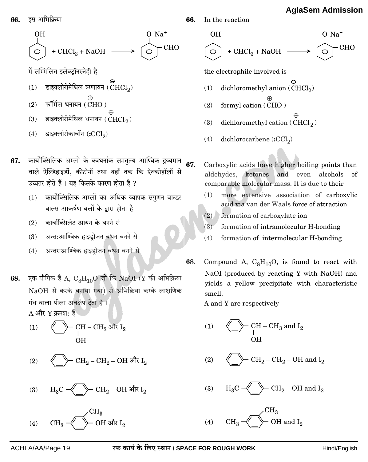+  $CHCl_3$  + NaOH –  $\circ$ में सम्मिलित इलेक्टॉनस्नेही है डाइक्लोरोमेथिल ऋणायन  $(\mathrm{CHCl}_2)$  $(1)$ फॉर्मिल धनायन  $(CHO)$  $(2)$  $(3)$ डाइक्लोरोमेथिल धनायन ( $CHCl<sub>2</sub>$ ) डाइक्लोरोकार्बीन  $\left(\text{cCl}_2\right)$  $(4)$ कार्बोक्सिलिक अम्लों के क्वथनांक समतुल्य आण्विक द्रव्यमान 67. वाले ऐल्डिहाइडों. कीटोनों तथा यहाँ तक कि ऐल्कोहॉलों से उच्चतर होते हैं । यह किसके कारण होता है ? (1) कार्बोक्सिलिक अम्लों का अधिक व्यापक संगणन वान्डर वाल्स आकर्षण बलों के द्वारा होता है कार्बोक्सिलेट आयन के बनने से  $(2)$ अन्त:आण्विक हाइडोजन बंधन बनने से  $(3)$ अन्तराआण्विक हाइडोजन बंधन बनने से  $(4)$ 68. एक यौगिक है A,  $\rm{C_8H_{10}O}$  जो कि NaOI (Y की अभिक्रिया NaOH से करके बनाया गया) से अभिक्रिया करके लाक्षणिक गंध वाला पीला अवक्षेप देता है ।  $A$  और Y क्रमश: हैं -  $\text{CH} - \text{CH}_3$  और  $\text{I}_2$  $(1)$ OH -  $\rm CH_2-CH_2-OH$  और  $\rm I_2$  $(2)$  $\succ$  CH $_2$ – OH और I $_2$  $(3)$ 

 $\succ$  OH और I $_2$ 

66. In the reaction  $O<sup>–</sup>Na<sup>+</sup>$ **OH**  $O^-Na^+$ +  $CHCl<sub>3</sub>$  + NaOH  $\qquad$ CHO **CHO**  $\bigcirc$ the electrophile involved is dichloromethyl anion (CHCl<sub>2</sub>)  $(1)$  $(2)$ formyl cation (CHO)  $(3)$ dichloromethyl cation ( $CHCl<sub>2</sub>$ )  $(4)$ dichlorocarbene (:CCl<sub>2</sub>) Carboxylic acids have higher boiling points than aldehydes, ketones and even alcohols of comparable molecular mass. It is due to their more extensive association of carboxylic  $(1)$ acid via van der Waals force of attraction (2) formation of carboxylate ion  $(3)$ formation of intramolecular H-bonding  $(4)$ formation of intermolecular H-bonding Compound A,  $C_8H_{10}O$ , is found to react with NaOI (produced by reacting Y with NaOH) and yields a yellow precipitate with characteristic smell. A and Y are respectively - CH – CH<sub>3</sub> and  $I_2$  $(1)$ -  $CH_2$  –  $CH_2$  – OH and  $I_2$  $(2)$  $\rightarrow$  CH<sub>2</sub> – OH and I<sub>2</sub>  $(3)$ 

> OH and  $I_2$  $(4)$

 $(4)$ 

इस अभिक्रिया

**OH** 

66.

67.

68.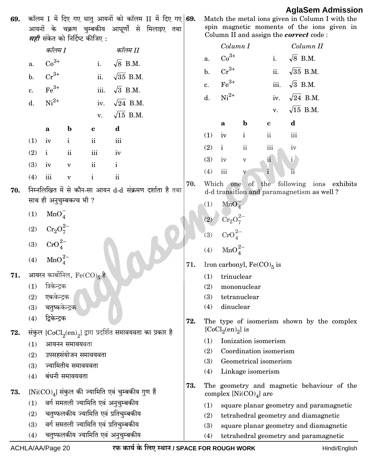कॉलम I में दिए गए धातु आयनों को कॉलम II में दिए गए 69. 69. आयनों के चक्रण चुम्बकीय आघूर्णों से मिलाइए तथा<br>*सही* संकेत को निर्दिष्ट कीजिए :

|                  | कॉलम I                   |                                      |                            | कॉलम II                                                                           |
|------------------|--------------------------|--------------------------------------|----------------------------|-----------------------------------------------------------------------------------|
| a.               | $Co3+$                   |                                      |                            | i. $\sqrt{8}$ B.M.                                                                |
|                  | b. $Cr^{3+}$             |                                      |                            | ii. $\sqrt{35}$ B.M.                                                              |
|                  | c. $\text{Fe}^{3+}$      |                                      |                            | iii. $\sqrt{3}$ B.M.                                                              |
|                  | d. $Ni^{2+}$             |                                      |                            | iv. $\sqrt{24}$ B.M.                                                              |
|                  |                          |                                      |                            | v. $\sqrt{15}$ B.M.                                                               |
|                  | $\mathbf{b}$<br>$\bf{a}$ |                                      | $\mathbf d$<br>$\mathbf c$ |                                                                                   |
|                  | $(1)$ iv i               |                                      | ii                         | iii                                                                               |
|                  | $(2)$ i ii               |                                      | iii iv                     |                                                                                   |
|                  | $(3)$ iv $v$             |                                      | $\overline{\mathbf{ii}}$   | $\mathbf{i}$                                                                      |
| $(4)$ iii        | $\mathbf v$              | $\mathbf{i}$                         |                            | $\ddot{\mathbf{u}}$                                                               |
|                  |                          | साथ ही अनुचुम्बकत्व भी ?             |                            | निम्नलिखित में से कौन-सा आयन d-d संक्रमण दर्शाता है तथा                           |
|                  | (1) $MnO_4^-$            |                                      |                            |                                                                                   |
|                  | (2) $Cr_2O_7^{2-}$       |                                      |                            |                                                                                   |
|                  | (3) $CrO_4^{2-}$         |                                      |                            |                                                                                   |
|                  | (4) $MnO_4^{2-}$         |                                      |                            |                                                                                   |
|                  |                          | आयरन कार्बोनिल, $\text{Fe(CO)}_5$ है |                            |                                                                                   |
|                  | (1) त्रिकेन्द्रक         |                                      |                            |                                                                                   |
|                  | (2) एककेन्द्रक           |                                      |                            |                                                                                   |
|                  | (3) चतुष्ककेन्द्रक       |                                      |                            |                                                                                   |
| (4) द्विकेन्द्रक |                          |                                      |                            |                                                                                   |
|                  |                          |                                      |                            | संकुल ${[\mathrm{CoCl}_2(\mathrm{en})}_2]$ द्वारा प्रदर्शित समावयवता का प्रकार है |
| (1)              |                          | आयनन समावयवता                        |                            |                                                                                   |
| (2)              |                          | उपसहसंयोजन समावयवता                  |                            |                                                                                   |
| (3)              |                          | ज्यामितीय समावयवता                   |                            |                                                                                   |
| (4)              |                          | बंधनी समावयवता                       |                            |                                                                                   |
|                  |                          |                                      |                            | $[Ni({\rm CO})_4]$ संकुल की ज्यामिति एवं चुम्बकीय गुण हैं                         |
| (1)              |                          |                                      |                            | वर्ग समतली ज्यामिति एवं अनुचुम्बकीय                                               |
| (2)              |                          |                                      |                            | चतुष्फलकीय ज्यामिति एवं प्रतिचुम्बकीय                                             |
| (3)              |                          |                                      |                            | वर्ग समतली ज्यामिति एवं प्रतिचुम्बकीय                                             |

चतुष्फलकीय ज्यामिति एवं अनुचुम्बकीय

| Match the metal ions given in Column I with the |                                            |  |  |  |  |  |  |
|-------------------------------------------------|--------------------------------------------|--|--|--|--|--|--|
|                                                 | spin magnetic moments of the ions given in |  |  |  |  |  |  |
| Column II and assign the <b>correct</b> code:   |                                            |  |  |  |  |  |  |

|    |     |                | Column I                |                              |                |                        | Column II                                                                             |  |
|----|-----|----------------|-------------------------|------------------------------|----------------|------------------------|---------------------------------------------------------------------------------------|--|
|    |     | a.             | $Co3+$                  |                              | i.             |                        | $\sqrt{8}$ B.M.                                                                       |  |
|    |     | $\mathbf{b}$ . | $Cr^{3+}$               |                              |                |                        | ii. $\sqrt{35}$ B.M.                                                                  |  |
|    |     | c.             | $\mathrm{Fe}^{3+}$      |                              |                |                        | iii. $\sqrt{3}$ B.M.                                                                  |  |
|    |     | d.             | $Ni2+$                  |                              |                |                        | iv. $\sqrt{24}$ B.M.                                                                  |  |
|    |     |                |                         |                              |                |                        | v. $\sqrt{15}$ B.M.                                                                   |  |
|    |     |                | a                       | $\mathbf b$                  | $\mathbf c$    | $\mathbf d$            |                                                                                       |  |
|    |     | (1)            | iv                      | i                            | $\rm ii$       | iii                    |                                                                                       |  |
|    |     | $(2)$ i        |                         | $\rm ii$                     | iii            | iv                     |                                                                                       |  |
|    |     | (3)            | iv                      | $\boldsymbol{\nabla}$        | $\ddot{\rm n}$ | $\mathbf{i}$           |                                                                                       |  |
|    |     | (4)            | $\overline{\text{iii}}$ | $\mathbf v$                  | $\mathbf i$    | $\overline{\text{ii}}$ |                                                                                       |  |
| था | 70. |                |                         |                              |                |                        | Which one of the following ions exhibits<br>d-d transition and paramagnetism as well? |  |
|    |     | (1)            | MnO <sub>4</sub>        |                              |                |                        |                                                                                       |  |
|    |     |                | (2) $Cr_2O_7^{2-}$      |                              |                |                        |                                                                                       |  |
|    |     |                | (3) $CrO_4^{2-}$        |                              |                |                        |                                                                                       |  |
|    |     |                | (4) $MnO_4^{2-}$        |                              |                |                        |                                                                                       |  |
|    | 71. |                |                         | Iron carbonyl, $Fe(CO)_5$ is |                |                        |                                                                                       |  |
|    |     |                | $(1)$ trinuclear        |                              |                |                        |                                                                                       |  |
|    |     |                | (2) mononuclear         |                              |                |                        |                                                                                       |  |
|    |     |                | (3) tetranuclear        |                              |                |                        |                                                                                       |  |
|    |     |                | (4) dinuclear           |                              |                |                        |                                                                                       |  |
|    | 72. |                | [ $CoCl2(en)2$ ] is     |                              |                |                        | The type of isomerism shown by the complex                                            |  |
|    |     |                |                         | (1) Ionization isomerism     |                |                        |                                                                                       |  |
|    |     | (2)            |                         | Coordination isomerism       |                |                        |                                                                                       |  |
|    |     | (3)            |                         | Geometrical isomerism        |                |                        |                                                                                       |  |
|    |     | (4)            |                         | Linkage isomerism            |                |                        |                                                                                       |  |
|    | 73. |                |                         | complex $[Ni(CO)4]$ are      |                |                        | The geometry and magnetic behaviour of the                                            |  |
|    |     | (1)            |                         |                              |                |                        | square planar geometry and paramagnetic                                               |  |
|    |     |                |                         |                              |                |                        |                                                                                       |  |

- tetrahedral geometry and diamagnetic  $(2)$
- square planar geometry and diamagnetic  $(3)$
- tetrahedral geometry and paramagnetic  $(4)$

 $(4)$ 

70.

71.

72.

73.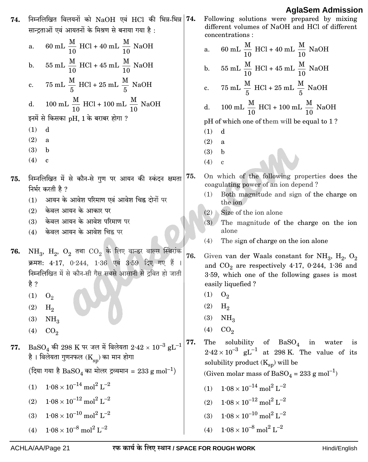| 74. | निम्नलिखित विलयनों को $NaOH$ एवं $HCl$ की भिन्न-भिन्न<br>सान्द्रताओं एवं आयतनों के मिश्रण से बनाया गया है :                                                                                                                        | 74. | Following solutions were prepared by mixing<br>different volumes of NaOH and HCl of different<br>concentrations:                                                                    |
|-----|------------------------------------------------------------------------------------------------------------------------------------------------------------------------------------------------------------------------------------|-----|-------------------------------------------------------------------------------------------------------------------------------------------------------------------------------------|
|     | 60 mL $\frac{M}{10}$ HCl + 40 mL $\frac{M}{10}$ NaOH<br>a.                                                                                                                                                                         |     | 60 mL $\frac{M}{10}$ HCl + 40 mL $\frac{M}{10}$ NaOH<br>a.                                                                                                                          |
|     | 55 mL $\frac{M}{10}$ HCl + 45 mL $\frac{M}{10}$ NaOH<br>b.                                                                                                                                                                         |     | 55 mL $\frac{M}{10}$ HCl + 45 mL $\frac{M}{10}$ NaOH<br>b.                                                                                                                          |
|     | 75 mL $\frac{M}{5}$ HCl + 25 mL $\frac{M}{5}$ NaOH<br>$\mathbf{c}$ .                                                                                                                                                               |     | 75 mL $\frac{M}{5}$ HCl + 25 mL $\frac{M}{5}$ NaOH<br>c.                                                                                                                            |
|     | 100 mL $\frac{M}{10}$ HCl + 100 mL $\frac{M}{10}$ NaOH<br>${\bf d}.$                                                                                                                                                               |     | 100 mL $\frac{M}{10}$ HCl + 100 mL $\frac{M}{10}$ NaOH<br>${\bf d}.$                                                                                                                |
|     | इनमें से किसका pH, 1 के बराबर होगा ?                                                                                                                                                                                               |     | pH of which one of them will be equal to 1?                                                                                                                                         |
|     | (1)<br>d                                                                                                                                                                                                                           |     | (1)<br>d                                                                                                                                                                            |
|     | (2)<br>a                                                                                                                                                                                                                           |     | (2)<br>a                                                                                                                                                                            |
|     | (3)<br>b<br>(4)                                                                                                                                                                                                                    |     | (3)<br>b                                                                                                                                                                            |
|     | $\mathbf c$                                                                                                                                                                                                                        |     | (4)<br>$\mathbf c$                                                                                                                                                                  |
| 75. | निम्नलिखित में से कौन-से गुण पर आयन की स्कंदन क्षमता<br>निर्भर करती है ?                                                                                                                                                           | 75. | On which of the following properties does the<br>coagulating power of an ion depend?                                                                                                |
|     | आयन के आवेश परिमाण एवं आवेश चिह्न दोनों पर<br>(1)                                                                                                                                                                                  |     | Both magnitude and sign of the charge on<br>(1)                                                                                                                                     |
|     | केवल आयन के आकार पर<br>(2)                                                                                                                                                                                                         |     | the ion<br>$(2)$ Size of the ion alone                                                                                                                                              |
|     | केवल आयन के आवेश परिमाण पर<br>(3)                                                                                                                                                                                                  |     | (3)<br>The magnitude of the charge on the ion                                                                                                                                       |
|     | केवल आयन के आवेश चिह्न पर<br>(4)                                                                                                                                                                                                   |     | alone                                                                                                                                                                               |
|     |                                                                                                                                                                                                                                    |     | The sign of charge on the ion alone<br>(4)                                                                                                                                          |
| 76. | $NH_3$ , $H_2$ , $O_2$ तथा $CO_2$ के लिए वान्डर वाल्स स्थिरांक<br>क्रमश: 4.17, 0.244, 1.36 एवं 3.59 दिए गए हैं<br>निम्नलिखित में से कौन-सी गैस सबसे आसानी से द्रवित हो जाती<br>है ?                                                | 76. | Given van der Waals constant for $NH_3$ , $H_2$ , $O_2$<br>and $CO_2$ are respectively 4.17, 0.244, 1.36 and<br>3.59, which one of the following gases is most<br>easily liquefied? |
|     | $O_2$<br>(1)                                                                                                                                                                                                                       |     | $O_2$<br>(1)                                                                                                                                                                        |
|     | (2)<br>$H_2$                                                                                                                                                                                                                       |     | (2)<br>$H_2$                                                                                                                                                                        |
|     | (3)<br>NH <sub>3</sub>                                                                                                                                                                                                             |     | NH <sub>3</sub><br>(3)                                                                                                                                                              |
|     | CO <sub>2</sub><br>(4)                                                                                                                                                                                                             |     | CO <sub>2</sub><br>(4)                                                                                                                                                              |
| 77. | $\text{BaSO}_4$ की 298 K पर जल में विलेयता 2.42 × $10^{-3}$ $\text{gL}^{-1}$ 77.<br>है। विलेयता गुणनफल ( $\mathrm{K}_{_{\mathbf{S}\mathbf{D}} }$ ) का मान होगा<br>(दिया गया है BaSO4 का मोलर द्रव्यमान = 233 g mol <sup>-1</sup> ) |     | solubility of $BaSO_4$ in water<br>The<br>is<br>$2.42 \times 10^{-3}$ gL <sup>-1</sup> at 298 K. The value of its<br>solubility product $(K_{sp})$ will be                          |
|     |                                                                                                                                                                                                                                    |     | (Given molar mass of BaSO <sub>4</sub> = 233 g mol <sup>-1</sup> )                                                                                                                  |
|     | $1{\cdot}08\times10^{-14}$ mol $^2$ $\mathrm{L}^{-2}$<br>(1)                                                                                                                                                                       |     | $1{\cdot}08\times{10}^{-14}$ mol $^2$ $\mathrm{L}^{-2}$<br>(1)                                                                                                                      |
|     | $1.08 \times 10^{-12}$ mol <sup>2</sup> L <sup>-2</sup><br>(2)                                                                                                                                                                     |     | $1{\cdot}08\times{10}^{-12}$ $\textrm{mol}^2$ $\textrm{L}^{-2}$<br>(2)                                                                                                              |
|     | $1{\cdot}08\times{10}^{-10}$ mol $^2$ L $^{-2}$<br>(3)                                                                                                                                                                             |     | $1{\cdot}08 \times 10^{-10} \; \text{mol}^2 \; \text{L}^{-2}$<br>(3)                                                                                                                |
|     | $1{\cdot}08\times{10}^{-8}$ mol $^2$ $\mathrm{L}^{-2}$<br>(4)                                                                                                                                                                      |     | $1.08\times10^{-8}$ mol <sup>2</sup> L <sup>-2</sup><br>(4)                                                                                                                         |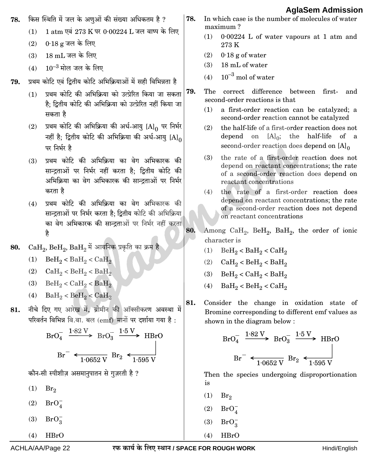किस स्थिति में जल के अणुओं की संख्या अधिकतम है ? In which case is the number of molecules of water 78. 78. maximum? 1 atm एवं 273 K पर 0.00224 L जल वाष्प के लिए  $(1)$  $(1)$ 0.00224 L of water vapours at 1 atm and  $0.18$  g जल के लिए  $(2)$ 273 K  $(3)$ 18 mL जल के लिए  $(2)$  0.18 g of water  $(3)$ 18 mL of water (4)  $10^{-3}$  मोल जल के लिए  $10^{-3}$  mol of water  $(4)$ प्रथम कोटि एवं दितीय कोटि अभिक्रियाओं में सही विभिन्नता है 79. प्रथम कोटि की अभिक्रिया को उत्प्रेरित किया जा सकता 79. The correct difference between firstand  $(1)$ second-order reactions is that है: दितीय कोटि की अभिक्रिया को उत्प्रेरित नहीं किया जा  $(1)$ a first-order reaction can be catalyzed; a सकता है second-order reaction cannot be catalyzed (2) प्रथम कोटि की अभिक्रिया की अर्ध-आयु  $[A]_0$  पर निर्भर the half-life of a first-order reaction does not  $(2)$ नहीं है: द्वितीय कोटि की अभिक्रिया की अर्ध-आयु  $[A]_0$ depend on  $[A]_0$ ; the half-life of a second-order reaction does depend on  $[A]_0$ पर निर्भर है the rate of a first-order reaction does not  $(3)$ प्रथम कोटि की अभिकिया का वेग अभिकारक की  $(3)$ depend on reactant concentrations; the rate सान्दताओं पर निर्भर नहीं करता है: दितीय कोटि की of a second-order reaction does depend on अभिक्रिया का वेग अभिकारक की सान्दताओं पर निर्भर reactant concentrations करता है  $(4)$ the rate of a first-order reaction does depend on reactant concentrations; the rate (4) प्रथम कोटि की अभिक्रिया का वेग अभिकारक की of a second-order reaction does not depend सान्द्रताओं पर निर्भर करता है: द्वितीय कोटि की अभिक्रिया on reactant concentrations का वेग अभिकारक की सान्द्रताओं पर निर्भर नहीं करता 80. Among CaH<sub>2</sub>, BeH<sub>2</sub>, BaH<sub>2</sub>, the order of ionic है character is  $CaH_2$ ,  $BeH_2$ ,  $BaH_2$  में आयनिक प्रकृति का क्रम है 80.  $(1)$  BeH<sub>2</sub> < BaH<sub>2</sub> < CaH<sub>2</sub> (1)  $\text{BeH}_2 < \text{BaH}_2 < \text{CaH}_2$ (2)  $CaH<sub>2</sub> < BeH<sub>2</sub> < BaH<sub>2</sub>$ (2)  $CaH<sub>2</sub> < BeH<sub>2</sub> < BaH<sub>2</sub>$ (3) BeH<sub>2</sub> < CaH<sub>2</sub> < BaH<sub>2</sub> (3) BeH<sub>2</sub> < CaH<sub>2</sub> < BaH<sub>2</sub>  $BaH<sub>2</sub> < BeH<sub>2</sub> < CaH<sub>2</sub>$  $(4)$ (4)  $BaH<sub>2</sub> < BeH<sub>2</sub> < CaH<sub>2</sub>$ Consider the change in oxidation state of 81. नीचे दिए गए आरेख में, ब्रोमीन की ऑक्सीकरण अवस्था में 81. Bromine corresponding to different emf values as परिवर्तन विभिन्न वि.वा. बल (emf) मानों पर दर्शाया गया है: shown in the diagram below:  $BrO<sub>4</sub><sup>-</sup>$   $\xrightarrow{1.82 \text{ V}}$   $BrO<sub>3</sub><sup>-</sup>$   $\xrightarrow{1.5 \text{ V}}$  HBrO  $BrO_4^ \xrightarrow{1.82 \text{ V}}$   $BrO_2^ \xrightarrow{1.5 \text{ V}}$  HBrO  $Br^{-}$   $\leftarrow$   $\frac{1.0652 \text{ V}}{1.0652 \text{ V}}$   $Br_2$   $\leftarrow$   $\frac{1.595 \text{ V}}{1.595 \text{ V}}$  $Br^{-}$   $\leftarrow$   $\frac{1.0652 \text{ V}}{1.0652 \text{ V}}$   $Br_2$   $\leftarrow$   $\frac{1.595 \text{ V}}{1.595 \text{ V}}$ कौन-सी स्पीशीज़ असमानुपातन से गुज़रती है ? Then the species undergoing disproportionation is  $(1)$  $Br_2$  $(1)$  $Br_2$  $(2)$  $BrO<sub>A</sub>^ (2)$  $BrO<sub>4</sub>$  $(3)$  $BrO_2^ (3)$  $BrO_2^ HBrO$  $(4)$  $HBrO$  $(4)$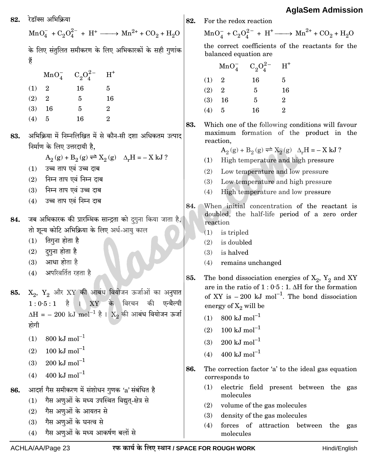रेडॉक्स अभिकिया 82.

à

 $MnO_4^- + C_2O_4^{2-} + H^+ \longrightarrow Mn^{2+} + CO_2 + H_2O$ के लिए संतुलित समीकरण के लिए अभिकारकों के सही गुणांक

|       | MnO <sub>4</sub>        | $C_2O_4^{2-}$ | $H^+$          |
|-------|-------------------------|---------------|----------------|
| (1)   | $\overline{\mathbf{2}}$ | 16            | 5              |
| (2)   | $\overline{2}$          | 5             | 16             |
| (3)   | -16                     | 5             | $\overline{2}$ |
| (4) 5 |                         | 16            | 2              |

- अभिक्रिया में निम्नलिखित में से कौन-सी दशा अधिकतम उत्पाद 83. निर्माण के लिए उत्तरदायी है.
	- $A_2(g) + B_2(g) \rightleftharpoons X_2(g)$   $\Delta_r H = -X kJ$ ?
	- $(1)$  उच्च ताप एवं उच्च दाब
	- $(2)$  निम्न ताप एवं निम्न दाब
	- $(3)$  निम्न ताप एवं उच्च दाब
	- (4) उच्च ताप एवं निम्न दाब
- जब अभिकारक की प्रारम्भिक सान्द्रता को दगुना किया जाता है, 84. तो शून्य कोटि अभिक्रिया के लिए अर्ध-आयू काल
	- $(1)$  तिगुना होता है
	- $(2)$  दुगुना होता है
	- $(3)$  आधा होता है
	- (4) अपरिवर्तित रहता है
- $X_2$ ,  $Y_2$  और  $XY$  की आबंध वियोजन ऊर्जाओं का अनुपात 85.  $1:0.5:1$  है। XY के विरचन की एन्थैल्पी  $\Delta H = -200 \text{ kJ mol}^{-1}$  है ।  $X_2$  की आबंध वियोजन ऊर्जा होगी
	- 800 kJ mol<sup>-1</sup>  $(1)$
	- $100 \text{ kJ} \text{ mol}^{-1}$  $(2)$
	- $200 \text{ kJ mol}^{-1}$  $(3)$
	- $400~\rm{kJ}~\rm{mol}^{-1}$  $(4)$
- आदर्श गैस समीकरण में संशोधन गुणक 'a' संबंधित है 86.
	- (1) गैस अणुओं के मध्य उपस्थित विद्युत-क्षेत्र से
	- गैस अणुओं के आयतन से  $(2)$
	- गैस अणुओं के घनत्व से  $(3)$
	- गैस अणुओं के मध्य आकर्षण बलों से  $(4)$

For the redox reaction

82.

 $\overline{ }$  $\overline{(\ }$ 

 $MnO_4^- + C_2O_4^{2-} + H^+ \longrightarrow Mn^{2+} + CO_2 + H_2O$ 

the correct coefficients of the reactants for the balanced equation are

|           | $MnO_4^-$      | $C_2O_4^{2-}$ | $H^+$          |
|-----------|----------------|---------------|----------------|
| 1)        | $\overline{2}$ | 16            | 5              |
| $\bf{2)}$ | $\overline{2}$ | 5             | 16             |
| 3)        | 16             | 5             | $\overline{2}$ |
| 4)        | 5              | 16            | 2              |

83. Which one of the following conditions will favour maximum formation of the product in the reaction.

 $A_2(g) + B_2(g) \rightleftharpoons X_2(g)$   $\Delta_r H = -X kJ$ ?

- (1) High temperature and high pressure
- (2) Low temperature and low pressure
- $(3)$ Low temperature and high pressure
- $(4)$ High temperature and low pressure
- 84. When initial concentration of the reactant is doubled, the half-life period of a zero order reaction
	- $(1)$ is tripled
	- $(2)$ is doubled
	- $(3)$ is halved
	- $(4)$ remains unchanged

85. The bond dissociation energies of  $X_2$ ,  $Y_2$  and XY are in the ratio of  $1:0.5:1$ . AH for the formation of XY is  $-200 \text{ kJ mol}^{-1}$ . The bond dissociation energy of  $X_2$  will be

- $800 \text{ kJ mol}^{-1}$  $(1)$
- $100 \text{ kJ mol}^{-1}$  $(2)$
- 200 kJ mol<sup>-1</sup>  $(3)$
- 400 kJ mol<sup>-1</sup>  $(4)$
- 86. The correction factor 'a' to the ideal gas equation corresponds to
	- electric field present between the gas  $(1)$ molecules
	- $(2)$  volume of the gas molecules
	- $(3)$ density of the gas molecules
	- $(4)$ forces of attraction between the gas molecules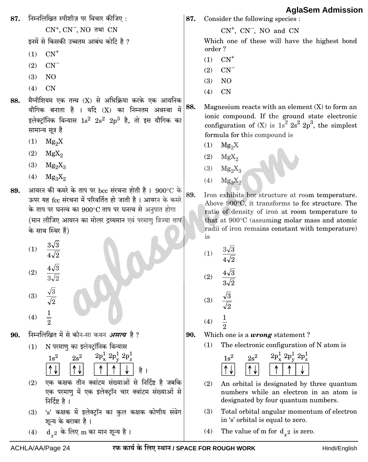निम्नलिखित स्पीशीज पर विचार कीजिए: 87. 87. Consider the following species :  $CN^+$ ,  $CN^-$ ,  $NO$  तथा  $CN$  $CN^+$ ,  $CN^-$ ,  $NO$  and  $CN$ इनमें से किसकी उच्चतम आबंध कोटि है ? Which one of these will have the highest bond order?  $CN^+$  $(1)$  $CN^+$  $(1)$  $CN^{-}$  $(2)$  $(2)$  $CN^{-}$  $(3)$  $NO$ N<sub>O</sub>  $(3)$  $CN$  $(4)$  $CN$  $(4)$ मैग्नीशियम एक तत्त्व (X) से अभिक्रिया करके एक आयनिक 88. 88. Magnesium reacts with an element  $(X)$  to form an यौगिक बनाता है । यदि (X) का निम्नतम अवस्था में ionic compound. If the ground state electronic इलेक्ट्रॉनिक विन्यास  $1s^2$   $2s^2$   $2p^3$  है, तो इस यौगिक का configuration of (X) is  $1s^2 2s^2 2p^3$ , the simplest सामान्य सूत्र है formula for this compound is  $(1)$  Mg<sub>2</sub>X  $(1)$  $Mg_2X$  $(2)$  MgX<sub>o</sub> MgX<sub>o</sub>  $(2)$  $(3)$  $Mg_0X_2$  $Mg_0X_2$  $(3)$  $(4)$  $Mg_3X_2$  $Mg_3X_2$  $(4)$ आयरन की कमरे के ताप पर bcc संरचना होती है। 900°C के 89. 89. Iron exhibits bcc structure at room temperature. ऊपर यह fcc संरचना में परिवर्तित हो जाती है। आयरन के कमरे Above 900°C, it transforms to fcc structure. The के ताप पर घनत्व का 900°C ताप पर घनत्व से अनुपात होगा ratio of density of iron at room temperature to (मान लीजिए आयरन का मोलर द्रव्यमान एवं परमाणु त्रिज्या ताप that at 900°C (assuming molar mass and atomic radii of iron remains constant with temperature) के साथ स्थिर हैं) is (1)  $\frac{3\sqrt{3}}{4\sqrt{2}}$ (1)  $\frac{3\sqrt{3}}{4\sqrt{2}}$  $\frac{4\sqrt{3}}{3\sqrt{2}}$ (2)  $\frac{4\sqrt{3}}{3\sqrt{2}}$  $(2)$ 

 $\frac{\sqrt{3}}{\sqrt{2}}$  $(3)$ 

- $(4)$
- निम्नलिखित में से कौन-सा कथन *असत्य* है ? 90.
	- N परमाणू का इलेक्ट्रॉनिक विन्यास  $(1)$



- $(2)$  एक कक्षक तीन क्वांटम संख्याओं से निर्दिष्ट है जबकि एक परमाण में एक इलेक्ट्रॉन चार क्वांटम संख्याओं से निर्दिष्ट है ।
- (3) 's' कक्षक में इलेक्ट्रॉन का कुल कक्षक कोणीय संवेग शून्य के बराबर है।
- $d_{z^2}$  के लिए m का मान शून्य है।  $(4)$

Which one is a *wrong* statement? The electronic configuration of N atom is  $(1)$ 

 $\frac{\sqrt{3}}{\sqrt{2}}$ 

 $\frac{1}{2}$ 

 $(3)$ 

 $(4)$ 

90.



- $(2)$ An orbital is designated by three quantum numbers while an electron in an atom is designated by four quantum numbers.
- $(3)$ Total orbital angular momentum of electron in 's' orbital is equal to zero.
- $(4)$ The value of m for  $d_{z}$  is zero.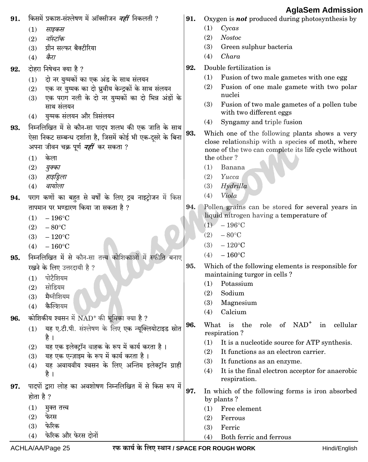| 91. | किसमें प्रकाश-संश्लेषण में ऑक्सीजन <i>नहीं</i> निकलती ?            | 91. | Ayıuvviii Auillioolul<br>Oxygen is <b>not</b> produced during photosynthesis by                    |
|-----|--------------------------------------------------------------------|-----|----------------------------------------------------------------------------------------------------|
|     | (1)<br>साइकस                                                       |     | (1)<br>Cycas                                                                                       |
|     | नॉस्टॉक<br>(2)                                                     |     | (2)<br><b>Nostoc</b>                                                                               |
|     | ग्रीन सल्फर बैक्टीरिया<br>(3)                                      |     | (3)<br>Green sulphur bacteria                                                                      |
|     | कैरा<br>(4)                                                        |     | Chara<br>(4)                                                                                       |
| 92. | दोहरा निषेचन क्या है ?                                             | 92. | Double fertilization is                                                                            |
|     | दो नर युग्मकों का एक अंड के साथ संलयन<br>(1)                       |     | Fusion of two male gametes with one egg<br>(1)                                                     |
|     | एक नर युग्मक का दो ध्रुवीय केन्द्रकों के साथ संलयन<br>(2)          |     | Fusion of one male gamete with two polar<br>(2)                                                    |
|     | एक पराग नली के दो नर युग्मकों का दो भिन्न अंडों के<br>(3)          |     | nuclei                                                                                             |
|     | साथ संलयन                                                          |     | (3)<br>Fusion of two male gametes of a pollen tube<br>with two different eggs                      |
|     | युग्मक संलयन और त्रिसंलयन<br>(4)                                   |     | Syngamy and triple fusion<br>(4)                                                                   |
| 93. | निम्नलिखित में से कौन-सा पादप शलभ की एक जाति के साथ                | 93. |                                                                                                    |
|     | ऐसा निकट सम्बन्ध दर्शाता है, जिसमें कोई भी एक-दूसरे के बिना        |     | Which one of the following plants shows a very<br>close relationship with a species of moth, where |
|     | अपना जीवन चक्र पूर्ण <i>नहीं</i> कर सकता ?                         |     | none of the two can complete its life cycle without                                                |
|     | केला<br>(1)                                                        |     | the other?                                                                                         |
|     | (2)<br>युक्का                                                      |     | Banana<br>(1)                                                                                      |
|     | हाइड्रिला<br>(3)                                                   |     | (2)<br>Yucca                                                                                       |
|     | वायोला<br>(4)                                                      |     | Hydrilla<br>(3)                                                                                    |
| 94. | पराग कणों का बहुत से वर्षों के लिए द्रव नाइट्रोजन में किस          |     | Viola<br>(4)                                                                                       |
|     | तापमान पर भण्डारण किया जा सकता है ?                                | 94. | Pollen grains can be stored for several years in                                                   |
|     | (1)<br>$-196$ °C                                                   |     | liquid nitrogen having a temperature of<br>$(1)$ - 196°C                                           |
|     | (2)<br>$-80^{\circ}$ C                                             |     | $-80^{\circ}$ C<br>(2)                                                                             |
|     | $-120^{\circ}$ C<br>(3)                                            |     | $-120^{\circ}$ C<br>(3)                                                                            |
|     | $-160^{\circ}$ C<br>(4)                                            |     | $-160^{\circ}$ C<br>(4)                                                                            |
| 95. | निम्नलिखित में से कौन-सा तत्त्व कोशिकाओं में स्फीति बनाए           |     |                                                                                                    |
|     | रखने के लिए उत्तरदायी है ?                                         | 95. | Which of the following elements is responsible for<br>maintaining turgor in cells?                 |
|     | पोटैशियम<br>(1)                                                    |     | Potassium<br>(1)                                                                                   |
|     | सोडियम<br>(2)<br>मैग्नीशियम                                        |     | Sodium<br>(2)                                                                                      |
|     | (3)<br>कैल्शियम<br>(4)                                             |     | (3)<br>Magnesium                                                                                   |
|     |                                                                    |     | Calcium<br>(4)                                                                                     |
| 96. | कोशिकीय श्वसन में $NAD+$ की भूमिका क्या है ?                       | 96. | is the role of NAD <sup>+</sup><br>in cellular<br>What                                             |
|     | यह ए.टी.पी. संश्लेषण के लिए एक न्यूक्लियोटाइड स्रोत<br>(1)<br>है । |     | respiration?                                                                                       |
|     | यह एक इलेक्ट्रॉन वाहक के रूप में कार्य करता है।<br>(2)             |     | (1)<br>It is a nucleotide source for ATP synthesis.                                                |
|     | यह एक एन्ज़ाइम के रूप में कार्य करता है।<br>(3)                    |     | It functions as an electron carrier.<br>(2)                                                        |
|     | यह अवायवीय श्वसन के लिए अन्तिम इलेक्ट्रॉन ग्राही<br>(4)            |     | (3)<br>It functions as an enzyme.                                                                  |
|     | है ।                                                               |     | It is the final electron acceptor for anaerobic<br>(4)                                             |
| 97. | पादपों द्वारा लोह का अवशोषण निम्नलिखित में से किस रूप में          |     | respiration.                                                                                       |
|     | होता है ?                                                          | 97. | In which of the following forms is iron absorbed                                                   |
|     | (1)<br>मुक्त तत्त्व                                                |     | by plants?<br>Free element<br>(1)                                                                  |
|     | फेरस<br>(2)                                                        |     | (2)<br>Ferrous                                                                                     |
|     | फेरिक<br>(3)                                                       |     | Ferric<br>(3)                                                                                      |
|     | फेरिक और फेरस दोनों<br>(4)                                         |     | Both ferric and ferrous<br>(4)                                                                     |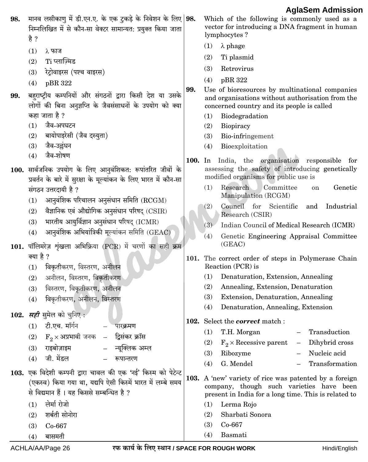|      |                                                                                                                                                                    |         | Ayıaocın Aunnəsio                                                                                                                                          |
|------|--------------------------------------------------------------------------------------------------------------------------------------------------------------------|---------|------------------------------------------------------------------------------------------------------------------------------------------------------------|
| 98.  | मानव लसीकाणु में डी.एन.ए. के एक टुकड़े के निवेशन के लिए   98.<br>निम्नलिखित में से कौन-सा वेक्टर सामान्यत: प्रयुक्त किया जाता<br>है ?                              |         | Which of the following is commonly used as a<br>vector for introducing a DNA fragment in human<br>lymphocytes?                                             |
|      |                                                                                                                                                                    |         | (1)<br>$\lambda$ phage                                                                                                                                     |
|      | (1)<br>λ फाज<br>Ti प्लाज़्मिड<br>(2)                                                                                                                               |         | Ti plasmid<br>(2)                                                                                                                                          |
|      | रेट्रोवाइरस (पश्च वाइरस)                                                                                                                                           |         | (3)<br>Retrovirus                                                                                                                                          |
|      | (3)                                                                                                                                                                |         | pBR 322<br>(4)                                                                                                                                             |
|      | pBR 322<br>(4)                                                                                                                                                     | 99.     | Use of bioresources by multinational companies                                                                                                             |
| 99.  | बहराष्ट्रीय कम्पनियों और संगठनों द्वारा किसी देश या उसके                                                                                                           |         | and organisations without authorisation from the                                                                                                           |
|      | लोगों की बिना अनुज्ञप्ति के जैवसंसाधनों के उपयोग को क्या<br>कहा जाता है ?                                                                                          |         | concerned country and its people is called                                                                                                                 |
|      | जैव-अपघटन<br>(1)                                                                                                                                                   |         | (1)<br>Biodegradation                                                                                                                                      |
|      | बायोपाइरेसी (जैव दस्युता)<br>(2)                                                                                                                                   |         | (2)<br>Biopiracy<br>(3)<br>Bio-infringement                                                                                                                |
|      | जैव-उल्लंघन<br>(3)                                                                                                                                                 |         | Bioexploitation<br>(4)                                                                                                                                     |
|      | जैव-शोषण<br>(4)                                                                                                                                                    |         |                                                                                                                                                            |
|      | 100. सार्वजनिक उपयोग के लिए आनुवंशिकत: रूपांतरित जीवों के<br>प्रवर्तन के बारे में सुरक्षा के मूल्यांकन के लिए भारत में कौन-सा                                      | 100. In | India, the organisation responsible for<br>assessing the safety of introducing genetically<br>modified organisms for public use is                         |
|      | संगठन उत्तरदायी है ?                                                                                                                                               |         | Research<br>Genetic<br>(1)<br>Committee<br>on<br>Manipulation (RCGM)                                                                                       |
|      | आनुवंशिक परिचालन अनुसंधान समिति ( $\operatorname{RCGM}$ )<br>(1)                                                                                                   |         | (2)<br>Council for<br>Scientific<br>Industrial<br>and                                                                                                      |
|      | वैज्ञानिक एवं औद्योगिक अनुसंधान परिषद् $\left(\text{CSIR}\right)$<br>(2)                                                                                           |         | Research (CSIR)                                                                                                                                            |
|      | भारतीय आयुर्विज्ञान अनुसंधान परिषद् (ICMR)<br>(3)                                                                                                                  |         | (3)<br>Indian Council of Medical Research (ICMR)                                                                                                           |
|      | आनुवंशिक अभियांत्रिकी मूल्यांकन समिति (GEAC)<br>(4)                                                                                                                |         | Genetic Engineering Appraisal Committee<br>(4)                                                                                                             |
|      | 101. पॉलिमरेज़ शृंखला अभिक्रिया (PCR) में चरणों का सही क्रम                                                                                                        |         | (GEAC)                                                                                                                                                     |
|      | क्या है ?                                                                                                                                                          |         | 101. The correct order of steps in Polymerase Chain                                                                                                        |
|      | विकृतीकरण, विस्तरण, अनीलन<br>(1)                                                                                                                                   |         | Reaction (PCR) is                                                                                                                                          |
|      | अनीलन, विस्तरण, विकृतीकरण<br>(2)                                                                                                                                   |         | Denaturation, Extension, Annealing<br>(1)                                                                                                                  |
|      | विस्तरण, विकृतीकरण, अनीलन<br>(3)                                                                                                                                   |         | (2)<br>Annealing, Extension, Denaturation                                                                                                                  |
|      | विकृतीकरण, अनीलन, विस्तरण<br>(4)                                                                                                                                   |         | (3)<br>Extension, Denaturation, Annealing                                                                                                                  |
|      | 102. <i>सही</i> सुमेल को चुनिए :                                                                                                                                   |         | Denaturation, Annealing, Extension<br>(4)                                                                                                                  |
|      | टी.एच. मॉर्गन<br>(1)<br>पारक्रमण                                                                                                                                   |         | 102. Select the <i>correct</i> match :                                                                                                                     |
|      | – द्विसंकर क्रॉस<br>$\mathrm{F}_2 \times$ अप्रभावी जनक<br>(2)                                                                                                      |         | Transduction<br>(1)<br>T.H. Morgan                                                                                                                         |
|      | राइबोज़ाइम<br>न्यूक्लिक अम्ल                                                                                                                                       |         | Dihybrid cross<br>$F_2 \times$ Recessive parent<br>(2)                                                                                                     |
|      | (3)<br>जी. मेंडल                                                                                                                                                   |         | Nucleic acid<br>(3)<br>Ribozyme                                                                                                                            |
|      | रूपान्तरण<br>(4)                                                                                                                                                   |         | G. Mendel<br>(4)<br>Transformation                                                                                                                         |
| 103. | एक विदेशी कम्पनी द्वारा चावल की एक 'नई' किस्म को पेटेन्ट<br>(एकस्व) किया गया था, यद्यपि ऐसी किस्में भारत में लम्बे समय<br>से विद्यमान हैं। यह किससे सम्बन्धित है ? |         | 103. A 'new' variety of rice was patented by a foreign<br>company, though such varieties have been<br>present in India for a long time. This is related to |
|      | लेर्मा रोजो<br>(1)                                                                                                                                                 |         | Lerma Rojo<br>(1)                                                                                                                                          |
|      | शर्बती सोनोरा<br>(2)                                                                                                                                               |         | Sharbati Sonora<br>(2)                                                                                                                                     |
|      | Co-667<br>(3)                                                                                                                                                      |         | (3)<br>Co-667                                                                                                                                              |
|      | बासमती<br>(4)                                                                                                                                                      |         | Basmati<br>(4)                                                                                                                                             |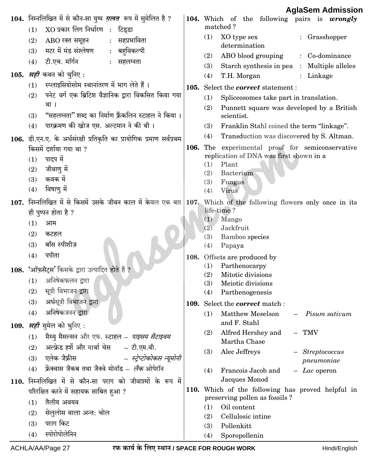|                                                                                                                  |      | Ağlabetti Aditiissiol                                               |
|------------------------------------------------------------------------------------------------------------------|------|---------------------------------------------------------------------|
| 104.  निम्नलिखित में से कौन-सा युग्म <i>ग़लत</i> रूप में सुमेलित है ?<br>XO प्रकार लिंग निर्धारण : टिड्डा<br>(1) |      | 104. Which of the following pairs is wrongly<br>matched?            |
| सहप्रभाविता<br>ABO रक्त समूहन<br>(2)                                                                             |      | (1)<br>XO type sex<br>: Grasshopper                                 |
| मटर में मंड संश्लेषण<br>बहविकल्पी<br>(3)<br>$\ddot{\cdot}$                                                       |      | determination                                                       |
| टी.एच. मॉर्गन<br>(4)<br>सहलग्नता                                                                                 |      | ABO blood grouping<br>(2)<br>: Co-dominance                         |
| 105. <i>सही</i> कथन को चुनिए :                                                                                   |      | (3)<br>Starch synthesis in pea<br>: Multiple alleles                |
| स्प्लाइसियोसोम स्थानांतरण में भाग लेते हैं।<br>(1)                                                               |      | (4)<br>T.H. Morgan<br>: Linkage                                     |
| पनेट वर्ग एक ब्रिटिश वैज्ञानिक द्वारा विकसित किया गया<br>(2)                                                     | 105. | Select the <i>correct</i> statement :                               |
| था ।                                                                                                             |      | (1)<br>Spliceosomes take part in translation.                       |
| "सहलग्नता" शब्द का निर्माण फ्रैंकलिन स्टाहल ने किया ।<br>(3)                                                     |      | (2)<br>Punnett square was developed by a British<br>scientist.      |
| पारक्रमण की खोज एस. अल्टमान ने की थी ।<br>(4)                                                                    |      | (3)<br>Franklin Stahl coined the term "linkage".                    |
| 106. डी.एन.ए. के अर्धसंरक्षी प्रतिकृति का प्रायोगिक प्रमाण सर्वप्रथम                                             |      | (4)<br>Transduction was discovered by S. Altman.                    |
| किसमें दर्शाया गया था ?                                                                                          |      | 106. The experimental proof for semiconservative                    |
| पादप में<br>(1)                                                                                                  |      | replication of DNA was first shown in a                             |
| जीवाणु में<br>(2)                                                                                                |      | Plant<br>(1)                                                        |
| कवक में<br>(3)                                                                                                   |      | (2)<br>Bacterium<br>(3)<br>Fungus                                   |
| विषाणु में<br>(4)                                                                                                |      | Virus<br>(4)                                                        |
| 107. निम्नलिखित में से किसमें उसके जीवन काल में केवल एक बार 107. Which of the following flowers only once in its |      |                                                                     |
| ही पुष्पन होता है ?                                                                                              |      | life-time?                                                          |
| (1)<br>आम                                                                                                        |      | Mango<br>(1)<br>(2)                                                 |
| (2)<br>कटहल                                                                                                      |      | Jackfruit<br>(3)<br>Bamboo species                                  |
| बाँस स्पीशीज़<br>(3)                                                                                             |      | (4)<br>Papaya                                                       |
| पपीता<br>(4)                                                                                                     |      | 108. Offsets are produced by                                        |
| 108. 'ऑफ़सैट्स' किसके द्वारा उत्पादित होते हैं ?                                                                 |      | (1)<br>Parthenocarpy                                                |
| अनिषेकफलन द्वारा<br>(1)                                                                                          |      | Mitotic divisions<br>(2)                                            |
| सूत्री विभाजन द्वारा<br>(2)                                                                                      |      | Meiotic divisions<br>(3)<br>(4)<br>Parthenogenesis                  |
| अर्धसूत्री विभाजन द्वारा<br>(3)                                                                                  |      | 109. Select the <i>correct</i> match :                              |
| अनिषेकजनन द्वारा<br>(4)                                                                                          |      | Matthew Meselson<br>Pisum sativum<br>(1)                            |
| 109. <i>सही</i> सुमेल को चुनिए :                                                                                 |      | and F. Stahl                                                        |
| मैथ्यु मैसल्सन और एफ. स्टाहल – <i>पाइसम सैटाइवम</i><br>(1)                                                       |      | Alfred Hershey and<br>(2)<br>$-$ TMV                                |
| अल्फ्रेड हर्शे और मार्था चेस<br>– टी.एम.वी.<br>(2)                                                               |      | Martha Chase                                                        |
| एलेक जैफ्रीस<br>– स्ट्रेप्टोकोकस न्यूमोनी<br>(3)                                                                 |      | Alec Jeffreys<br>(3)<br>$-$ Streptococcus                           |
| फ्रेंक्वास जैकब तथा जैक्वे मोनॉड – <i>लैक</i> ओपेरॉन<br>(4)                                                      |      | pneumoniae                                                          |
|                                                                                                                  |      | Francois Jacob and<br>(4)<br>$-$ <i>Lac</i> operon<br>Jacques Monod |
| 110. निम्नलिखित में से कौन-सा पराग को जीवाश्मों के रूप में                                                       |      | 110. Which of the following has proved helpful in                   |
| परिरक्षित करने में सहायक साबित हुआ ?<br>तैलीय अवयव                                                               |      | preserving pollen as fossils?                                       |
| (1)<br>सेलुलोस वाला अन्त: चोल                                                                                    |      | Oil content<br>(1)                                                  |
| (2)<br>पराग किट<br>(3)                                                                                           |      | Cellulosic intine<br>(2)                                            |
| स्पोरोपोलेनिन                                                                                                    |      | Pollenkitt<br>(3)                                                   |
| (4)                                                                                                              |      | Sporopollenin<br>(4)                                                |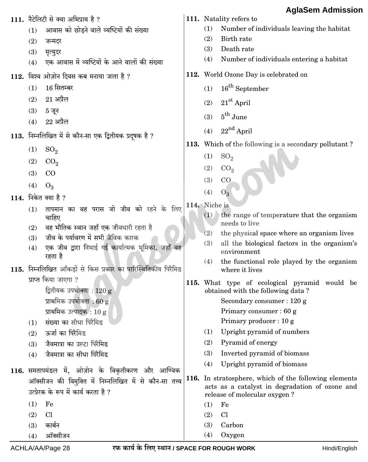|     | 111. नैटेलिटी से क्या अभिप्राय है ?                                                    |               |     | 111. Natality refers to                                                            |
|-----|----------------------------------------------------------------------------------------|---------------|-----|------------------------------------------------------------------------------------|
| (1) | आवास को छोड़ने वाले व्यष्टियों की संख्या                                               |               | (1) | Number of individuals leaving the habitat                                          |
| (2) | जन्मदर                                                                                 |               | (2) | Birth rate                                                                         |
| (3) | मृत्युदर                                                                               |               | (3) | Death rate                                                                         |
| (4) | एक आवास में व्यष्टियों के आने वालों की संख्या                                          |               | (4) | Number of individuals entering a habitat                                           |
|     | 112. विश्व ओज़ोन दिवस कब मनाया जाता है ?                                               |               |     | 112. World Ozone Day is celebrated on                                              |
| (1) | 16 सितम्बर                                                                             |               | (1) | $16th$ September                                                                   |
| (2) | $21$ अप्रैल                                                                            |               | (2) | $21st$ April                                                                       |
| (3) | 5 जून                                                                                  |               | (3) | $5^{\text{th}}$ June                                                               |
| (4) | $22$ अप्रैल                                                                            |               |     |                                                                                    |
|     | 113. निम्नलिखित में से कौन-सा एक द्वितीयक प्रदूषक है ?                                 |               | (4) | $22nd$ April                                                                       |
| (1) | SO <sub>2</sub>                                                                        |               |     | 113. Which of the following is a secondary pollutant?                              |
| (2) | CO <sub>2</sub>                                                                        |               | (1) | SO <sub>2</sub>                                                                    |
| (3) | CO                                                                                     |               | (2) | CO <sub>2</sub>                                                                    |
| (4) | $O_3$                                                                                  |               | (3) | CO                                                                                 |
|     | 114. निकेत क्या है ?                                                                   |               | (4) | $O_3$                                                                              |
| (1) | तापमान का वह परास जो जीव को रहने के लिए                                                | 114. Niche is |     |                                                                                    |
|     | चाहिए                                                                                  |               | (1) | the range of temperature that the organism                                         |
| (2) | वह भौतिक स्थान जहाँ एक जीवधारी रहता है                                                 |               | (2) | needs to live<br>the physical space where an organism lives                        |
| (3) | जीव के पर्यावरण में सभी जैविक कारक                                                     |               | (3) | all the biological factors in the organism's                                       |
| (4) | एक जीव द्वारा निभाई गई कार्यात्मक भूमिका, जहाँ वह<br>रहता है                           |               |     | environment                                                                        |
|     |                                                                                        |               | (4) | the functional role played by the organism                                         |
|     | 115. निम्नलिखित आँकड़ों से किस प्रकार का पारिस्थितिकीय पिरैमिड<br>प्राप्त किया जाएगा ? |               |     | where it lives                                                                     |
|     | द्वितीयक उपभोक्ता : 120 g                                                              |               |     | 115. What type of ecological pyramid would be<br>obtained with the following data? |
|     | प्राथमिक उपभोक्ता : 60 g                                                               |               |     | Secondary consumer: 120 g                                                          |
|     | प्राथमिक उत्पादक : 10 g                                                                |               |     | Primary consumer : 60 g                                                            |
| (1) | संख्या का सीधा पिरैमिड                                                                 |               |     | Primary producer : 10 g                                                            |
| (2) | ऊर्जा का पिरैमिड                                                                       |               | (1) | Upright pyramid of numbers                                                         |
| (3) | जैवमात्रा का उल्टा पिरैमिड                                                             |               | (2) | Pyramid of energy                                                                  |
| (4) | जैवमात्रा का सीधा पिरैमिड                                                              |               | (3) | Inverted pyramid of biomass                                                        |
|     | 116. समतापमंडल में, ओज़ोन के विकृतीकरण और आण्विक                                       |               | (4) | Upright pyramid of biomass                                                         |
|     | ऑक्सीजन की विमुक्ति में निम्नलिखित में से कौन-सा तत्त्व                                |               |     | 116. In stratosphere, which of the following elements                              |
|     | उत्प्रेरक के रूप में कार्य करता है ?                                                   |               |     | acts as a catalyst in degradation of ozone and<br>release of molecular oxygen?     |
| (1) | Fe                                                                                     |               | (1) | Fe                                                                                 |
| (2) | Cl                                                                                     |               | (2) | Cl                                                                                 |
| (3) | कार्बन                                                                                 |               | (3) | Carbon                                                                             |
| (4) | ऑक्सीजन                                                                                |               | (4) | Oxygen                                                                             |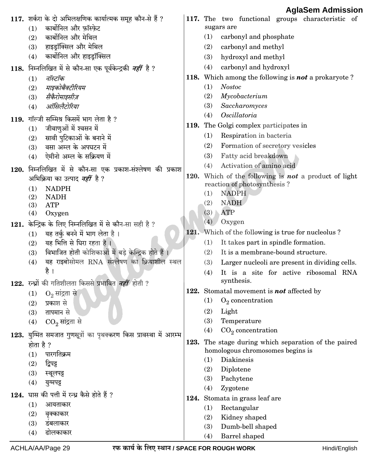|      |                                                                   |      | Ayıadelli Aulilissiul                                      |
|------|-------------------------------------------------------------------|------|------------------------------------------------------------|
|      | 117. शर्करा के दो अभिलक्षणिक कार्यात्मक समूह कौन-से हैं ?         |      | 117. The two functional groups characteristic of           |
|      | कार्बोनिल और फ़ॉस्फ़ेट<br>(1)                                     |      | sugars are                                                 |
|      | कार्बोनिल और मेथिल<br>(2)                                         |      | carbonyl and phosphate<br>(1)                              |
|      | हाइड्रॉक्सिल और मेथिल<br>(3)                                      |      | carbonyl and methyl<br>(2)                                 |
|      | कार्बोनिल और हाइड्रॉक्सिल<br>(4)                                  |      | hydroxyl and methyl<br>(3)                                 |
|      | 118. निम्नलिखित में से कौन-सा एक पूर्वकेन्द्रकी नहीं है ?         |      | carbonyl and hydroxyl<br>(4)                               |
|      | नॉस्टॉक<br>(1)                                                    |      | 118. Which among the following is <b>not</b> a prokaryote? |
|      | माइकोबैक्टीरियम<br>(2)                                            |      | (1)<br><b>Nostoc</b>                                       |
|      | सैकैरोमाइसीज़<br>(3)                                              |      | (2)<br>Mycobacterium                                       |
|      | ऑसिलैटोरिया<br>(4)                                                |      | Saccharomyces<br>(3)                                       |
|      | 119. गॉल्जी सम्मिश्र किसमें भाग लेता है ?                         |      | Oscillatoria<br>(4)                                        |
|      | जीवाणुओं में श्वसन में<br>(1)                                     |      | 119. The Golgi complex participates in                     |
|      | स्रावी पुटिकाओं के बनाने में<br>(2)                               |      | Respiration in bacteria<br>(1)                             |
|      | वसा अम्ल के अपघटन में<br>(3)                                      |      | Formation of secretory vesicles<br>(2)                     |
|      | ऐमीनो अम्ल के सक्रियण में<br>(4)                                  |      | Fatty acid breakdown<br>(3)                                |
|      | 120. निम्नलिखित में से कौन-सा एक प्रकाश-संश्लेषण की प्रकाश        |      | Activation of amino acid<br>(4)                            |
|      | अभिक्रिया का उत्पाद <i>नहीं</i> है ?                              | 120. | Which of the following is <b>not</b> a product of light    |
|      | <b>NADPH</b><br>(1)                                               |      | reaction of photosynthesis?                                |
|      | <b>NADH</b><br>(2)                                                |      | <b>NADPH</b><br>(1)                                        |
|      | <b>ATP</b><br>(3)                                                 |      | <b>NADH</b><br>(2)                                         |
|      | (4)<br>Oxygen                                                     |      | <b>ATP</b><br>(3)                                          |
| 121. | केन्द्रिक के लिए निम्नलिखित में से कौन-सा सही है ?                |      | (4)<br>Oxygen                                              |
|      | यह तर्कु बनने में भाग लेता है।<br>(1)                             |      | 121. Which of the following is true for nucleolus?         |
|      | यह भित्ति से घिरा रहता है ।<br>(2)                                |      | It takes part in spindle formation.<br>(1)                 |
|      | विभाजित होती कोशिकाओं में बड़े केन्द्रिक होते हैं।<br>(3)         |      | It is a membrane-bound structure.<br>(2)                   |
|      | यह राइबोसोमल RNA संश्लेषण का क्रियाशील स्थल<br>(4)                |      | (3)<br>Larger nucleoli are present in dividing cells.      |
|      | है ।                                                              |      | It is a site for active ribosomal RNA<br>(4)               |
|      | 122. रन्ध्रों की गतिशीलता किससे प्रभावित <i>नहीं</i> होती ?       |      | synthesis.                                                 |
|      | $O_2$ सांद्रता से<br>(1)                                          |      | 122. Stomatal movement is <b>not</b> affected by           |
|      | प्रकाश से<br>(2)                                                  |      | $O_2$ concentration<br>(1)                                 |
|      | तापमान से<br>(3)                                                  |      | Light<br>(2)                                               |
|      | $CO_2$ सांद्रता से<br>(4)                                         |      | (3)<br>Temperature                                         |
|      | 123. युग्मित समजात गुणसूत्रों का पृथक्करण किस प्रावस्था में आरम्भ |      | $CO2$ concentration<br>(4)                                 |
|      | होता है ?                                                         | 123. | The stage during which separation of the paired            |
|      | पारगतिक्रम<br>(1)                                                 |      | homologous chromosomes begins is                           |
|      | द्विपट्ट<br>(2)                                                   |      | <b>Diakinesis</b><br>(1)                                   |
|      | (3)<br>स्थूलपट्ट                                                  |      | (2)<br>Diplotene                                           |
|      | (4)<br>युग्मपट्ट                                                  |      | (3)<br>Pachytene                                           |
|      |                                                                   |      | Zygotene<br>(4)                                            |
|      | 124. घास की पत्ती में रन्ध्र कैसे होते हैं ?                      | 124. | Stomata in grass leaf are                                  |
|      | (1)<br>आयताकार                                                    |      | Rectangular<br>(1)                                         |
|      | (2)<br>वृक्काकार                                                  |      | Kidney shaped<br>(2)                                       |
|      | (3)<br>डबलाकार                                                    |      | Dumb-bell shaped<br>(3)                                    |
|      | ढोलकाकार<br>(4)                                                   |      | Barrel shaped<br>(4)                                       |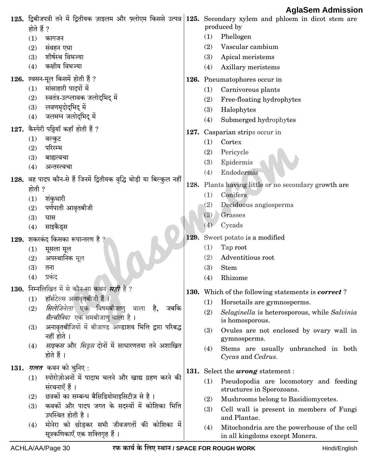125. द्विबीजपत्री तने में द्वितीयक ज़ाइलम और फ़्लोएम किससे उत्पन्न 125. Secondary xylem and phloem in dicot stem are produced by होते हैं ?  $(1)$ Phellogen  $(1)$ कागजन  $(2)$ Vascular cambium  $(2)$ संवहन एधा  $(3)$ शीर्षस्थ विभज्या  $(3)$ Apical meristems कक्षीय विभज्या  $(4)$  $(4)$ Axillary meristems 126. श्वसन-मूल किसमें होती हैं ? 126. Pneumatophores occur in मांसाहारी पादपों में  $(1)$  $(1)$ Carnivorous plants स्वतंत्र-उत्प्लावक जलोदभिद में  $(2)$  $(2)$ Free-floating hydrophytes  $(3)$ लवणमृदोदभिद में  $(3)$ Halophytes जलमग्न जलोदभिद में  $(4)$  $(4)$ Submerged hydrophytes 127. कैस्पेरी पट्टियाँ कहाँ होती हैं ? 127. Casparian strips occur in  $(1)$ वल्कुट  $(1)$ Cortex परिरम्भ  $(2)$  $(2)$ Pericycle  $(3)$ बाह्यत्वचा  $(3)$ Epidermis  $(4)$ अन्तस्त्वचा  $(4)$ Endodermis 128. वह पादप कौन-से हैं जिनमें द्वितीयक वृद्धि थोड़ी या बिल्कुल नहीं 128. Plants having little or no secondary growth are होती ?  $(1)$ Conifers शंकधारी  $(1)$  $(2)$ Deciduous angiosperms पर्णपाती आवृतबीजी  $(2)$  $(3)$ Grasses  $(3)$ घास  $(4)$ Cycads साइकैडस  $(4)$ 129. Sweet potato is a modified 129. शकरकंद किसका रूपान्तरण है  $(1)$ Tap root मूसला मूल  $(1)$  $(2)$ Adventitious root अपस्थानिक मूल  $(2)$  $(3)$  $(3)$ तना **Stem**  $(4)$ प्रकंद  $(4)$ Rhizome 130. निम्नलिखित में से कौन-सा कथन *सही* है ? 130. Which of the following statements is *correct*? हॉर्सटेल्स अनावृतबीजी हैं।  $(1)$  $(1)$ Horsetails are gymnosperms. *सिलेजिनेला* एक विषमबीजाण वाला है,  $(2)$ जबकि  $(2)$ Selaginella is heterosporous, while Salvinia *सैल्वीनिया* एक समबीजाण वाला है। is homosporous. अनावृतबीजियों में बीजाण्ड अण्डाशय भित्ति द्वारा परिबद्ध  $(3)$  $(3)$ Ovules are not enclosed by ovary wall in नहीं होते । gymnosperms. *साइकस* और *सिड़स* दोनों में साधारणतया तने अशाखित  $(4)$  $(4)$ Stems are usually unbranched in both होते हैं । Cycas and Cedrus. 131. *ग़लत* कथन को चुनिए: 131. Select the wrong statement: स्पोरोज़ोअनों में पादाभ चलने और खाद्य ग्रहण करने की  $(1)$ Pseudopodia are locomotory and feeding  $(1)$ संरचनाएँ हैं। structures in Sporozoans. (2) छत्रकों का सम्बन्ध बैसिडियोमाइसिटीज़ से है ।  $(2)$ Mushrooms belong to Basidiomycetes. कवकों और पादप जगत के सदस्यों में कोशिका भित्ति  $(3)$  $(3)$ Cell wall is present in members of Fungi उपस्थित होती है। and Plantae. (4) मोनेरा को छोडकर सभी जीवजगतों की कोशिका में Mitochondria are the powerhouse of the cell  $(4)$ सूत्रकणिकाएँ एक शक्तिगृह हैं । in all kingdoms except Monera.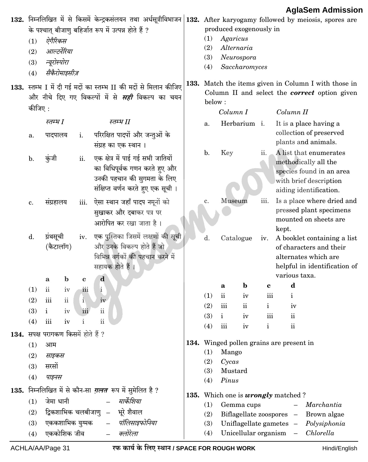|      | (1)<br>(2)<br>(3)<br>(4) | ऐगैरिकस<br>आल्टर्नेरिया<br>न्यूरोस्पोरा<br>सैकैरोमाइसीज़             |              | के पश्चात् बीजाणु बहिर्जात रूप में उत्पन्न होते हैं ?                                                                                   | $132.$ निम्नलिखित में से किसमें केन्द्रकसंलयन तथा अर्धसूत्रीविभाजन $ 132.$ After karyogamy followed by meiosis, spores are<br>produced exogenously in<br>Agaricus<br>(1)<br>(2)<br>Alternaria<br>(3)<br>Neurospora<br>(4)<br>Saccharomyces |                                                                                           |                |              |                                                                                                                                 |  |  |  |
|------|--------------------------|----------------------------------------------------------------------|--------------|-----------------------------------------------------------------------------------------------------------------------------------------|--------------------------------------------------------------------------------------------------------------------------------------------------------------------------------------------------------------------------------------------|-------------------------------------------------------------------------------------------|----------------|--------------|---------------------------------------------------------------------------------------------------------------------------------|--|--|--|
|      | कीजिए :                  |                                                                      |              | 133. स्तम्भ I में दी गई मदों का स्तम्भ II की मदों से मिलान कीजिए<br>और नीचे दिए गए विकल्पों में से <i>सही</i> विकल्प का चयन             | below:                                                                                                                                                                                                                                     |                                                                                           |                |              | 133. Match the items given in Column I with those in<br>Column II and select the <i>correct</i> option given                    |  |  |  |
|      |                          | स्तम्भ I                                                             |              | स्तम्भ II                                                                                                                               |                                                                                                                                                                                                                                            | Column I                                                                                  |                |              | Column II                                                                                                                       |  |  |  |
|      |                          |                                                                      |              |                                                                                                                                         | a.                                                                                                                                                                                                                                         |                                                                                           | Herbarium i.   |              | It is a place having a<br>collection of preserved                                                                               |  |  |  |
|      | a.                       | पादपालय                                                              | i.           | परिरक्षित पादपों और जन्तुओं के<br>संग्रह का एक स्थान ।                                                                                  |                                                                                                                                                                                                                                            |                                                                                           |                |              | plants and animals.                                                                                                             |  |  |  |
|      | b.                       | कुंजी                                                                | ii.          | एक क्षेत्र में पाई गई सभी जातियों<br>का विधिपूर्वक गणन करते हुए और<br>उनकी पहचान की सुगमता के लिए<br>संक्षिप्त वर्णन करते हुए एक सूची । | b.                                                                                                                                                                                                                                         | Key                                                                                       |                | ii.          | A list that enumerates<br>methodically all the<br>species found in an area<br>with brief description<br>aiding identification.  |  |  |  |
|      | c.                       | संग्रहालय                                                            | iii.         | ऐसा स्थान जहाँ पादप नमूनों को<br>सुखाकर और दबाकर पत्र पर<br>आरोपित कर रखा जाता है।                                                      | c.                                                                                                                                                                                                                                         |                                                                                           | Museum<br>iii. |              | Is a place where dried and<br>pressed plant specimens<br>mounted on sheets are<br>kept.                                         |  |  |  |
|      | ${\bf d}.$               | ग्रंथसूची<br>(कैटालॉग)                                               | iv.          | एक पुस्तिका जिसमें लक्षणों की सूची<br>और उनके विकल्प होते हैं जो<br>विभिन्न वर्गकों की पहचान करने में<br>सहायक होते हैं ।               | d.                                                                                                                                                                                                                                         |                                                                                           | Catalogue      | iv.          | A booklet containing a list<br>of characters and their<br>alternates which are<br>helpful in identification of<br>various taxa. |  |  |  |
|      |                          | $\mathbf b$<br>$\mathbf a$                                           | $\mathbf c$  | ${\bf d}$                                                                                                                               |                                                                                                                                                                                                                                            | a                                                                                         | $\mathbf b$    | $\mathbf c$  | $\mathbf d$                                                                                                                     |  |  |  |
|      | (1)                      | $\mathbf{ii}$<br>iv                                                  | iii          | $\mathbf{i}$                                                                                                                            | (1)                                                                                                                                                                                                                                        | $\rm ii$                                                                                  | iv             | iii          | $\mathbf{i}$                                                                                                                    |  |  |  |
|      | (2)                      | $\ddot{\rm ii}$<br>iii                                               | $\mathbf{i}$ | iv                                                                                                                                      | (2)                                                                                                                                                                                                                                        | iii                                                                                       | $\rm ii$       | $\mathbf{i}$ | iv                                                                                                                              |  |  |  |
|      | (3)<br>(4)               | $\mathbf i$<br>1V<br>iii<br>iv                                       | 111<br>i     | $\mathbf{ii}$<br>$\rm ii$                                                                                                               | (3)                                                                                                                                                                                                                                        | $\mathbf{i}$                                                                              | iv             | $111$        | $\rm ii$                                                                                                                        |  |  |  |
|      |                          |                                                                      |              |                                                                                                                                         | (4)                                                                                                                                                                                                                                        | iii                                                                                       | iv             | $\mathbf i$  | $\rm ii$                                                                                                                        |  |  |  |
|      | (1)<br>(2)<br>(3)<br>(4) | 134. सपक्ष परागकण किसमें होते हैं ?<br>आम<br>साइकस<br>सरसों<br>पाइनस |              |                                                                                                                                         | (1)<br>(2)<br>(3)<br>(4)                                                                                                                                                                                                                   | 134. Winged pollen grains are present in<br>Mango<br>Cycas<br>Mustard<br>Pinus            |                |              |                                                                                                                                 |  |  |  |
| 135. |                          |                                                                      |              | निम्नलिखित में से कौन-सा <i>ग़लत</i> रूप में सुमेलित है ?                                                                               |                                                                                                                                                                                                                                            |                                                                                           |                |              | 135. Which one is <i>wrongly</i> matched?                                                                                       |  |  |  |
|      | (1)                      | जेमा धानी                                                            |              | मार्केशिया                                                                                                                              | (1)                                                                                                                                                                                                                                        |                                                                                           | Gemma cups     |              | Marchantia                                                                                                                      |  |  |  |
|      | (2)                      | द्विकशाभिक चलबीजाणु –                                                |              | भूरे शैवाल                                                                                                                              | (2)                                                                                                                                                                                                                                        | Biflagellate zoospores -<br>Brown algae<br>(3)<br>Uniflagellate gametes -<br>Polysiphonia |                |              |                                                                                                                                 |  |  |  |
|      | (3)                      | एककशाभिक युग्मक                                                      |              | पॉलिसाइफोनिया                                                                                                                           |                                                                                                                                                                                                                                            |                                                                                           |                |              |                                                                                                                                 |  |  |  |
|      | (4)                      | एककोशिक जीव                                                          |              | क्लोरेला                                                                                                                                | (4)                                                                                                                                                                                                                                        |                                                                                           |                |              | Unicellular organism -<br>Chlorella                                                                                             |  |  |  |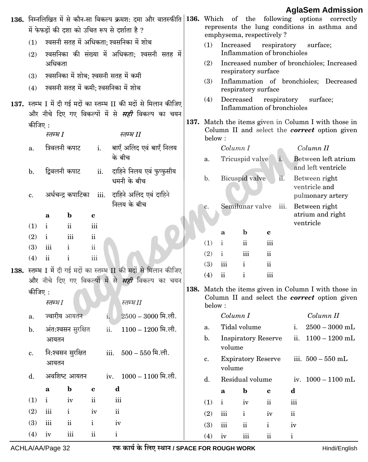|                |                   |                                      |                    |              |                                                                                                                                                             |      |                                                                                                                                                                                                      |                                          |                            |                          |              |                                            | AgiaSem Admissio                                                                                        |
|----------------|-------------------|--------------------------------------|--------------------|--------------|-------------------------------------------------------------------------------------------------------------------------------------------------------------|------|------------------------------------------------------------------------------------------------------------------------------------------------------------------------------------------------------|------------------------------------------|----------------------------|--------------------------|--------------|--------------------------------------------|---------------------------------------------------------------------------------------------------------|
|                |                   |                                      |                    |              | 136. निम्नलिखित में से कौन-सा विकल्प क्रमश: दमा और वातस्फीति 136. Which of the following options correctly<br>में फेफडों की दशा को उचित रूप से दर्शाता है ? |      |                                                                                                                                                                                                      |                                          |                            | emphysema, respectively? |              |                                            | represents the lung conditions in asthma and                                                            |
| (1)<br>(2)     |                   |                                      |                    |              | श्वसनी सतह में अधिकता; श्वसनिका में शोथ<br>श्वसनिका की संख्या में अधिकता; श्वसनी सतह में                                                                    |      | (1)                                                                                                                                                                                                  | Increased<br>Inflammation of bronchioles | surface;                   |                          |              |                                            |                                                                                                         |
| (3)            | अधिकता            | श्वसनिका में शोथ; श्वसनी सतह में कमी |                    |              |                                                                                                                                                             |      | (2)                                                                                                                                                                                                  |                                          | respiratory surface        |                          |              | Increased number of bronchioles; Increased |                                                                                                         |
| (4)            |                   | श्वसनी सतह में कमी; श्वसनिका में शोथ |                    |              |                                                                                                                                                             |      | (3)                                                                                                                                                                                                  |                                          | respiratory surface        |                          |              |                                            | Inflammation of bronchioles; Decreased                                                                  |
|                |                   |                                      |                    |              | 137. स्तम्भ I में दी गई मदों का स्तम्भ II की मदों से मिलान कीजिए<br>और नीचे दिए गए विकल्पों में से <i>सही</i> विकल्प का चयन                                 |      | (4)<br>Decreased<br>respiratory<br>surface;<br>Inflammation of bronchioles<br>137. Match the items given in Column I with those in<br>Column II and select the <i>correct</i> option given<br>below: |                                          |                            |                          |              |                                            |                                                                                                         |
| कीजिए :        | स्तम्भ I          |                                      |                    |              | स्तम्भ II                                                                                                                                                   |      |                                                                                                                                                                                                      |                                          |                            |                          |              |                                            |                                                                                                         |
| a.             | त्रिवलनी कपाट     |                                      |                    |              | i. बाएँ अलिंद एवं बाएँ निलय                                                                                                                                 |      |                                                                                                                                                                                                      | Column I                                 |                            |                          |              | Column II                                  |                                                                                                         |
|                |                   |                                      |                    |              | के बीच                                                                                                                                                      |      | a.                                                                                                                                                                                                   |                                          | Tricuspid valve            | $i_{\star}$              |              |                                            | Between left atrium<br>and left ventricle                                                               |
| $\mathbf{b}$ . | द्विवलनी कपाट     |                                      | ii.                |              | दाहिने निलय एवं फुप्फुसीय<br>धमनी के बीच                                                                                                                    |      | $\mathbf{b}$ .                                                                                                                                                                                       |                                          | Bicuspid valve             | ii.                      |              | Between right<br>ventricle and             |                                                                                                         |
| c.             |                   | अर्धचन्द्र कपाटिका                   | iii.               |              | दाहिने अलिंद एवं दाहिने<br>निलय के बीच                                                                                                                      |      | c.                                                                                                                                                                                                   |                                          | Semilunar valve            | iii.                     |              | Between right                              | pulmonary artery                                                                                        |
| (1)            | a<br>$\mathbf{i}$ | $\mathbf b$<br>$\ddot{\mathbf{i}}$   | $\mathbf c$<br>iii |              |                                                                                                                                                             |      |                                                                                                                                                                                                      |                                          |                            |                          |              | ventricle                                  | atrium and right                                                                                        |
| (2)            | i                 | iii                                  | $\mathbf{ii}$      |              |                                                                                                                                                             |      |                                                                                                                                                                                                      | a                                        | $\mathbf b$                | c                        |              |                                            |                                                                                                         |
| (3)            | iii               | i                                    | $\rm ii$           |              |                                                                                                                                                             |      | (1)                                                                                                                                                                                                  | $\mathbf{i}$                             | $\mathbf{ii}$              | iii                      |              |                                            |                                                                                                         |
| (4)            | $\mathbf{ii}$     | i                                    | iii                |              |                                                                                                                                                             |      | (2)                                                                                                                                                                                                  | $\mathbf{i}$                             | iii                        | $\mathbf{ii}$            |              |                                            |                                                                                                         |
|                |                   |                                      |                    |              |                                                                                                                                                             |      | (3)                                                                                                                                                                                                  | iii                                      | $\mathbf{i}$               | $\mathbf{ii}$            |              |                                            |                                                                                                         |
|                |                   |                                      |                    |              | 138. स्तम्भ I में दी गई मदों का स्तम्भ II की मदों से मिलान कीजिए<br>और नीचे दिए गए विकल्पों में से <i>सही</i> विकल्प का चयन                                 |      | (4)                                                                                                                                                                                                  | $\overline{\textbf{ii}}$                 | $\mathbf{i}$               | iii                      |              |                                            |                                                                                                         |
| कीजिए :        | स्तम्भ [          |                                      |                    |              | स्तम्भ $\emph{II}$                                                                                                                                          | 138. | below:                                                                                                                                                                                               |                                          |                            |                          |              |                                            | Match the items given in Column I with those in<br>Column II and select the <i>correct</i> option given |
| a.             |                   | ज्वारीय आयतन                         |                    | i.           | $2500 - 3000$ मि.ली.                                                                                                                                        |      |                                                                                                                                                                                                      | Column I                                 |                            |                          |              | Column II                                  |                                                                                                         |
| $\mathbf b$ .  |                   | अंत:श्वसन सुरक्षित                   |                    | ii.          | $1100 - 1200$ मि.ली.                                                                                                                                        |      | a.                                                                                                                                                                                                   |                                          | Tidal volume               |                          | i.           |                                            | $2500 - 3000$ mL                                                                                        |
| c.             | आयतन              | नि:श्वसन सुरक्षित                    |                    | iii.         | $500 - 550$ मि.ली.                                                                                                                                          |      | $\mathbf{b}$ .                                                                                                                                                                                       | volume                                   | <b>Inspiratory Reserve</b> |                          | ii.          |                                            | $1100 - 1200$ mL                                                                                        |
|                | आयतन              |                                      |                    |              |                                                                                                                                                             |      | c.                                                                                                                                                                                                   | volume                                   | <b>Expiratory Reserve</b>  |                          |              |                                            | iii. $500 - 550$ mL                                                                                     |
| d.             |                   | अवशिष्ट आयतन                         |                    |              | iv. $1000 - 1100$ मि.ली.                                                                                                                                    |      | d.                                                                                                                                                                                                   |                                          | Residual volume            |                          |              |                                            | iv. $1000 - 1100$ mL                                                                                    |
|                | a                 | $\mathbf b$                          | $\bf c$            | d            |                                                                                                                                                             |      |                                                                                                                                                                                                      | $\mathbf a$                              | $\mathbf b$                | $\mathbf c$              | d            |                                            |                                                                                                         |
| (1)            | $\mathbf{i}$      | iv                                   | $\,$ ii            | iii          |                                                                                                                                                             |      | (1)                                                                                                                                                                                                  | $\mathbf{i}$                             | iv                         | $\rm ii$                 | iii          |                                            |                                                                                                         |
| (2)            | iii               | $\mathbf{i}$                         | iv                 | $\rm ii$     |                                                                                                                                                             |      | (2)                                                                                                                                                                                                  | iii                                      | $\mathbf{i}$               | iv                       | $\,$ ii      |                                            |                                                                                                         |
| (3)            | iii               | $\mathbf{ii}$                        | $\mathbf{i}$       | $iv$         |                                                                                                                                                             |      | (3)                                                                                                                                                                                                  | iii                                      | $\rm ii$                   | $\mathbf{i}$             | iv           |                                            |                                                                                                         |
| (4)            | iv                | $\overline{\text{iii}}$              | $\rm ii$           | $\mathbf{i}$ |                                                                                                                                                             |      | (4)                                                                                                                                                                                                  | $\operatorname{iv}$                      | $\rm iii$                  | $\rm ii$                 | $\mathbf{i}$ |                                            |                                                                                                         |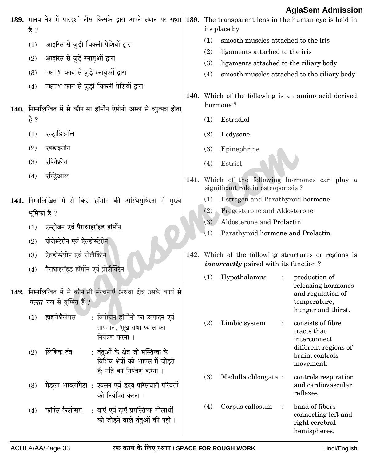|             |                                                                                                                              |     | Ayıdətili Adillissiyl                                                                                        |
|-------------|------------------------------------------------------------------------------------------------------------------------------|-----|--------------------------------------------------------------------------------------------------------------|
| है ?        | $139.$ मानव नेत्र में पारदर्शी लैंस किसके द्वारा अपने स्थान पर रहता $ 139.$ The transparent lens in the human eye is held in |     | its place by                                                                                                 |
| (1)         | आइरिस से जुड़ी चिकनी पेशियों द्वारा                                                                                          | (1) | smooth muscles attached to the iris                                                                          |
| (2)         | आइरिस से जुड़े स्नायुओं द्वारा                                                                                               | (2) | ligaments attached to the iris                                                                               |
| (3)         | पक्ष्माभ काय से जुड़े स्नायुओं द्वारा                                                                                        | (3) | ligaments attached to the ciliary body                                                                       |
| (4)         | पक्ष्माभ काय से जुड़ी चिकनी पेशियों द्वारा                                                                                   | (4) | smooth muscles attached to the ciliary body                                                                  |
|             | 140. निम्नलिखित में से कौन-सा हॉर्मोन ऐमीनो अम्ल से व्युत्पन्न होता                                                          |     | 140. Which of the following is an amino acid derived<br>hormone?                                             |
| है ?        |                                                                                                                              | (1) | Estradiol                                                                                                    |
| (1)         | एस्ट्राडिऑल                                                                                                                  | (2) | Ecdysone                                                                                                     |
|             |                                                                                                                              |     |                                                                                                              |
| (2)         | एक्डाइसोन                                                                                                                    | (3) | Epinephrine                                                                                                  |
| (3)         | एपिनेफ्रीन                                                                                                                   | (4) | Estriol                                                                                                      |
| (4)         | एस्ट्रिऑल                                                                                                                    |     | 141. Which of the following hormones can play a<br>significant role in osteoporosis?                         |
|             | 141. निम्नलिखित में से किस हॉर्मोन की अस्थिसुषिरता में मुख्य                                                                 | (1) | Estrogen and Parathyroid hormone                                                                             |
| भूमिका है ? |                                                                                                                              | (2) | Progesterone and Aldosterone                                                                                 |
| (1)         | एस्टोजन एवं पैराथाइरॉइड हॉर्मोन                                                                                              | (3) | Aldosterone and Prolactin                                                                                    |
| (2)         | प्रोजेस्टेरोन एवं ऐल्डोस्टेरोन                                                                                               | (4) | Parathyroid hormone and Prolactin                                                                            |
| (3)         | ऐल्डोस्टेरोन एवं प्रोलैक्टिन                                                                                                 |     | 142. Which of the following structures or regions is                                                         |
| (4)         | पैराथाइरॉइड हॉर्मोन एवं प्रोलैक्टिन                                                                                          |     | <i>incorrectly</i> paired with its function?                                                                 |
|             |                                                                                                                              | (1) | Hypothalamus<br>production of<br>$\ddot{\cdot}$                                                              |
|             | 142. निम्नलिखित में से कौन-सी संरचनाएँ अथवा क्षेत्र उसके कार्य से<br><i>ग़लत</i> रूप से युग्मित हैं ?                        |     | releasing hormones<br>and regulation of<br>temperature,<br>hunger and thirst.                                |
| (1)         | हाइपोथैलेमस<br>: विमोचन हॉर्मोनों का उत्पादन एवं<br>तापमान, भूख तथा प्यास का<br>नियंत्रण करना ।                              | (2) | Limbic system<br>consists of fibre<br>$\ddot{\cdot}$<br>tracts that<br>interconnect                          |
| (2)         | लिंबिक तंत्र<br>: तंतुओं के क्षेत्र जो मस्तिष्क के<br>विभिन्न क्षेत्रों को आपस में जोड़ते<br>हैं; गति का नियंत्रण करना ।     |     | different regions of<br>brain; controls<br>movement.                                                         |
| (3)         | मेडूला आब्लाँगेटा : श्वसन एवं हृदय परिसंचारी परिवर्तों<br>को नियंत्रित करना ।                                                | (3) | Medulla oblongata:<br>controls respiration<br>and cardiovascular<br>reflexes.                                |
| (4)         | : बाएँ एवं दाएँ प्रमस्तिष्क गोलार्धों<br>कॉर्पस कैलोसम<br>को जोड़ने वाले तंतुओं की पट्टी ।                                   | (4) | band of fibers<br>Corpus callosum<br>$\ddot{\cdot}$<br>connecting left and<br>right cerebral<br>hemispheres. |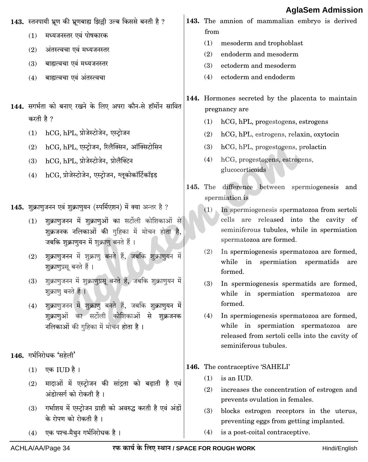#### **n**

|           |                                                                                    |            | <b>AglaSem Admissic</b>                                               |
|-----------|------------------------------------------------------------------------------------|------------|-----------------------------------------------------------------------|
|           | 143. स्तनपायी भ्रूण की भ्रूणबाह्य झिल्ली उल्ब किससे बनती है ?                      |            | 143. The amnion of mammalian embryo is derived                        |
| (1)       | मध्यजनस्तर एवं पोषकारक                                                             | from       |                                                                       |
| (2)       | अंतस्त्वचा एवं मध्यजनस्तर                                                          | (1)        | mesoderm and trophoblast                                              |
| (3)       | बाह्यत्वचा एवं मध्यजनस्तर                                                          | (2)<br>(3) | endoderm and mesoderm<br>ectoderm and mesoderm                        |
| (4)       | बाह्यत्वचा एवं अंतस्त्वचा                                                          | (4)        | ectoderm and endoderm                                                 |
|           |                                                                                    |            |                                                                       |
|           |                                                                                    |            | 144. Hormones secreted by the placenta to maintain                    |
|           | 144. सगर्भता को बनाए रखने के लिए अपरा कौन-से हॉर्मोन स्रावित                       |            | pregnancy are                                                         |
| करती है ? |                                                                                    | (1)        | hCG, hPL, progestogens, estrogens                                     |
| (1)       | hCG, hPL, प्रोजेस्टोजेन, एस्टोजन                                                   | (2)        | hCG, hPL, estrogens, relaxin, oxytocin                                |
| (2)       | hCG, hPL, एस्ट्रोजन, रिलैक्सिन, ऑक्सिटोसिन                                         | (3)        | hCG, hPL, progestogens, prolactin                                     |
| (3)       | hCG, hPL, प्रोजेस्टोजेन, प्रोलैक्टिन                                               | (4)        | hCG, progestogens, estrogens,                                         |
| (4)       | hCG, प्रोजेस्टोजेन, एस्ट्रोजन, ग्लूकोकॉर्टिकॉइड                                    |            | glucocorticoids                                                       |
|           |                                                                                    |            | 145. The difference between spermiogenesis and                        |
|           |                                                                                    |            | spermiation is                                                        |
|           | 145. शुक्राणुजनन एवं शुक्राणुयन (स्पर्मिएशन) में क्या अन्तर है ?                   | (1)        | In spermiogenesis spermatozoa from sertoli                            |
| (1)       | शुक्राणुजनन में शुक्राणुओं का सर्टोली कोशिकाओं से                                  |            | cells are released into the cavity of                                 |
|           | शुक्रजनक नलिकाओं की गुहिका में मोचन होता है,                                       |            | seminiferous tubules, while in spermiation<br>spermatozoa are formed. |
|           | जबकि शुक्राणुयन में शुक्राणु बनते हैं।                                             | (2)        | In spermiogenesis spermatozoa are formed,                             |
| (2)       | शुक्राणुजनन में शुक्राणु बनते हैं, जबकि शुक्राणुयन में<br>शुक्राणुप्रसू बनते हैं । |            | while in spermiation spermatids<br>are                                |
|           |                                                                                    |            | formed.                                                               |
| (3)       | शुक्राणुजनन में शुक्राणुप्रसू बनते हैं, जबकि शुक्राणुयन में<br>शुक्राणु बनते हैं । | (3)        | In spermiogenesis spermatids are formed,                              |
|           | शुक्राणुजनन में शुक्राणु बनते हैं, जबकि शुक्राणुयन में                             |            | while in spermiation spermatozoa are<br>formed.                       |
| (4)       | शुक्राणुओं का सर्टोली कोशिकाओं से शुक्रजनक                                         | (4)        | In spermiogenesis spermatozoa are formed,                             |
|           | नलिकाओं की गुहिका में मोचन होता है।                                                |            | while in spermiation spermatozoa are                                  |
|           |                                                                                    |            | released from sertoli cells into the cavity of                        |
|           |                                                                                    |            | seminiferous tubules.                                                 |
|           | 146. गर्भनिरोधक 'सहेली'                                                            |            | 146. The contraceptive 'SAHELI'                                       |
| (1)       | एक IUD है।                                                                         | (1)        | is an IUD.                                                            |
| (2)       | मादाओं में एस्ट्रोजन की सांद्रता को बढ़ाती है एवं                                  | (2)        | increases the concentration of estrogen and                           |
|           | अंडोत्सर्ग को रोकती है।                                                            |            | prevents ovulation in females.                                        |
| (3)       | गर्भाशय में एस्ट्रोजन ग्राही को अवरुद्ध करती है एवं अंडों                          | (3)        | blocks estrogen receptors in the uterus,                              |
|           | के रोपण को रोकती है।                                                               |            | preventing eggs from getting implanted.                               |

ACHLA/AA/Page 34

 $(4)$  is a post-coital contraceptive.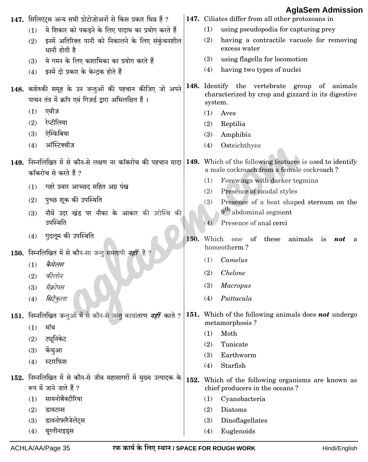|     | 147. सिलिएट्स अन्य सभी प्रोटोज़ोअनों से किस प्रकार भिन्न हैं ?                                                   |      | Ayıadtılı Ayılınssiy<br>147. Ciliates differ from all other protozoans in                                                                                         |
|-----|------------------------------------------------------------------------------------------------------------------|------|-------------------------------------------------------------------------------------------------------------------------------------------------------------------|
| (1) | ये शिकार को पकड़ने के लिए पादाभ का प्रयोग करते हैं                                                               |      | using pseudopodia for capturing prey<br>(1)                                                                                                                       |
| (2) | इनमें अतिरिक्त पानी को निकालने के लिए संकुंचनशील<br>धानी होती है                                                 |      | (2)<br>having a contractile vacuole for removing<br>excess water                                                                                                  |
| (3) | ये गमन के लिए कशाभिका का प्रयोग करते हैं                                                                         |      | using flagella for locomotion<br>(3)                                                                                                                              |
| (4) | इनमें दो प्रकार के केन्द्रक होते हैं                                                                             |      | (4)<br>having two types of nuclei                                                                                                                                 |
|     | 148. कशेरुकी समूह के उन जन्तुओं की पहचान कीजिए जो अपने<br>पाचन तंत्र में क्रॉप एवं गिज़र्ड द्वारा अभिलक्षित हैं। |      | 148. Identify the vertebrate group of animals<br>characterized by crop and gizzard in its digestive<br>system.                                                    |
| (1) | एवीज़                                                                                                            |      | (1)<br>Aves                                                                                                                                                       |
| (2) | रेप्टीलिया                                                                                                       |      | (2)<br>Reptilia                                                                                                                                                   |
| (3) | ऐम्फिबिया                                                                                                        |      | Amphibia<br>(3)                                                                                                                                                   |
| (4) | ऑस्टिक्थीज़                                                                                                      |      | Osteichthyes<br>(4)                                                                                                                                               |
|     | कॉकरोच से करते हैं ?                                                                                             |      | 149. निम्नलिखित में से कौन-से लक्षण नर कॉकरोच की पहचान मादा 149. Which of the following features is used to identify<br>a male cockroach from a female cockroach? |
| (1) | गहरे प्रवार आच्छद सहित अग्र पंख                                                                                  |      | Forewings with darker tegmina<br>(1)                                                                                                                              |
| (2) | पुच्छ शूक की उपस्थिति                                                                                            |      | (2)<br>Presence of caudal styles                                                                                                                                  |
| (3) | नौवें उदर खंड पर नौका के आकार की उरोस्थि की<br>उपस्थिति                                                          |      | Presence of a boat shaped sternum on the<br>(3)<br>9 <sup>th</sup> abdominal segment<br>Presence of anal cerci<br>(4)                                             |
| (4) | गुदलूम की उपस्थिति                                                                                               | 150. | Which<br>of these<br>animals is<br>one<br>not<br>a<br>homeotherm?                                                                                                 |
|     | 150. निम्नलिखित में से कौन-सा जन्तु समतापी नहीं है ?                                                             |      | Camelus<br>(1)                                                                                                                                                    |
| (1) | कैमेलस                                                                                                           |      |                                                                                                                                                                   |
| (2) | कीलोन                                                                                                            |      | <b>Chelone</b><br>(2)                                                                                                                                             |
| (3) | मैक्रोपस                                                                                                         |      | (3)<br><b>Macropus</b>                                                                                                                                            |
| (4) | सिटैकुला                                                                                                         |      | Psittacula<br>(4)                                                                                                                                                 |
|     | 151. निम्नलिखित जन्तुओं में से कौन-से जन्तु कायांतरण <i>नहीं</i> करते ?                                          |      | <b>151.</b> Which of the following animals does <b>not</b> undergo<br>metamorphosis?                                                                              |
| (1) | मॉथ                                                                                                              |      | Moth<br>(1)                                                                                                                                                       |
| (2) | ट्यूनिकेट                                                                                                        |      | (2)<br>Tunicate                                                                                                                                                   |
| (3) | केंचुआ                                                                                                           |      | Earthworm<br>(3)                                                                                                                                                  |
| (4) | स्टारफ़िश                                                                                                        |      | Starfish<br>(4)                                                                                                                                                   |
|     | 152. निम्नलिखित में से कौन-से जीव महासागरों में मुख्य उत्पादक के<br>रूप में जाने जाते हैं ?                      | 152. | Which of the following organisms are known as<br>chief producers in the oceans?                                                                                   |
|     | सायनोबैक्टीरिया                                                                                                  |      | Cyanobacteria<br>(1)                                                                                                                                              |
| (1) |                                                                                                                  |      |                                                                                                                                                                   |
| (2) | डायटम्स                                                                                                          |      | Diatoms<br>(2)                                                                                                                                                    |
| (3) | डायनोफ्लैजेलेट्स<br>यूग्लीनाइड्स                                                                                 |      | Dinoflagellates<br>(3)<br>Euglenoids                                                                                                                              |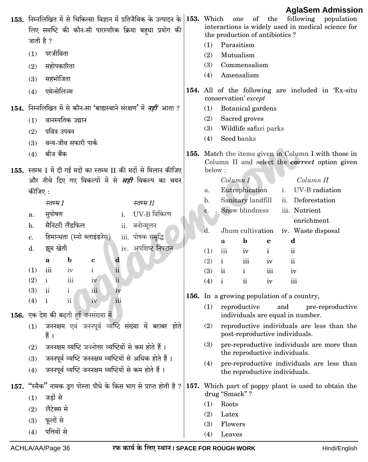| 153. निम्नलिखित में से चिकित्सा विज्ञान में प्रतिजैविक के उत्पादन के 153. Which<br>लिए समष्टि की कौन-सी पारस्परिक क्रिया बहुधा प्रयोग की<br>जाती है ?<br>परजीविता<br>(1)<br>सहोपकारिता<br>(2)<br>सहभोजिता<br>(3)<br>एमेन्सेलिज़्म<br>(4) | 1.914<br>of the<br>following population<br>one<br>interactions is widely used in medical science for<br>the production of antibiotics?<br>Parasitism<br>(1)<br>Mutualism<br>(2)<br>(3)<br>Commensalism<br>Amensalism<br>(4)<br>154. All of the following are included in 'Ex-situ |
|------------------------------------------------------------------------------------------------------------------------------------------------------------------------------------------------------------------------------------------|-----------------------------------------------------------------------------------------------------------------------------------------------------------------------------------------------------------------------------------------------------------------------------------|
|                                                                                                                                                                                                                                          | conservation' except                                                                                                                                                                                                                                                              |
| <b>154.</b> निम्नलिखित में से कौन-सा 'बाह्यस्थाने संरक्षण' में <i>नहीं</i> आता ?                                                                                                                                                         | Botanical gardens<br>(1)                                                                                                                                                                                                                                                          |
| वानस्पतिक उद्यान<br>(1)                                                                                                                                                                                                                  | (2)<br>Sacred groves                                                                                                                                                                                                                                                              |
| पवित्र उपवन<br>(2)                                                                                                                                                                                                                       | (3)<br>Wildlife safari parks<br>Seed banks<br>(4)                                                                                                                                                                                                                                 |
| वन्य-जीव सफारी पार्क<br>(3)                                                                                                                                                                                                              |                                                                                                                                                                                                                                                                                   |
| बीज बैंक<br>(4)                                                                                                                                                                                                                          | 155. Match the items given in Column I with those in<br>Column II and select the <i>correct</i> option given                                                                                                                                                                      |
| 155. स्तम्भ I में दी गई मदों का स्तम्भ II की मदों से मिलान कीजिए                                                                                                                                                                         | below:                                                                                                                                                                                                                                                                            |
| और नीचे दिए गए विकल्पों में से <i>सही</i> विकल्प का चयन                                                                                                                                                                                  | Column II<br>Column I                                                                                                                                                                                                                                                             |
| कीजिए :                                                                                                                                                                                                                                  | Eutrophication<br>UV-B radiation<br>i.<br>a.                                                                                                                                                                                                                                      |
| स्तम्भ II<br>स्तम्भ I                                                                                                                                                                                                                    | Deforestation<br>Sanitary landfill<br>$\mathbf{b}$ .<br>ii.                                                                                                                                                                                                                       |
| UV-B विकिरण<br>सुपोषण<br>i.<br>a.                                                                                                                                                                                                        | Snow blindness<br>iii. Nutrient<br>c.                                                                                                                                                                                                                                             |
| सैनिटरी लैंडफिल<br>वनोन्मूलन<br>ii.<br>b.                                                                                                                                                                                                | enrichment                                                                                                                                                                                                                                                                        |
| हिमान्धता (स्नो ब्लाइंडनेस)<br>iii. पोषक समृद्धि<br>c.                                                                                                                                                                                   | d.<br>Jhum cultivation<br>iv. Waste disposal<br>$\mathbf b$<br>d                                                                                                                                                                                                                  |
| iv. अपशिष्ट निपटान<br>झूम खेती<br>d.                                                                                                                                                                                                     | c<br>a<br>iii<br>(1)<br>$\mathbf{ii}$<br>$\mathbf{i}$<br>iv                                                                                                                                                                                                                       |
| $\mathbf b$<br>d<br>a<br>$\mathbf c$                                                                                                                                                                                                     | (2)<br>$\mathbf{i}$<br>iii<br>$\mathbf{ii}$<br>iv                                                                                                                                                                                                                                 |
| $\rm ii$<br>$\mathbf i$<br>(1)<br>iii<br>iv                                                                                                                                                                                              | (3)<br>$\mathbf{ii}$<br>$\mathbf{i}$<br>iii<br>iv                                                                                                                                                                                                                                 |
| $\overline{\text{iii}}$<br>$\ddot{\rm n}$<br>$\mathbf{i}$<br>(2)<br>iv                                                                                                                                                                   | $\overline{\textbf{ii}}$<br>(4)<br>$\mathbf{i}$<br>iii<br>iv                                                                                                                                                                                                                      |
| $\mathbf{ii}$<br>(3)<br>iii<br>$\mathbf{i}$<br>iv                                                                                                                                                                                        | 156. In a growing population of a country,                                                                                                                                                                                                                                        |
| iii<br>$\mathbf{i}$<br>(4)<br>$\overline{\mathbf{u}}$<br>1V                                                                                                                                                                              | $(1)$ reproductive<br>and<br>pre-reproductive                                                                                                                                                                                                                                     |
| 156. एक देश की बढ़ती हुई जनसंख्या में                                                                                                                                                                                                    | individuals are equal in number.                                                                                                                                                                                                                                                  |
| जननक्षम एवं जननपूर्व व्यष्टि संख्या में बराबर होते<br>(1)<br>हैं ।                                                                                                                                                                       | (2)<br>reproductive individuals are less than the<br>post-reproductive individuals.                                                                                                                                                                                               |
| जननक्षम व्यष्टि जननोत्तर व्यष्टियों से कम होते हैं।<br>(2)                                                                                                                                                                               | (3)<br>pre-reproductive individuals are more than                                                                                                                                                                                                                                 |
| जननपूर्व व्यष्टि जननक्षम व्यष्टियों से अधिक होते हैं ।<br>(3)                                                                                                                                                                            | the reproductive individuals.                                                                                                                                                                                                                                                     |
| जननपूर्व व्यष्टि जननक्षम व्यष्टियों से कम होते हैं।<br>(4)                                                                                                                                                                               | pre-reproductive individuals are less than<br>(4)<br>the reproductive individuals.                                                                                                                                                                                                |
| 157. "स्मैक" नामक ड्रग पोस्ता पौधे के किस भाग से प्राप्त होती है ? 157. Which part of poppy plant is used to obtain the<br>जड़ों से<br>(1)                                                                                               | drug "Smack"?                                                                                                                                                                                                                                                                     |
| लैटेक्स से<br>(2)                                                                                                                                                                                                                        | Roots<br>(1)                                                                                                                                                                                                                                                                      |
| फूलों से                                                                                                                                                                                                                                 | (2)<br>Latex                                                                                                                                                                                                                                                                      |
| (3)<br>पत्तियों से                                                                                                                                                                                                                       | (3)<br>Flowers                                                                                                                                                                                                                                                                    |
| (4)                                                                                                                                                                                                                                      | (4)<br>Leaves                                                                                                                                                                                                                                                                     |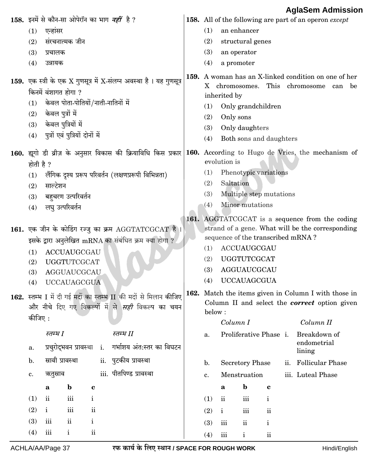|                                                     |                                 |               |                     |                                                     |                                                                                                                             |                                                   |                                          |                                   |              |                   | AgiaSem Admissior                                                                                                |  |  |  |
|-----------------------------------------------------|---------------------------------|---------------|---------------------|-----------------------------------------------------|-----------------------------------------------------------------------------------------------------------------------------|---------------------------------------------------|------------------------------------------|-----------------------------------|--------------|-------------------|------------------------------------------------------------------------------------------------------------------|--|--|--|
|                                                     |                                 |               |                     | 158. इनमें से कौन-सा ओपेरॉन का भाग <i>नहीं</i> है ? |                                                                                                                             |                                                   |                                          |                                   |              |                   | <b>158.</b> All of the following are part of an operon except                                                    |  |  |  |
| (1)                                                 | एन्हांसर                        |               |                     |                                                     |                                                                                                                             | (1)                                               |                                          | an enhancer                       |              |                   |                                                                                                                  |  |  |  |
| (2)                                                 | संरचनात्मक जीन                  |               |                     |                                                     |                                                                                                                             | (2)                                               |                                          | structural genes                  |              |                   |                                                                                                                  |  |  |  |
| (3)                                                 | प्रचालक                         |               |                     |                                                     |                                                                                                                             | (3)                                               | an operator                              |                                   |              |                   |                                                                                                                  |  |  |  |
| (4)                                                 | उन्नायक                         |               |                     |                                                     |                                                                                                                             | (4)                                               | a promoter                               |                                   |              |                   |                                                                                                                  |  |  |  |
|                                                     |                                 |               |                     |                                                     | 159. एक स्त्री के एक X गुणसूत्र में X-संलग्न अवस्था है। यह गुणसूत्र                                                         |                                                   |                                          | X chromosomes.                    |              |                   | 159. A woman has an X-linked condition on one of her<br>This chromosome can<br>be                                |  |  |  |
|                                                     | किनमें वंशागत होगा ?            |               |                     |                                                     |                                                                                                                             | inherited by                                      |                                          |                                   |              |                   |                                                                                                                  |  |  |  |
| (1)                                                 |                                 |               |                     | केवल पोता-पोतियों/नाती-नातिनों में                  |                                                                                                                             | (1)                                               |                                          | Only grandchildren                |              |                   |                                                                                                                  |  |  |  |
| (2)                                                 | केवल पुत्रों में                |               |                     |                                                     |                                                                                                                             | (2)                                               | Only sons                                |                                   |              |                   |                                                                                                                  |  |  |  |
| (3)                                                 | केवल पुत्रियों में              |               |                     |                                                     |                                                                                                                             | (3)                                               |                                          | Only daughters                    |              |                   |                                                                                                                  |  |  |  |
| (4)                                                 | पुत्रों एवं पुत्रियों दोनों में |               |                     |                                                     |                                                                                                                             | (4)                                               |                                          | Both sons and daughters           |              |                   |                                                                                                                  |  |  |  |
|                                                     |                                 |               |                     |                                                     |                                                                                                                             |                                                   | evolution is                             |                                   |              |                   | 160. द्यूगो डी व्रीज़ के अनुसार विकास की क्रियाविधि किस प्रकार 160. According to Hugo de Vries, the mechanism of |  |  |  |
| होती है ?                                           |                                 |               |                     |                                                     |                                                                                                                             |                                                   |                                          | Phenotypic variations             |              |                   |                                                                                                                  |  |  |  |
| (1)                                                 |                                 |               |                     |                                                     | लैंगिक दृश्य प्ररूप परिवर्तन (लक्षणप्ररूपी विभिन्नता)                                                                       | (1)<br>(2)                                        | Saltation                                |                                   |              |                   |                                                                                                                  |  |  |  |
| (2)                                                 | साल्टेशन                        |               |                     |                                                     |                                                                                                                             | (3)                                               |                                          |                                   |              |                   |                                                                                                                  |  |  |  |
| (3)                                                 | बहुचरण उत्परिवर्तन              |               |                     |                                                     |                                                                                                                             | Multiple step mutations<br>Minor mutations<br>(4) |                                          |                                   |              |                   |                                                                                                                  |  |  |  |
| (4)                                                 | लघु उत्परिवर्तन                 |               |                     |                                                     |                                                                                                                             |                                                   |                                          |                                   |              |                   |                                                                                                                  |  |  |  |
|                                                     |                                 |               |                     |                                                     | 161. एक जीन के कोडिंग रज्जु का क्रम AGGTATCGCAT है।<br>इसके द्वारा अनुलेखित mRNA का संबंधित क्रम क्या होगा ?                | (1)                                               |                                          | sequence of the transcribed mRNA? |              |                   | 161. AGGTATCGCAT is a sequence from the coding<br>strand of a gene. What will be the corresponding               |  |  |  |
| (1)                                                 | <b>ACCUAUGCGAU</b>              |               |                     |                                                     |                                                                                                                             |                                                   | ACCUAUGCGAU<br><b>UGGTUTCGCAT</b><br>(2) |                                   |              |                   |                                                                                                                  |  |  |  |
| (2)                                                 | <b>UGGTUTCGCAT</b>              |               |                     |                                                     |                                                                                                                             | (3)                                               | AGGUAUCGCAU                              |                                   |              |                   |                                                                                                                  |  |  |  |
| (3)                                                 | <b>AGGUAUCGCAU</b>              |               |                     |                                                     |                                                                                                                             | (4)                                               |                                          | <b>UCCAUAGCGUA</b>                |              |                   |                                                                                                                  |  |  |  |
| (4)                                                 | <b>UCCAUAGCGUA</b>              |               |                     |                                                     |                                                                                                                             |                                                   |                                          |                                   |              |                   |                                                                                                                  |  |  |  |
|                                                     |                                 |               |                     |                                                     | 162. स्तम्भ I में दी गई मदों का स्तम्भ II की मदों से मिलान कीजिए<br>और नीचे दिए गए विकल्पों में से <i>सही</i> विकल्प का चयन | below:                                            |                                          |                                   |              |                   | 162. Match the items given in Column I with those in<br>Column II and select the <b>correct</b> option given     |  |  |  |
| कीजिए :                                             |                                 |               |                     |                                                     |                                                                                                                             |                                                   | Column I                                 |                                   |              |                   | Column II                                                                                                        |  |  |  |
|                                                     | स्तम्भ I                        |               |                     | स्तम्भ II                                           |                                                                                                                             | a.                                                |                                          | Proliferative Phase i.            |              |                   | Breakdown of                                                                                                     |  |  |  |
| a.                                                  | प्रचुरोद्भवन प्रावस्था          |               |                     | $i$ .                                               | गर्भाशय अंत:स्तर का विघटन                                                                                                   |                                                   |                                          |                                   |              |                   | endometrial<br>lining                                                                                            |  |  |  |
| स्रावी प्रावस्था<br>ii. पुटकीय प्रावस्था<br>b.      |                                 |               |                     |                                                     |                                                                                                                             | $\mathbf{b}$ .                                    | <b>Secretory Phase</b>                   | ii. Follicular Phase              |              |                   |                                                                                                                  |  |  |  |
| iii. पीतपिण्ड प्रावस्था<br>ऋतुस्राव<br>$\mathbf c.$ |                                 |               |                     |                                                     | c.                                                                                                                          |                                                   | Menstruation                             |                                   |              | iii. Luteal Phase |                                                                                                                  |  |  |  |
|                                                     | a                               | $\mathbf b$   | $\mathbf c$         |                                                     |                                                                                                                             |                                                   | a                                        | $\mathbf b$                       | $\mathbf c$  |                   |                                                                                                                  |  |  |  |
| (1)                                                 | $\mathbf{ii}$                   | iii           | $\mathbf{i}$        |                                                     |                                                                                                                             | (1)                                               | $\overline{\text{ii}}$                   | iii                               | $\mathbf{i}$ |                   |                                                                                                                  |  |  |  |
| (2)                                                 | $\mathbf{i}$                    | iii           | $\ddot{\mathbf{i}}$ |                                                     |                                                                                                                             | (2)                                               | $\mathbf{i}$                             | $\overline{\text{iii}}$           | $\rm ii$     |                   |                                                                                                                  |  |  |  |
| (3)                                                 | iii                             | $\mathbf{ii}$ | $\mathbf i$         |                                                     |                                                                                                                             | (3)                                               | iii                                      | $\mathbf{ii}$                     | $\mathbf{i}$ |                   |                                                                                                                  |  |  |  |
| (4)                                                 | $\overline{\text{iii}}$         | $\mathbf{i}$  | $\ddot{\mathbf{i}}$ |                                                     |                                                                                                                             |                                                   |                                          |                                   |              |                   |                                                                                                                  |  |  |  |
|                                                     |                                 |               |                     |                                                     |                                                                                                                             | (4)                                               | $\rm iii$                                | $\mathbf{i}$                      | $\rm ii$     |                   |                                                                                                                  |  |  |  |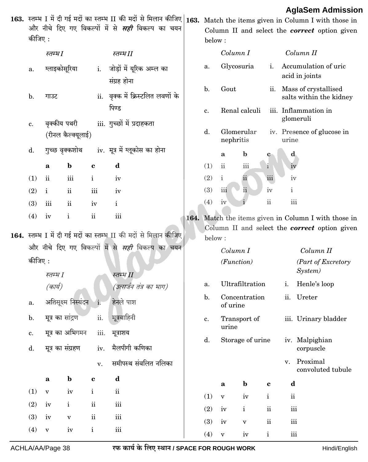#### ACHLA/AA/Page 38

 $(4)$ 

 $\overline{\mathbf{v}}$ 

 $iv$ 

 $\rm i$ 

 $\,$ iii

रफ कार्य के लिए स्थान / SPACE FOR ROUGH WORK

 $(3)$ 

 $(4)$ 

 $iv$ 

 $\overline{\mathbf{v}}$ 

 $\mathbf v$ 

 $iv$ 

 $\mathbf{ii}$ 

 $\mathbf{i}$ 

 $\,$ iii

 $\,$ iii

#### Hindi/English

|  | कीजिए :                                                                                                                                          |                  |                     |                         | 163. स्तम्भ I में दी गई मदों का स्तम्भ II की मदों से मिलान कीजिए 163. Match the items given in Column I with those in<br>और नीचे दिए गए विकल्पों में से <i>सही</i> विकल्प का चयन |  | below:         |                          |                  |                 |                                     | <b>AglaSem Admission</b><br>Column II and select the <i>correct</i> option given                             |  |  |
|--|--------------------------------------------------------------------------------------------------------------------------------------------------|------------------|---------------------|-------------------------|----------------------------------------------------------------------------------------------------------------------------------------------------------------------------------|--|----------------|--------------------------|------------------|-----------------|-------------------------------------|--------------------------------------------------------------------------------------------------------------|--|--|
|  |                                                                                                                                                  | स्तम्भ1          |                     |                         | स्तम्भ $\emph{II}$                                                                                                                                                               |  |                | Column I                 |                  |                 |                                     | Column II                                                                                                    |  |  |
|  | a.                                                                                                                                               | ग्लाइकोसूरिया    |                     |                         | i. जोड़ों में यूरिक अम्ल का<br>संग्रह होना                                                                                                                                       |  | a.             |                          | Glycosuria       | i.              |                                     | Accumulation of uric<br>acid in joints                                                                       |  |  |
|  | $\mathbf{b}$ .                                                                                                                                   | गाउट             |                     |                         | ii. वृक्क में क्रिस्टलित लवणों के                                                                                                                                                |  | $\mathbf{b}$ . | Gout                     |                  |                 |                                     | ii. Mass of crystallised<br>salts within the kidney                                                          |  |  |
|  |                                                                                                                                                  |                  |                     |                         | पिण्ड                                                                                                                                                                            |  | c.             | Renal calculi            |                  |                 | iii. Inflammation in<br>glomeruli   |                                                                                                              |  |  |
|  | c.                                                                                                                                               | वृक्कीय पथरी     | (रीनल कैल्क्यूलाई)  |                         | iii. गुच्छों में प्रदाहकता                                                                                                                                                       |  | d.             | nephritis                | Glomerular       |                 | iv. Presence of glucose in<br>urine |                                                                                                              |  |  |
|  | d.                                                                                                                                               |                  | गुच्छ वृक्कशोथ      |                         | iv. मूत्र में ग्लूकोस का होना                                                                                                                                                    |  |                | a                        | $\mathbf b$      | c               | d,                                  |                                                                                                              |  |  |
|  |                                                                                                                                                  | a                | $\mathbf b$         | c                       | $\mathbf d$                                                                                                                                                                      |  | (1)            | $\overline{\textbf{ii}}$ | iii              | $\mathbf{i}$    | iv                                  |                                                                                                              |  |  |
|  | (1)                                                                                                                                              | $\mathbf{ii}$    | iii                 | $\mathbf{i}$            | iv                                                                                                                                                                               |  | (2)            | $\mathbf{i}$             | ii               | iii             | iv                                  |                                                                                                              |  |  |
|  | (2)                                                                                                                                              | $\mathbf{i}$     | $\mathbf{ii}$       | $\overline{\text{iii}}$ | iv                                                                                                                                                                               |  | (3)            | iii                      | ii               | iv              | $\mathbf{i}$                        |                                                                                                              |  |  |
|  | (3)                                                                                                                                              | iii              | $\mathbf{ii}$       | iv                      | $\mathbf{i}$                                                                                                                                                                     |  | (4)            | iv                       |                  | $\ddot{\rm ii}$ | iii                                 |                                                                                                              |  |  |
|  | (4)                                                                                                                                              | iv               | $\mathbf{i}$        | ii                      | $\overline{\text{iii}}$<br>164. स्तम्भ I में दी गई मदों का स्तम्भ II की मदों से मिलान कीजिए                                                                                      |  | below:         |                          |                  |                 |                                     | 164. Match the items given in Column I with those in<br>Column II and select the <b>correct</b> option given |  |  |
|  |                                                                                                                                                  |                  |                     |                         | और नीचे दिए गए विकल्पों में से <i>सही</i> विकल्प का चयन                                                                                                                          |  |                |                          | Column I         |                 |                                     | Column II                                                                                                    |  |  |
|  | कीजिए :                                                                                                                                          | स्तम्भ I         |                     |                         | स्तम्भ II                                                                                                                                                                        |  |                | (Function)               |                  |                 |                                     | (Part of Excretory<br>System)                                                                                |  |  |
|  |                                                                                                                                                  | (कार्य)          |                     |                         | (उत्सर्जन तंत्र का भाग)                                                                                                                                                          |  | a.             |                          | Ultrafiltration  |                 | i.                                  | Henle's loop                                                                                                 |  |  |
|  | a.                                                                                                                                               |                  | अतिसूक्ष्म निस्यंदन | $i$ .                   | हेनले पाश                                                                                                                                                                        |  | $\mathbf{b}$ . | of urine                 | Concentration    |                 |                                     | ii. Ureter                                                                                                   |  |  |
|  | $\mathbf b$ .                                                                                                                                    | मूत्र का सांद्रण |                     | ii.                     | मूत्रवाहिनी                                                                                                                                                                      |  | c.             | urine                    | Transport of     |                 |                                     | iii. Urinary bladder                                                                                         |  |  |
|  | $\mathbf{c}.$<br>d.                                                                                                                              | मूत्र का संग्रहण | मूत्र का अभिगमन     | iii.<br>iv.             | मूत्राशय<br>मैलपीगी कणिका                                                                                                                                                        |  | d.             |                          | Storage of urine |                 |                                     | iv. Malpighian<br>corpuscle                                                                                  |  |  |
|  | समीपस्थ संवलित नलिका<br>v.<br>$\mathbf b$<br>d<br>$\mathbf a$<br>$\mathbf c$<br>$\ddot{\mathbf{n}}$<br>(1)<br>iv<br>$\mathbf{i}$<br>$\mathbf{V}$ |                  |                     |                         |                                                                                                                                                                                  |  |                |                          |                  |                 | v.                                  | Proximal<br>convoluted tubule                                                                                |  |  |
|  |                                                                                                                                                  |                  |                     |                         |                                                                                                                                                                                  |  |                | $\mathbf a$              | $\mathbf b$      | $\mathbf c$     | d                                   |                                                                                                              |  |  |
|  |                                                                                                                                                  |                  |                     |                         |                                                                                                                                                                                  |  | (1)            | $\mathbf{V}$             | iv               | $\mathbf{i}$    | $\rm ii$                            |                                                                                                              |  |  |
|  | (2)                                                                                                                                              | iv               | $\mathbf{i}$        | $\rm ii$                | $\rm iii$                                                                                                                                                                        |  | (2)            | iv                       | $\mathbf{i}$     | $\rm ii$        | $\overline{\text{iii}}$             |                                                                                                              |  |  |
|  | (3)                                                                                                                                              | iv               | $\mathbf{V}$        | $\mathbf{ii}$           | $\,$ iii                                                                                                                                                                         |  |                |                          |                  |                 |                                     |                                                                                                              |  |  |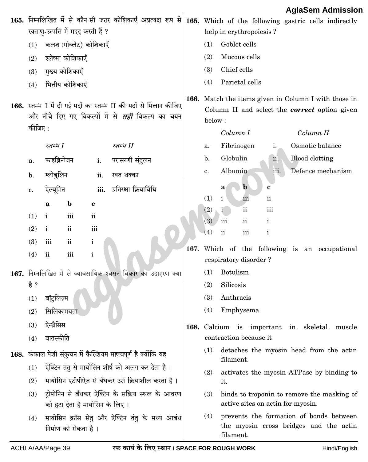|         |               |                                     |               |                                                                                                                             |                                                                                                                        |                                                                         |                 |                              |                                   | Ayıaətiii Auiiiissiui                                                             |        |  |
|---------|---------------|-------------------------------------|---------------|-----------------------------------------------------------------------------------------------------------------------------|------------------------------------------------------------------------------------------------------------------------|-------------------------------------------------------------------------|-----------------|------------------------------|-----------------------------------|-----------------------------------------------------------------------------------|--------|--|
|         |               | रक्ताण्-उत्पत्ति में मदद करती हैं ? |               | 165. निम्नलिखित में से कौन-सी जठर कोशिकाएँ अप्रत्यक्ष रूप से 165. Which of the following gastric cells indirectly           |                                                                                                                        | help in erythropoiesis?                                                 |                 |                              |                                   |                                                                                   |        |  |
| (1)     |               | कलश (गोब्लेट) कोशिकाएँ              |               |                                                                                                                             | (1)                                                                                                                    | Goblet cells                                                            |                 |                              |                                   |                                                                                   |        |  |
| (2)     |               | श्लेष्मा कोशिकाएँ                   |               |                                                                                                                             | (2)                                                                                                                    | Mucous cells                                                            |                 |                              |                                   |                                                                                   |        |  |
|         |               | मुख्य कोशिकाएँ                      |               |                                                                                                                             | (3)                                                                                                                    | Chief cells                                                             |                 |                              |                                   |                                                                                   |        |  |
| (3)     |               | भित्तीय कोशिकाएँ                    |               |                                                                                                                             | Parietal cells<br>(4)                                                                                                  |                                                                         |                 |                              |                                   |                                                                                   |        |  |
| (4)     |               |                                     |               |                                                                                                                             |                                                                                                                        |                                                                         |                 |                              |                                   |                                                                                   |        |  |
| कीजिए : |               |                                     |               | 166. स्तम्भ I में दी गई मदों का स्तम्भ II की मदों से मिलान कीजिए<br>और नीचे दिए गए विकल्पों में से <i>सही</i> विकल्प का चयन | 166. Match the items given in Column I with those in<br>Column II and select the <i>correct</i> option given<br>below: |                                                                         |                 |                              |                                   |                                                                                   |        |  |
|         |               |                                     |               |                                                                                                                             |                                                                                                                        | Column I                                                                |                 |                              |                                   | Column II                                                                         |        |  |
|         | स्तम्भ I      |                                     |               | स्तम्भ II                                                                                                                   | a.                                                                                                                     | Fibrinogen                                                              |                 | i.                           |                                   | Osmotic balance                                                                   |        |  |
| a.      | फाइब्रिनोजन   |                                     | i.            | परासरणी संतुलन                                                                                                              | $\mathbf{b}$ .                                                                                                         | Globulin                                                                |                 | ii.                          | <b>Blood</b> clotting             |                                                                                   |        |  |
| b.      | ग्लोबुलिन     |                                     | ii.           | रक्त थक्का                                                                                                                  | c.                                                                                                                     | Albumin                                                                 |                 | iii.                         |                                   | Defence mechanism                                                                 |        |  |
| c.      | ऐल्बूमिन      |                                     | iii.          | प्रतिरक्षा क्रियाविधि                                                                                                       |                                                                                                                        | a                                                                       | $\mathbf b$     | c                            |                                   |                                                                                   |        |  |
|         | a             | $\mathbf b$                         | $\mathbf c$   |                                                                                                                             | (1)                                                                                                                    | $\mathbf{i}$                                                            | iii             | $\rm ii$                     |                                   |                                                                                   |        |  |
| (1)     | i             | iii                                 | $\mathbf{ii}$ |                                                                                                                             | (2)                                                                                                                    | i.<br>iii                                                               | $\rm ii$        | $\rm iii$                    |                                   |                                                                                   |        |  |
| (2)     | $\mathbf{i}$  | $\mathbf{ii}$                       | iii           |                                                                                                                             | (3)<br>(4)                                                                                                             | $\overline{\text{ii}}$                                                  | $\rm ii$<br>iii | $\mathbf{i}$<br>$\mathbf{i}$ |                                   |                                                                                   |        |  |
| (3)     | iii           | $\mathbf{ii}$                       | $\mathbf{i}$  |                                                                                                                             |                                                                                                                        |                                                                         |                 |                              |                                   |                                                                                   |        |  |
| (4)     | $\mathbf{ii}$ | iii                                 | $\mathbf{i}$  |                                                                                                                             |                                                                                                                        | 167. Which of the following is an occupational<br>respiratory disorder? |                 |                              |                                   |                                                                                   |        |  |
|         |               |                                     |               | 167. निम्नलिखित में से व्यावसायिक श्वसन विकार का उदाहरण क्या                                                                | (1)                                                                                                                    | <b>Botulism</b>                                                         |                 |                              |                                   |                                                                                   |        |  |
| है ?    |               |                                     |               |                                                                                                                             | Silicosis<br>(2)                                                                                                       |                                                                         |                 |                              |                                   |                                                                                   |        |  |
| (1)     | बॉट्रलिज़्म   |                                     |               |                                                                                                                             | (3)                                                                                                                    | Anthracis                                                               |                 |                              |                                   |                                                                                   |        |  |
| (2)     | सिलिकामयता    |                                     |               |                                                                                                                             | (4)                                                                                                                    | Emphysema                                                               |                 |                              |                                   |                                                                                   |        |  |
| (3)     | ऐन्थ्रैसिस    |                                     |               |                                                                                                                             |                                                                                                                        | 168. Calcium is important                                               |                 |                              | in                                | skeletal                                                                          | muscle |  |
| (4)     | वातस्फीति     |                                     |               |                                                                                                                             |                                                                                                                        | contraction because it                                                  |                 |                              |                                   |                                                                                   |        |  |
|         |               |                                     |               | 168. कंकाल पेशी संकुचन में कैल्शियम महत्त्वपूर्ण है क्योंकि यह                                                              | (1)                                                                                                                    |                                                                         |                 |                              |                                   | detaches the myosin head from the actin                                           |        |  |
| (1)     |               |                                     |               | ऐक्टिन तंतु से मायोसिन शीर्ष को अलग कर देता है।                                                                             | (2)                                                                                                                    | filament.                                                               |                 |                              |                                   | activates the myosin ATPase by binding to                                         |        |  |
| (2)     |               |                                     |               | मायोसिन एटीपीऐज़ से बँधकर उसे क्रियाशील करता है।                                                                            |                                                                                                                        | it.                                                                     |                 |                              |                                   |                                                                                   |        |  |
| (3)     |               | को हटा देता है मायोसिन के लिए ।     |               | ट्रोपोनिन से बँधकर ऐक्टिन के सक्रिय स्थल के आवरण                                                                            | (3)                                                                                                                    |                                                                         |                 |                              | active sites on actin for myosin. | binds to troponin to remove the masking of                                        |        |  |
| (4)     |               | निर्माण को रोकता है।                |               | मायोसिन क्रॉस सेतु और ऐक्टिन तंतु के मध्य आबंध                                                                              | (4)                                                                                                                    | filament.                                                               |                 |                              |                                   | prevents the formation of bonds between<br>the myosin cross bridges and the actin |        |  |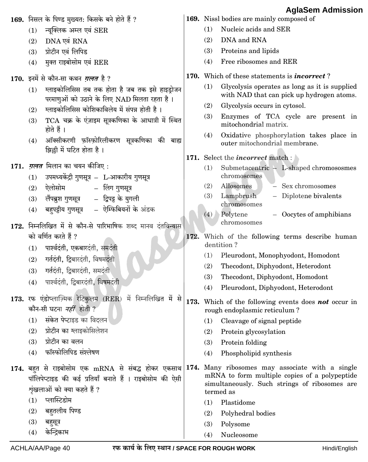|                                                                                   |     | 169. निसल के पिण्ड मुख्यत: किसके बने होते हैं ?                                                                                                                                              |      |            | 169. Nissl bodies are mainly composed of                                                                    |
|-----------------------------------------------------------------------------------|-----|----------------------------------------------------------------------------------------------------------------------------------------------------------------------------------------------|------|------------|-------------------------------------------------------------------------------------------------------------|
|                                                                                   | (1) | न्यूक्लिक अम्ल एवं SER                                                                                                                                                                       |      | (1)        | Nucleic acids and SER                                                                                       |
|                                                                                   | (2) | DNA एवं RNA                                                                                                                                                                                  |      | (2)        | DNA and RNA                                                                                                 |
|                                                                                   | (3) | प्रोटीन एवं लिपिड                                                                                                                                                                            |      | (3)        | Proteins and lipids                                                                                         |
|                                                                                   | (4) | मुक्त राइबोसोम एवं RER                                                                                                                                                                       |      | (4)        | Free ribosomes and RER                                                                                      |
|                                                                                   |     | 170. इनमें से कौन-सा कथन <i>ग़लत</i> है ?                                                                                                                                                    | 170. |            | Which of these statements is <i>incorrect</i> ?                                                             |
|                                                                                   | (1) | ग्लाइकोलिसिस तब तक होता है जब तक इसे हाइड्रोजन<br>परमाणुओं को उठाने के लिए NAD मिलता रहता है।                                                                                                |      | (1)        | Glycolysis operates as long as it is supplied<br>with NAD that can pick up hydrogen atoms.                  |
|                                                                                   | (2) | ग्लाइकोलिसिस कोशिकाविलेय में संपन्न होती है।                                                                                                                                                 |      | (2)        | Glycolysis occurs in cytosol.                                                                               |
|                                                                                   | (3) | TCA चक्र के एंज़ाइम सूत्रकणिका के आधात्री में स्थित<br>होते हैं ।                                                                                                                            |      | (3)        | Enzymes of TCA cycle are present in<br>mitochondrial matrix.                                                |
|                                                                                   | (4) | ऑक्सीकरणी फ़ॉस्फ़ोरिलीकरण सूत्रकणिका की बाह्य<br>झिल्ली में घटित होता है।                                                                                                                    |      | (4)        | Oxidative phosphorylation takes place in<br>outer mitochondrial membrane.                                   |
|                                                                                   |     |                                                                                                                                                                                              |      |            | 171. Select the <i>incorrect</i> match :                                                                    |
|                                                                                   |     | 171. <i>ग़लत</i> मिलान का चयन कीजिए :                                                                                                                                                        |      | (1)        | Submetacentric - L-shaped chromososmes                                                                      |
|                                                                                   | (1) | उपमध्यकेंद्री गुणसूत्र - L-आकारीय गुणसूत्र                                                                                                                                                   |      |            | chromosomes                                                                                                 |
|                                                                                   | (2) | ऐलोसोम             लिंग गुणसूत्र                                                                                                                                                             |      | (2)<br>(3) | Allosomes<br>Sex chromosomes<br>Lampbrush<br>- Diplotene bivalents                                          |
|                                                                                   | (3) | – द्विपट्ट के युगली<br>लैंपब्रुश गुणसूत्र                                                                                                                                                    |      |            | chromosomes                                                                                                 |
|                                                                                   | (4) | –  ऐम्फिबियनों के अंडक<br>बहुपट्टीय गुणसूत्र                                                                                                                                                 |      |            | (4) Polytene<br>$-$ Oocytes of amphibians                                                                   |
|                                                                                   |     | 172. निम्नलिखित में से कौन-से पारिभाषिक शब्द मानव दंतविन्यास                                                                                                                                 |      |            | chromosomes                                                                                                 |
|                                                                                   |     | को वर्णित करते हैं ?                                                                                                                                                                         | 172. |            | Which of the following terms describe human                                                                 |
|                                                                                   | (1) | पार्श्वदंती, एकबारदंती, समदंती                                                                                                                                                               |      |            | dentition?                                                                                                  |
|                                                                                   | (2) | गर्तदंती, द्विबारदंती, विषमदंती                                                                                                                                                              |      | (1)        | Pleurodont, Monophyodont, Homodont                                                                          |
|                                                                                   | (3) | गर्तदंती, द्विबारदंती, समदंती                                                                                                                                                                |      | (2)        | Thecodont, Diphyodont, Heterodont                                                                           |
|                                                                                   | (4) | पार्श्वदंती, द्विबारदंती, विषमदंती                                                                                                                                                           |      | (3)        | Thecodont, Diphyodont, Homodont                                                                             |
|                                                                                   |     | 173. रफ एंडोप्लाज़्मिक रेटिकुलम (RER) में निम्नलिखित में<br>से                                                                                                                               |      | (4)        | Pleurodont, Diphyodont, Heterodont                                                                          |
|                                                                                   |     | कौन-सी घटना <i>नहीं</i> होती ?                                                                                                                                                               | 173. |            | Which of the following events does not occur in<br>rough endoplasmic reticulum?                             |
|                                                                                   | (1) | संकेत पेप्टाइड का विदलन                                                                                                                                                                      |      | (1)        | Cleavage of signal peptide                                                                                  |
|                                                                                   | (2) | प्रोटीन का ग्लाइकोसिलेशन                                                                                                                                                                     |      | (2)        | Protein glycosylation                                                                                       |
|                                                                                   | (3) | प्रोटीन का वलन                                                                                                                                                                               |      | (3)        | Protein folding                                                                                             |
|                                                                                   | (4) | फॉस्फोलिपिड संश्लेषण                                                                                                                                                                         |      | (4)        | Phospholipid synthesis                                                                                      |
|                                                                                   |     | 174. बहुत से राइबोसोम एक mRNA से संबद्ध होकर एकसाथ 174. Many ribosomes may associate with a single<br>पॉलिपेप्टाइड की कई प्रतियाँ बनाते हैं । राइबोसोम की ऐसी<br>शृंखलाओं को क्या कहते हैं ? |      |            | mRNA to form multiple copies of a polypeptide<br>simultaneously. Such strings of ribosomes are<br>termed as |
|                                                                                   | (1) | प्लास्टिडोम                                                                                                                                                                                  |      | (1)        | Plastidome                                                                                                  |
|                                                                                   | (2) | बहुतलीय पिण्ड                                                                                                                                                                                |      | (2)        | Polyhedral bodies                                                                                           |
|                                                                                   | (3) | बहुसूत्र                                                                                                                                                                                     |      | (3)        | Polysome                                                                                                    |
|                                                                                   | (4) | केन्द्रिकाभ                                                                                                                                                                                  |      | (4)        | Nucleosome                                                                                                  |
| रफ कार्य के लिए स्थान / SPACE FOR ROUGH WORK<br>ACHLA/AA/Page 40<br>Hindi/English |     |                                                                                                                                                                                              |      |            |                                                                                                             |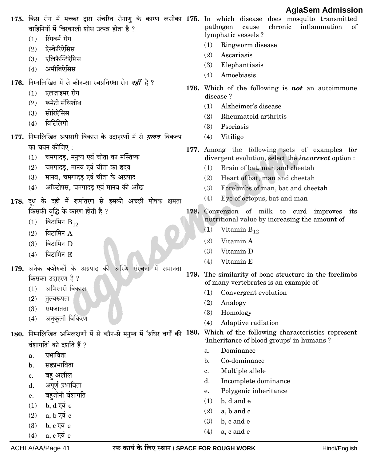|                                                                                   | वाहिनियों में चिरकाली शोथ उत्पन्न होता है ?                                              |             | 1.9199911171911119019<br>175. किस रोग में मच्छर द्वारा संचरित रोगाणु के कारण लसीका 175. In which disease does mosquito transmitted<br>chronic<br>inflammation<br>pathogen cause<br>of |  |  |
|-----------------------------------------------------------------------------------|------------------------------------------------------------------------------------------|-------------|---------------------------------------------------------------------------------------------------------------------------------------------------------------------------------------|--|--|
|                                                                                   | रिंगवर्म रोग<br>(1)                                                                      |             | lymphatic vessels ?                                                                                                                                                                   |  |  |
|                                                                                   | ऐस्केरिऐसिस<br>(2)                                                                       |             | (1)<br>Ringworm disease                                                                                                                                                               |  |  |
|                                                                                   | एलिफैन्टिऐसिस<br>(3)                                                                     |             | (2)<br>Ascariasis                                                                                                                                                                     |  |  |
|                                                                                   | अमीबिऐसिस<br>(4)                                                                         |             | Elephantiasis<br>(3)                                                                                                                                                                  |  |  |
|                                                                                   |                                                                                          |             | Amoebiasis<br>(4)                                                                                                                                                                     |  |  |
|                                                                                   | 176.  निम्नलिखित में से कौन-सा स्वप्रतिरक्षा रोग <i>नहीं</i> है ?                        |             | 176. Which of the following is <b>not</b> an autoimmune                                                                                                                               |  |  |
|                                                                                   | एलज़ाइमर रोग<br>(1)                                                                      |             | disease?                                                                                                                                                                              |  |  |
|                                                                                   | रूमेटी संधिशोथ<br>(2)                                                                    |             | (1)<br>Alzheimer's disease                                                                                                                                                            |  |  |
|                                                                                   | सोरिऐसिस<br>(3)                                                                          |             | Rheumatoid arthritis<br>(2)                                                                                                                                                           |  |  |
|                                                                                   | विटिलिगो<br>(4)                                                                          |             | Psoriasis<br>(3)                                                                                                                                                                      |  |  |
|                                                                                   | 177. निम्नलिखित अपसारी विकास के उदाहरणों में से <i>ग़लत</i> विकल्प                       |             | Vitiligo<br>(4)                                                                                                                                                                       |  |  |
|                                                                                   | का चयन कीजिए :                                                                           |             | 177. Among the following sets of examples for                                                                                                                                         |  |  |
|                                                                                   | चमगादड़, मनुष्य एवं चीता का मस्तिष्क<br>(1)                                              |             | divergent evolution, select the <i>incorrect</i> option :                                                                                                                             |  |  |
|                                                                                   | चमगादड़, मानव एवं चीता का हृदय<br>(2)                                                    |             | Brain of bat, man and cheetah<br>(1)                                                                                                                                                  |  |  |
|                                                                                   | मानव, चमगादड़ एवं चीता के अग्रपाद<br>(3)                                                 |             | Heart of bat, man and cheetah<br>(2)                                                                                                                                                  |  |  |
|                                                                                   | ऑक्टोपस, चमगादड़ एवं मानव की आँख<br>(4)                                                  |             | Forelimbs of man, bat and cheetah<br>(3)                                                                                                                                              |  |  |
|                                                                                   |                                                                                          |             | Eye of octopus, bat and man<br>(4)                                                                                                                                                    |  |  |
|                                                                                   | 178. दूध के दही में रूपांतरण से इसकी अच्छी पोषक क्षमता<br>किसकी वृद्धि के कारण होती है ? | 178.        | Conversion of milk to curd improves its                                                                                                                                               |  |  |
|                                                                                   |                                                                                          |             | nutritional value by increasing the amount of                                                                                                                                         |  |  |
|                                                                                   | विटामिन $\rm B_{12}$<br>(1)                                                              |             | Vitamin $B_{12}$<br>(1)                                                                                                                                                               |  |  |
|                                                                                   | विटामिन A<br>(2)                                                                         |             | (2)<br>Vitamin A                                                                                                                                                                      |  |  |
|                                                                                   | विटामिन D<br>(3)                                                                         |             | Vitamin D<br>(3)                                                                                                                                                                      |  |  |
|                                                                                   | विटामिन E<br>(4)                                                                         |             | Vitamin E<br>(4)                                                                                                                                                                      |  |  |
|                                                                                   | 179. अनेक कशेरुकों के अग्रपाद की अस्थि संरचना में समानता                                 |             |                                                                                                                                                                                       |  |  |
|                                                                                   | किसका उदाहरण है ?                                                                        |             | 179. The similarity of bone structure in the forelimbs<br>of many vertebrates is an example of                                                                                        |  |  |
|                                                                                   | अभिसारी विकास<br>(1)                                                                     |             | Convergent evolution<br>(1)                                                                                                                                                           |  |  |
|                                                                                   | (2)<br>तुल्यरूपता                                                                        |             | (2)<br>Analogy                                                                                                                                                                        |  |  |
|                                                                                   | (3)<br>समजातता                                                                           |             | Homology<br>(3)                                                                                                                                                                       |  |  |
|                                                                                   | अनुकूली विकिरण<br>(4)                                                                    |             | (4)<br>Adaptive radiation                                                                                                                                                             |  |  |
| 180.                                                                              |                                                                                          | <b>180.</b> | Which of the following characteristics represent                                                                                                                                      |  |  |
|                                                                                   | निम्नलिखित अभिलक्षणों में से कौन-से मनुष्य में 'रुधिर वर्गों की                          |             | 'Inheritance of blood groups' in humans ?                                                                                                                                             |  |  |
|                                                                                   | वंशागति' को दर्शाते हैं ?<br>प्रभाविता                                                   |             | Dominance<br>a.                                                                                                                                                                       |  |  |
|                                                                                   | a.<br>सहप्रभाविता                                                                        |             | Co-dominance<br>b.                                                                                                                                                                    |  |  |
|                                                                                   | $\mathbf{b}$ .                                                                           |             | Multiple allele<br>c.                                                                                                                                                                 |  |  |
|                                                                                   | बहु अलील<br>c.<br>अपूर्ण प्रभाविता                                                       |             | d.<br>Incomplete dominance                                                                                                                                                            |  |  |
|                                                                                   | d.                                                                                       |             | Polygenic inheritance<br>e.                                                                                                                                                           |  |  |
|                                                                                   | बहुजीनी वंशागति<br>e.<br>b, d एवं e                                                      |             | (1)<br>b, d and e                                                                                                                                                                     |  |  |
|                                                                                   | (1)<br>a, b एवं c<br>(2)                                                                 |             | (2)<br>a, b and c                                                                                                                                                                     |  |  |
|                                                                                   | b, c एवं e<br>(3)                                                                        |             | (3)<br>b, c and e                                                                                                                                                                     |  |  |
|                                                                                   | a, c एवं e<br>(4)                                                                        |             | (4)<br>a, c and e                                                                                                                                                                     |  |  |
|                                                                                   |                                                                                          |             |                                                                                                                                                                                       |  |  |
| रफ कार्य के लिए स्थान / SPACE FOR ROUGH WORK<br>ACHLA/AA/Page 41<br>Hindi/English |                                                                                          |             |                                                                                                                                                                                       |  |  |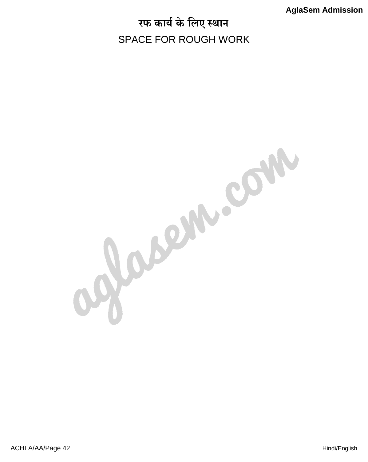# रफ कार्य के लिए स्थान SPACE FOR ROUGH WORK

Jasem.com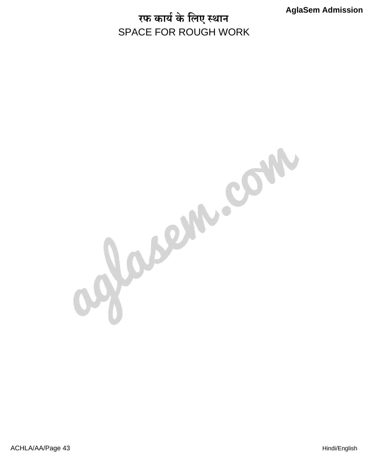# रफ कार्य के लिए स्थान SPACE FOR ROUGH WORK

gassin.com